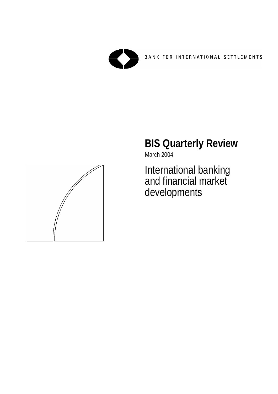

# **BIS Quarterly Review**

March 2004

International banking and financial market developments

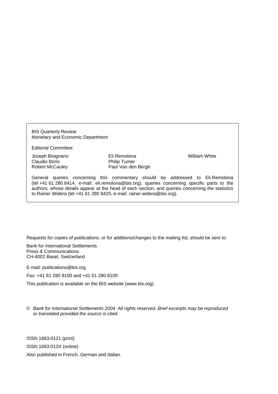BIS Quarterly Review Monetary and Economic Department

Editorial Committee:

Joseph Bisignano Eli Remolona William White Claudio Borio **Philip Turner** 

Robert McCauley Paul Van den Bergh

General queries concerning this commentary should be addressed to Eli Remolona (tel +41 61 280 8414, e-mail: eli.remolona@bis.org), queries concerning specific parts to the authors, whose details appear at the head of each section, and queries concerning the statistics to Rainer Widera (tel +41 61 280 8425, e-mail: rainer.widera@bis.org).

Requests for copies of publications, or for additions/changes to the mailing list, should be sent to:

Bank for International Settlements Press & Communications CH-4002 Basel, Switzerland

E-mail: publications@bis.org

Fax: +41 61 280 9100 and +41 61 280 8100

This publication is available on the BIS website (www.bis.org).

© *Bank for International Settlements 2004. All rights reserved. Brief excerpts may be reproduced or translated provided the source is cited.* 

ISSN 1683-0121 (print) ISSN 1683-013X (online)

Also published in French, German and Italian.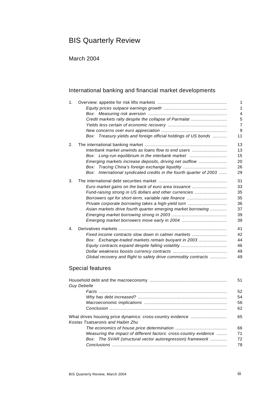# BIS Quarterly Review

March 2004

### International banking and financial market developments

| 1. |                                                                        | 1              |
|----|------------------------------------------------------------------------|----------------|
|    |                                                                        | 1              |
|    |                                                                        | $\overline{4}$ |
|    | Credit markets rally despite the collapse of Parmalat                  | 5              |
|    |                                                                        | $\overline{7}$ |
|    |                                                                        | 9              |
|    | Box: Treasury yields and foreign official holdings of US bonds         | 11             |
| 2. |                                                                        | 13             |
|    | Interbank market unwinds as loans flow to end users                    | 13             |
|    | Box: Long-run equilibrium in the interbank market                      | 15             |
|    | Emerging markets increase deposits, driving net outflow                | 20             |
|    | Box: Tracing China's foreign exchange liquidity                        | 26             |
|    | International syndicated credits in the fourth quarter of 2003<br>Box: | 29             |
| 3. |                                                                        | 31             |
|    | Euro market gains on the back of euro area issuance                    | 33             |
|    | Fund-raising strong in US dollars and other currencies                 | 35             |
|    | Borrowers opt for short-term, variable rate finance                    | 35             |
|    | Private corporate borrowing takes a high-yield turn                    | 36             |
|    | Asian markets drive fourth quarter emerging market borrowing           | 37             |
|    |                                                                        | 39             |
|    |                                                                        | 39             |
| 4. |                                                                        | 41             |
|    | Fixed income contracts slow down in calmer markets                     | 42             |
|    | Box: Exchange-traded markets remain buoyant in 2003                    | 44             |
|    |                                                                        | 46             |
|    |                                                                        | 49             |
|    | Global recovery and flight to safety drive commodity contracts         | 49             |

### Special features

|                                                                   | 51 |
|-------------------------------------------------------------------|----|
| <b>Guy Debelle</b>                                                |    |
| Facts …………………………………………………………………………………………                          | 52 |
|                                                                   | 54 |
|                                                                   | 56 |
|                                                                   | 62 |
|                                                                   | 65 |
| Kostas Tsatsaronis and Haibin Zhu                                 |    |
|                                                                   | 66 |
| Measuring the impact of different factors: cross-country evidence | 71 |
| Box: The SVAR (structural vector autoregression) framework        | 72 |
|                                                                   | 78 |
|                                                                   |    |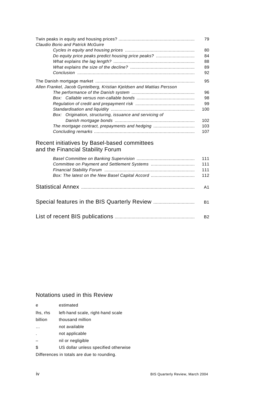| <b>Claudio Borio and Patrick McGuire</b>                               | 79  |  |  |  |  |  |  |
|------------------------------------------------------------------------|-----|--|--|--|--|--|--|
|                                                                        | 80  |  |  |  |  |  |  |
| Do equity price peaks predict housing price peaks?                     | 84  |  |  |  |  |  |  |
|                                                                        | 88  |  |  |  |  |  |  |
|                                                                        | 89  |  |  |  |  |  |  |
|                                                                        | 92  |  |  |  |  |  |  |
|                                                                        | 95  |  |  |  |  |  |  |
| Allen Frankel, Jacob Gyntelberg, Kristian Kjeldsen and Mattias Persson |     |  |  |  |  |  |  |
|                                                                        | 96  |  |  |  |  |  |  |
|                                                                        | 98  |  |  |  |  |  |  |
|                                                                        | 99  |  |  |  |  |  |  |
|                                                                        | 100 |  |  |  |  |  |  |
| Box: Origination, structuring, issuance and servicing of               |     |  |  |  |  |  |  |
|                                                                        | 102 |  |  |  |  |  |  |
| The mortgage contract, prepayments and hedging                         |     |  |  |  |  |  |  |
|                                                                        | 107 |  |  |  |  |  |  |

#### Recent initiatives by Basel-based committees and the Financial Stability Forum

| Box: The latest on the New Basel Capital Accord | 111<br>111<br>111<br>112 |
|-------------------------------------------------|--------------------------|
|                                                 | A1                       |
| Special features in the BIS Quarterly Review    | В1                       |
|                                                 | B2                       |

#### Notations used in this Review

| e                                          | estimated                            |  |  |  |  |  |  |
|--------------------------------------------|--------------------------------------|--|--|--|--|--|--|
| lhs, rhs                                   | left-hand scale, right-hand scale    |  |  |  |  |  |  |
| billion                                    | thousand million                     |  |  |  |  |  |  |
|                                            | not available                        |  |  |  |  |  |  |
| J.                                         | not applicable                       |  |  |  |  |  |  |
|                                            | nil or negligible                    |  |  |  |  |  |  |
| \$                                         | US dollar unless specified otherwise |  |  |  |  |  |  |
| Differences in totals are due to rounding. |                                      |  |  |  |  |  |  |
|                                            |                                      |  |  |  |  |  |  |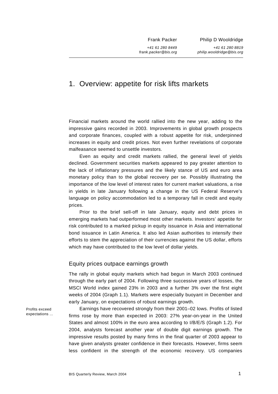Frank Packer

*+41 61 280 8449 frank.packer@bis.org* Philip D Wooldridge

*+41 61 280 8819 philip.wooldridge@bis.org*

## 1. Overview: appetite for risk lifts markets

Financial markets around the world rallied into the new year, adding to the impressive gains recorded in 2003. Improvements in global growth prospects and corporate finances, coupled with a robust appetite for risk, underpinned increases in equity and credit prices. Not even further revelations of corporate malfeasance seemed to unsettle investors.

Even as equity and credit markets rallied, the general level of yields declined. Government securities markets appeared to pay greater attention to the lack of inflationary pressures and the likely stance of US and euro area monetary policy than to the global recovery per se. Possibly illustrating the importance of the low level of interest rates for current market valuations, a rise in yields in late January following a change in the US Federal Reserve's language on policy accommodation led to a temporary fall in credit and equity prices.

Prior to the brief sell-off in late January, equity and debt prices in emerging markets had outperformed most other markets. Investors' appetite for risk contributed to a marked pickup in equity issuance in Asia and international bond issuance in Latin America. It also led Asian authorities to intensify their efforts to stem the appreciation of their currencies against the US dollar, efforts which may have contributed to the low level of dollar yields.

#### Equity prices outpace earnings growth

The rally in global equity markets which had begun in March 2003 continued through the early part of 2004. Following three successive years of losses, the MSCI World index gained 23% in 2003 and a further 3% over the first eight weeks of 2004 (Graph 1.1). Markets were especially buoyant in December and early January, on expectations of robust earnings growth.

Earnings have recovered strongly from their 2001–02 lows. Profits of listed firms rose by more than expected in 2003: 27% year-on-year in the United States and almost 100% in the euro area according to I/B/E/S (Graph 1.2). For 2004, analysts forecast another year of double digit earnings growth. The impressive results posted by many firms in the final quarter of 2003 appear to have given analysts greater confidence in their forecasts. However, firms seem less confident in the strength of the economic recovery. US companies

Profits exceed expectations ...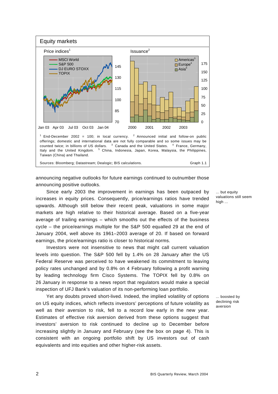

announcing negative outlooks for future earnings continued to outnumber those announcing positive outlooks.

Since early 2003 the improvement in earnings has been outpaced by increases in equity prices. Consequently, price/earnings ratios have trended upwards. Although still below their recent peak, valuations in some major markets are high relative to their historical average. Based on a five-year average of trailing earnings – which smooths out the effects of the business cycle – the price/earnings multiple for the S&P 500 equalled 29 at the end of January 2004, well above its 1961–2003 average of 20. If based on forward earnings, the price/earnings ratio is closer to historical norms.

Investors were not insensitive to news that might call current valuation levels into question. The S&P 500 fell by 1.4% on 28 January after the US Federal Reserve was perceived to have weakened its commitment to leaving policy rates unchanged and by 0.8% on 4 February following a profit warning by leading technology firm Cisco Systems. The TOPIX fell by 0.8% on 26 January in response to a news report that regulators would make a special inspection of UFJ Bank's valuation of its non-performing loan portfolio.

Yet any doubts proved short-lived. Indeed, the implied volatility of options on US equity indices, which reflects investors' perceptions of future volatility as well as their aversion to risk, fell to a record low early in the new year. Estimates of effective risk aversion derived from these options suggest that investors' aversion to risk continued to decline up to December before increasing slightly in January and February (see the box on page 4). This is consistent with an ongoing portfolio shift by US investors out of cash equivalents and into equities and other higher-risk assets.

... but equity valuations still seem high ...

... boosted by declining risk aversion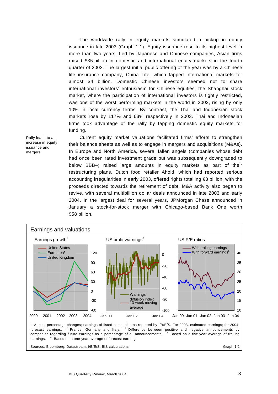The worldwide rally in equity markets stimulated a pickup in equity issuance in late 2003 (Graph 1.1). Equity issuance rose to its highest level in more than two years. Led by Japanese and Chinese companies, Asian firms raised \$35 billion in domestic and international equity markets in the fourth quarter of 2003. The largest initial public offering of the year was by a Chinese life insurance company, China Life, which tapped international markets for almost \$4 billion. Domestic Chinese investors seemed not to share international investors' enthusiasm for Chinese equities; the Shanghai stock market, where the participation of international investors is tightly restricted, was one of the worst performing markets in the world in 2003, rising by only 10% in local currency terms. By contrast, the Thai and Indonesian stock markets rose by 117% and 63% respectively in 2003. Thai and Indonesian firms took advantage of the rally by tapping domestic equity markets for funding.

Rally leads to an increase in equity issuance and mergers

Current equity market valuations facilitated firms' efforts to strengthen their balance sheets as well as to engage in mergers and acquisitions (M&As). In Europe and North America, several fallen angels (companies whose debt had once been rated investment grade but was subsequently downgraded to below BBB–) raised large amounts in equity markets as part of their restructuring plans. Dutch food retailer Ahold, which had reported serious accounting irregularities in early 2003, offered rights totalling €3 billion, with the proceeds directed towards the retirement of debt. M&A activity also began to revive, with several multibillion dollar deals announced in late 2003 and early 2004. In the largest deal for several years, JPMorgan Chase announced in January a stock-for-stock merger with Chicago-based Bank One worth \$58 billion.

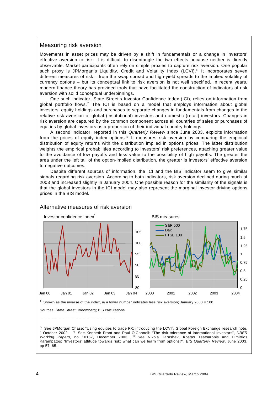#### Measuring risk aversion

Movements in asset prices may be driven by a shift in fundamentals or a change in investors' effective aversion to risk. It is difficult to disentangle the two effects because neither is directly observable. Market participants often rely on simple proxies to capture risk aversion. One popular such proxy is JPMorgan's Liquidity, Credit and Volatility Index (LCVI). $^{\circ}$  It incorporates seven different measures of risk – from the swap spread and high-yield spreads to the implied volatility of currency options – but its conceptual link to risk aversion is not well specified. In recent years, modern finance theory has provided tools that have facilitated the construction of indicators of risk aversion with solid conceptual underpinnings.

One such indicator, State Street's Investor Confidence Index (ICI), relies on information from global portfolio flows. $\degree$  The ICI is based on a model that employs information about global investors' equity holdings and purchases to separate changes in fundamentals from changes in the relative risk aversion of global (institutional) investors and domestic (retail) investors. Changes in risk aversion are captured by the common component across all countries of sales or purchases of equities by global investors as a proportion of their individual country holdings.

A second indicator, reported in this *Quarterly Review* since June 2003, exploits information from the prices of equity index options.<sup> $\circ$ </sup> It measures risk aversion by comparing the empirical distribution of equity returns with the distribution implied in options prices. The latter distribution weights the empirical probabilities according to investors' risk preferences, attaching greater value to the avoidance of low payoffs and less value to the possibility of high payoffs. The greater the area under the left tail of the option-implied distribution, the greater is investors' effective aversion to negative outcomes.

Despite different sources of information, the ICI and the BIS indicator seem to give similar signals regarding risk aversion. According to both indicators, risk aversion declined during much of 2003 and increased slightly in January 2004. One possible reason for the similarity of the signals is that the global investors in the ICI model may also represent the marginal investor driving options prices in the BIS model.



#### Alternative measures of risk aversion

Sources: State Street; Bloomberg; BIS calculations.

\_\_\_\_\_\_\_\_\_\_\_\_\_\_\_\_\_\_\_\_\_\_\_\_\_\_\_\_\_\_\_\_\_\_\_\_\_\_\_\_\_\_\_\_\_\_\_\_\_\_\_\_\_

 $^\circ$  See JPMorgan Chase: "Using equities to trade FX: introducing the LCVI", Global Foreign Exchange research note, 1 October 2002. <sup>©</sup> See Kenneth Froot and Paul O'Connell: "The risk tolerance of international investors", NBER *Working Papers*, no 10157, December 2003. <sup>®</sup> See Nikola Tarashev, Kostas Tsatsaronis and Dimitrios Karampatos: "Investors' attitude towards risk: what can we learn from options?", *BIS Quarterly Review*, June 2003, pp 57–65.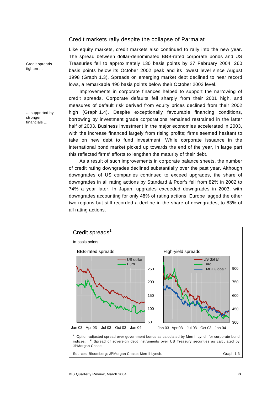#### Credit markets rally despite the collapse of Parmalat

Like equity markets, credit markets also continued to rally into the new year. The spread between dollar-denominated BBB-rated corporate bonds and US Treasuries fell to approximately 130 basis points by 27 February 2004, 260 basis points below its October 2002 peak and its lowest level since August 1998 (Graph 1.3). Spreads on emerging market debt declined to near record lows, a remarkable 490 basis points below their October 2002 level.

Improvements in corporate finances helped to support the narrowing of credit spreads. Corporate defaults fell sharply from their 2001 high, and measures of default risk derived from equity prices declined from their 2002 high (Graph 1.4). Despite exceptionally favourable financing conditions, borrowing by investment grade corporations remained restrained in the latter half of 2003. Business investment in the major economies accelerated in 2003, with the increase financed largely from rising profits; firms seemed hesitant to take on new debt to fund investment. While corporate issuance in the international bond market picked up towards the end of the year, in large part this reflected firms' efforts to lengthen the maturity of their debt.

As a result of such improvements in corporate balance sheets, the number of credit rating downgrades declined substantially over the past year. Although downgrades of US companies continued to exceed upgrades, the share of downgrades in all rating actions by Standard & Poor's fell from 82% in 2002 to 74% a year later. In Japan, upgrades exceeded downgrades in 2003, with downgrades accounting for only 48% of rating actions. Europe lagged the other two regions but still recorded a decline in the share of downgrades, to 83% of all rating actions.



Credit spreads tighten ...

... supported by stronger financials ...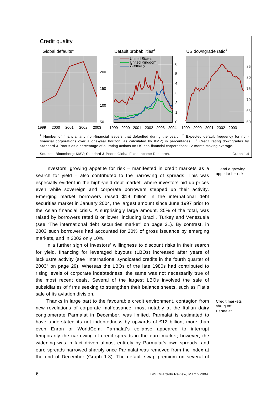

Investors' growing appetite for risk – manifested in credit markets as a search for yield – also contributed to the narrowing of spreads. This was especially evident in the high-yield debt market, where investors bid up prices even while sovereign and corporate borrowers stepped up their activity. Emerging market borrowers raised \$19 billion in the international debt securities market in January 2004, the largest amount since June 1997 prior to the Asian financial crisis. A surprisingly large amount, 35% of the total, was raised by borrowers rated B or lower, including Brazil, Turkey and Venezuela (see "The international debt securities market" on page 31). By contrast, in 2003 such borrowers had accounted for 20% of gross issuance by emerging markets, and in 2002 only 10%.

In a further sign of investors' willingness to discount risks in their search for yield, financing for leveraged buyouts (LBOs) increased after years of lacklustre activity (see "International syndicated credits in the fourth quarter of 2003" on page 29). Whereas the LBOs of the late 1980s had contributed to rising levels of corporate indebtedness, the same was not necessarily true of the most recent deals. Several of the largest LBOs involved the sale of subsidiaries of firms seeking to strengthen their balance sheets, such as Fiat's sale of its aviation division.

Thanks in large part to the favourable credit environment, contagion from new revelations of corporate malfeasance, most notably at the Italian dairy conglomerate Parmalat in December, was limited. Parmalat is estimated to have understated its net indebtedness by upwards of €12 billion, more than even Enron or WorldCom. Parmalat's collapse appeared to interrupt temporarily the narrowing of credit spreads in the euro market; however, the widening was in fact driven almost entirely by Parmalat's own spreads, and euro spreads narrowed sharply once Parmalat was removed from the index at the end of December (Graph 1.3). The default swap premium on several of

... and a growing appetite for risk

Credit markets shrug off Parmalat ...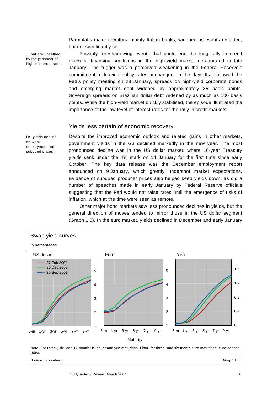Parmalat's major creditors, mainly Italian banks, widened as events unfolded, but not significantly so.

... but are unsettled by the prospect of higher interest rates

US yields decline

on weak employment and subdued prices ...

Possibly foreshadowing events that could end the long rally in credit markets, financing conditions in the high-yield market deteriorated in late January. The trigger was a perceived weakening in the Federal Reserve's commitment to leaving policy rates unchanged. In the days that followed the Fed's policy meeting on 28 January, spreads on high-yield corporate bonds and emerging market debt widened by approximately 35 basis points. Sovereign spreads on Brazilian dollar debt widened by as much as 100 basis points. While the high-yield market quickly stabilised, the episode illustrated the importance of the low level of interest rates for the rally in credit markets.

#### Yields less certain of economic recovery

Despite the improved economic outlook and related gains in other markets, government yields in the G3 declined markedly in the new year. The most pronounced decline was in the US dollar market, where 10-year Treasury yields sank under the 4% mark on 14 January for the first time since early October. The key data release was the December employment report announced on 9 January, which greatly undershot market expectations. Evidence of subdued producer prices also helped keep yields down, as did a number of speeches made in early January by Federal Reserve officials suggesting that the Fed would not raise rates until the emergence of risks of inflation, which at the time were seen as remote.

Other major bond markets saw less pronounced declines in yields, but the general direction of moves tended to mirror those in the US dollar segment (Graph 1.5). In the euro market, yields declined in December and early January

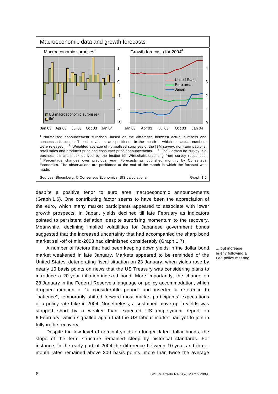

despite a positive tenor to euro area macroeconomic announcements (Graph 1.6). One contributing factor seems to have been the appreciation of the euro, which many market participants appeared to associate with lower growth prospects. In Japan, yields declined till late February as indicators pointed to persistent deflation, despite surprising momentum to the recovery. Meanwhile, declining implied volatilities for Japanese government bonds suggested that the increased uncertainty that had accompanied the sharp bond market sell-off of mid-2003 had diminished considerably (Graph 1.7).

A number of factors that had been keeping down yields in the dollar bond market weakened in late January. Markets appeared to be reminded of the United States' deteriorating fiscal situation on 23 January, when yields rose by nearly 10 basis points on news that the US Treasury was considering plans to introduce a 20-year inflation-indexed bond. More importantly, the change on 28 January in the Federal Reserve's language on policy accommodation, which dropped mention of "a considerable period" and inserted a reference to "patience", temporarily shifted forward most market participants' expectations of a policy rate hike in 2004. Nonetheless, a sustained move up in yields was stopped short by a weaker than expected US employment report on 6 February, which signalled again that the US labour market had yet to join in fully in the recovery.

Despite the low level of nominal yields on longer-dated dollar bonds, the slope of the term structure remained steep by historical standards. For instance, in the early part of 2004 the difference between 10-year and threemonth rates remained above 300 basis points, more than twice the average

... but increase briefly following a Fed policy meeting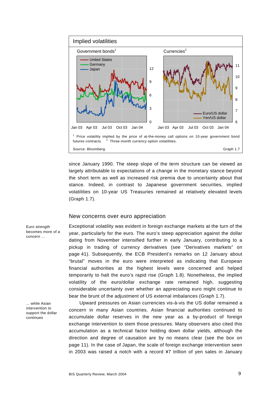

since January 1990. The steep slope of the term structure can be viewed as largely attributable to expectations of a change in the monetary stance beyond the short term as well as increased risk premia due to uncertainty about that stance. Indeed, in contrast to Japanese government securities, implied volatilities on 10-year US Treasuries remained at relatively elevated levels (Graph 1.7).

#### New concerns over euro appreciation

Exceptional volatility was evident in foreign exchange markets at the turn of the year, particularly for the euro. The euro's steep appreciation against the dollar dating from November intensified further in early January, contributing to a pickup in trading of currency derivatives (see "Derivatives markets" on page 41). Subsequently, the ECB President's remarks on 12 January about "brutal" moves in the euro were interpreted as indicating that European financial authorities at the highest levels were concerned and helped temporarily to halt the euro's rapid rise (Graph 1.8). Nonetheless, the implied volatility of the euro/dollar exchange rate remained high, suggesting considerable uncertainty over whether an appreciating euro might continue to bear the brunt of the adjustment of US external imbalances (Graph 1.7).

Upward pressures on Asian currencies vis-à-vis the US dollar remained a concern in many Asian countries. Asian financial authorities continued to accumulate dollar reserves in the new year as a by-product of foreign exchange intervention to stem those pressures. Many observers also cited this accumulation as a technical factor holding down dollar yields, although the direction and degree of causation are by no means clear (see the box on page 11). In the case of Japan, the scale of foreign exchange intervention seen in 2003 was raised a notch with a record ¥7 trillion of yen sales in January

Euro strength becomes more of a concern ...

... while Asian intervention to support the dollar continues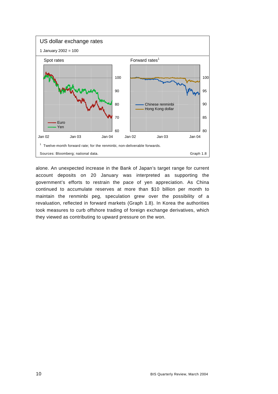

alone. An unexpected increase in the Bank of Japan's target range for current account deposits on 20 January was interpreted as supporting the government's efforts to restrain the pace of yen appreciation. As China continued to accumulate reserves at more than \$10 billion per month to maintain the renminbi peg, speculation grew over the possibility of a revaluation, reflected in forward markets (Graph 1.8). In Korea the authorities took measures to curb offshore trading of foreign exchange derivatives, which they viewed as contributing to upward pressure on the won.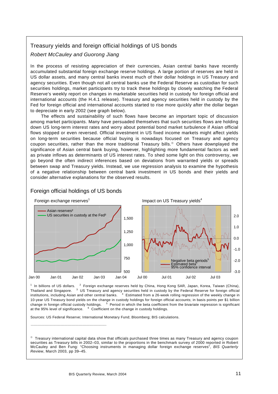#### Treasury yields and foreign official holdings of US bonds

#### *Robert McCauley and Guorong Jiang*

In the process of resisting appreciation of their currencies, Asian central banks have recently accumulated substantial foreign exchange reserve holdings. A large portion of reserves are held in US dollar assets, and many central banks invest much of their dollar holdings in US Treasury and agency securities. Even though not all central banks use the Federal Reserve as custodian for such securities holdings, market participants try to track these holdings by closely watching the Federal Reserve's weekly report on changes in marketable securities held in custody for foreign official and international accounts (the H.4.1 release). Treasury and agency securities held in custody by the Fed for foreign official and international accounts started to rise more quickly after the dollar began to depreciate in early 2002 (see graph below).

The effects and sustainability of such flows have become an important topic of discussion among market participants. Many have persuaded themselves that such securities flows are holding down US long-term interest rates and worry about potential bond market turbulence if Asian official flows stopped or even reversed. Official investment in US fixed income markets might affect yields on long-term securities because official buying is nowadays focused on Treasury and agency coupon securities, rather than the more traditional Treasury bills.<sup>®</sup> Others have downplayed the significance of Asian central bank buying, however, highlighting more fundamental factors as well as private inflows as determinants of US interest rates. To shed some light on this controversy, we go beyond the often indirect inferences based on deviations from warranted yields or spreads between swap and Treasury yields. Instead, we use regression analysis to examine the hypothesis of a negative relationship between central bank investment in US bonds and their yields and consider alternative explanations for the observed results.



#### Foreign official holdings of US bonds

\_\_\_\_\_\_\_\_\_\_\_\_\_\_\_\_\_\_\_\_\_\_\_\_\_\_\_\_\_\_\_\_\_\_\_\_\_\_\_\_\_\_\_\_\_\_\_\_\_\_\_\_\_\_

<sup>1</sup> In billions of US dollars. <sup>2</sup> Foreign exchange reserves held by China, Hong Kong SAR, Japan, Korea, Taiwan (China), Thailand and Singapore. <sup>3</sup> US Treasury and agency securities held in custody by the Federal Reserve for foreign official institutions, including Asian and other central banks. <sup>4</sup> Estimated from a 26-week rolling regression of the weekly change in 10-year US Treasury bond yields on the change in custody holdings for foreign official accounts; in basis points per \$1 billion change in foreign official custody holdings. <sup>5</sup> Period in which the beta coefficient from the bivariate regression is significant at the 95% level of significance.  $6$  Coefficient on the change in custody holdings.

Sources: US Federal Reserve; International Monetary Fund; Bloomberg; BIS calculations.

 $\degree$  Treasury international capital data show that officials purchased three times as many Treasury and agency coupon securities as Treasury bills in 2002–03, similar to the proportions in the benchmark survey of 2000 reported in Robert McCauley and Ben Fung: "Choosing instruments in managing dollar foreign exchange reserves", *BIS Quarterly Review*, March 2003, pp 39–45.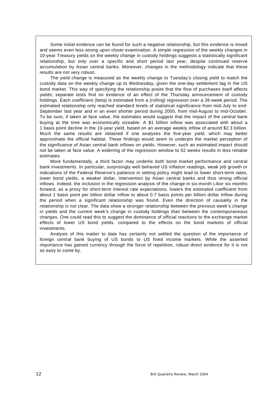Some initial evidence can be found for such a negative relationship, but this evidence is mixed and seems even less strong upon closer examination. A simple regression of the weekly changes in 10-year Treasury yields on the weekly change in custody holdings suggests a statistically significant relationship, but only over a specific and short period last year, despite continued reserve accumulation by Asian central banks. Moreover, changes in the methodology indicate that these results are not very robust.

The yield change is measured as the weekly change to Tuesday's closing yield to match the custody data on the weekly change up to Wednesday, given the one-day settlement lag in the US bond market. This way of specifying the relationship posits that the flow of purchases itself affects yields; separate tests find no evidence of an effect of the Thursday announcement of custody holdings. Each coefficient (beta) is estimated from a (rolling) regression over a 26-week period. The estimated relationship only reached standard levels of statistical significance from mid-July to end-September last year and in an even shorter period during 2000, from mid-August to mid-October. To be sure, if taken at face value, the estimates would suggest that the impact of the central bank buying at the time was economically sizeable. A \$1 billion inflow was associated with about a 1 basis point decline in the 10-year yield, based on an average weekly inflow of around \$2.3 billion. Much the same results are obtained if one analyses the five-year yield, which may better approximate the official habitat. These findings would seem to underpin the market perception of the significance of Asian central bank inflows on yields. However, such an estimated impact should not be taken at face value. A widening of the regression window to 52 weeks results in less reliable estimates.

More fundamentally, a third factor may underlie both bond market performance and central bank investments. In particular, surprisingly well behaved US inflation readings, weak job growth or indications of the Federal Reserve's patience in setting policy might lead to lower short-term rates, lower bond yields, a weaker dollar, intervention by Asian central banks and thus strong official inflows. Indeed, the inclusion in the regression analysis of the change in six-month Libor six months forward, as a proxy for short-term interest rate expectations, lowers the estimated coefficient from about 1 basis point per billion dollar inflow to about 0.7 basis points per billion dollar inflow during the period when a significant relationship was found. Even the direction of causality in the relationship is not clear. The data show a stronger relationship between the previous week's change in yields and the current week's change in custody holdings than between the contemporaneous changes. One could read this to suggest the dominance of official reactions to the exchange market effects of lower US bond yields, compared to the effects on the bond markets of official investments.

Analysis of this matter to date has certainly not settled the question of the importance of foreign central bank buying of US bonds to US fixed income markets. While the asserted importance has gained currency through the force of repetition, robust direct evidence for it is not so easy to come by.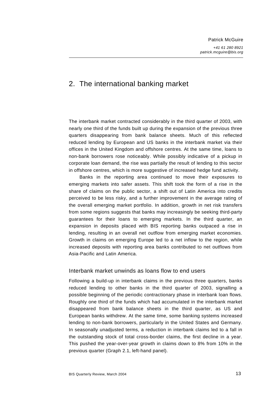# 2. The international banking market

The interbank market contracted considerably in the third quarter of 2003, with nearly one third of the funds built up during the expansion of the previous three quarters disappearing from bank balance sheets. Much of this reflected reduced lending by European and US banks in the interbank market via their offices in the United Kingdom and offshore centres. At the same time, loans to non-bank borrowers rose noticeably. While possibly indicative of a pickup in corporate loan demand, the rise was partially the result of lending to this sector in offshore centres, which is more suggestive of increased hedge fund activity.

Banks in the reporting area continued to move their exposures to emerging markets into safer assets. This shift took the form of a rise in the share of claims on the public sector, a shift out of Latin America into credits perceived to be less risky, and a further improvement in the average rating of the overall emerging market portfolio. In addition, growth in net risk transfers from some regions suggests that banks may increasingly be seeking third-party guarantees for their loans to emerging markets. In the third quarter, an expansion in deposits placed with BIS reporting banks outpaced a rise in lending, resulting in an overall net outflow from emerging market economies. Growth in claims on emerging Europe led to a net inflow to the region, while increased deposits with reporting area banks contributed to net outflows from Asia-Pacific and Latin America.

#### Interbank market unwinds as loans flow to end users

Following a build-up in interbank claims in the previous three quarters, banks reduced lending to other banks in the third quarter of 2003, signalling a possible beginning of the periodic contractionary phase in interbank loan flows. Roughly one third of the funds which had accumulated in the interbank market disappeared from bank balance sheets in the third quarter, as US and European banks withdrew. At the same time, some banking systems increased lending to non-bank borrowers, particularly in the United States and Germany. In seasonally unadjusted terms, a reduction in interbank claims led to a fall in the outstanding stock of total cross-border claims, the first decline in a year. This pushed the year-over-year growth in claims down to 8% from 10% in the previous quarter (Graph 2.1, left-hand panel).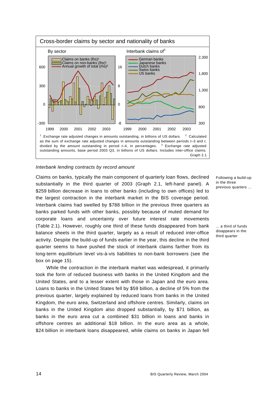

#### *Interbank lending contracts by record amount*

Claims on banks, typically the main component of quarterly loan flows, declined substantially in the third quarter of 2003 (Graph 2.1, left-hand panel). A \$259 billion decrease in loans to other banks (including to own offices) led to the largest contraction in the interbank market in the BIS coverage period. Interbank claims had swelled by \$788 billion in the previous three quarters as banks parked funds with other banks, possibly because of muted demand for corporate loans and uncertainty over future interest rate movements (Table 2.1). However, roughly one third of these funds disappeared from bank balance sheets in the third quarter, largely as a result of reduced inter-office activity. Despite the build-up of funds earlier in the year, this decline in the third quarter seems to have pushed the stock of interbank claims farther from its long-term equilibrium level vis-à-vis liabilities to non-bank borrowers (see the box on page 15).

While the contraction in the interbank market was widespread, it primarily took the form of reduced business with banks in the United Kingdom and the United States, and to a lesser extent with those in Japan and the euro area. Loans to banks in the United States fell by \$59 billion, a decline of 5% from the previous quarter, largely explained by reduced loans from banks in the United Kingdom, the euro area, Switzerland and offshore centres. Similarly, claims on banks in the United Kingdom also dropped substantially, by \$71 billion, as banks in the euro area cut a combined \$31 billion in loans and banks in offshore centres an additional \$18 billion. In the euro area as a whole, \$24 billion in interbank loans disappeared, while claims on banks in Japan fell

Following a build-up in the three previous quarters ...

... a third of funds disappears in the third quarter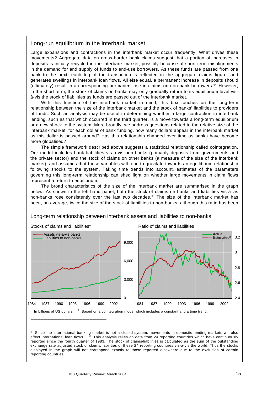#### Long-run equilibrium in the interbank market

Large expansions and contractions in the interbank market occur frequently. What drives these movements? Aggregate data on cross-border bank claims suggest that a portion of increases in deposits is initially recycled in the interbank market, possibly because of short-term misalignments in the demand for and supply of funds to end-use borrowers. As these funds are passed from one bank to the next, each leg of the transaction is reflected in the aggregate claims figure, and generates swellings in interbank loan flows. All else equal, a permanent increase in deposits should (ultimately) result in a corresponding permanent rise in claims on non-bank borrowers. $\degree$  However, in the short term, the stock of claims on banks may only gradually return to its equilibrium level visà-vis the stock of liabilities as funds are passed out of the interbank market.

With this function of the interbank market in mind, this box touches on the long-term relationship between the size of the interbank market and the stock of banks' liabilities to providers of funds. Such an analysis may be useful in determining whether a large contraction in interbank lending, such as that which occurred in the third quarter, is a move towards a long-term equilibrium or a new shock to the system. More broadly, we address questions related to the relative size of the interbank market; for each dollar of bank funding, how many dollars appear in the interbank market as this dollar is passed around? Has this relationship changed over time as banks have become more globalised?

The simple framework described above suggests a statistical relationship called cointegration. Our model includes bank liabilities vis-à-vis non-banks (primarily deposits from governments and the private sector) and the stock of claims on other banks (a measure of the size of the interbank market), and assumes that these variables will tend to gravitate towards an equilibrium relationship following shocks to the system. Taking time trends into account, estimates of the parameters governing this long-term relationship can shed light on whether large movements in claim flows represent a return to equilibrium.

The broad characteristics of the size of the interbank market are summarised in the graph below. As shown in the left-hand panel, both the stock of claims on banks and liabilities vis-à-vis non-banks rose consistently over the last two decades.<sup>®</sup> The size of the interbank market has been, on average, twice the size of the stock of liabilities to non-banks, although this ratio has been



#### Long-term relationship between interbank assets and liabilities to non-banks

 $\degree$  Since the international banking market is not a closed system, movements in domestic lending markets will also affect international loan flows.  $\degree$  This analysis relies on data from 24 reporting countries which have This analysis relies on data from 24 reporting countries which have continuously reported since the fourth quarter of 1983. The stock of claims/liabilities is calculated as the sum of the outstanding exchange rate adjusted stock of claims/liabilities of these 24 reporting countries vis-à-vis the world. Thus the stocks displayed in the graph will not correspond exactly to those reported elsewhere due to the exclusion of certain reporting countries.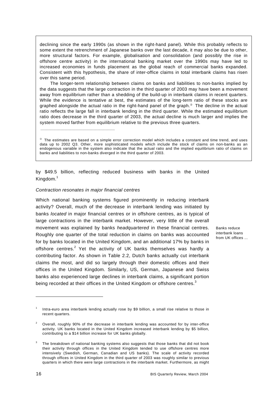declining since the early 1990s (as shown in the right-hand panel). While this probably reflects to some extent the retrenchment of Japanese banks over the last decade, it may also be due to other, more structural factors. For example, globalisation and consolidation (and possibly the rise in offshore centre activity) in the international banking market over the 1990s may have led to increased economies in funds placement as the global reach of commercial banks expanded. Consistent with this hypothesis, the share of inter-office claims in total interbank claims has risen over this same period.

The longer-term relationship between claims on banks and liabilities to non-banks implied by the data suggests that the large contraction in the third quarter of 2003 may have been a movement away from equilibrium rather than a shedding of the build-up in interbank claims in recent quarters. While the evidence is tentative at best, the estimates of the long-term ratio of these stocks are graphed alongside the actual ratio in the right-hand panel of the graph.<sup>®</sup> The decline in the actual ratio reflects the large fall in interbank lending in the third quarter. While the estimated equilibrium ratio does decrease in the third quarter of 2003, the actual decline is much larger and implies the system moved farther from equilibrium relative to the previous three quarters.

 $\degree$  The estimates are based on a simple error correction model which includes a constant and time trend, and uses data up to 2002 Q3. Other, more sophisticated models which include the stock of claims on non-banks as an endogenous variable in the system also indicate that the actual ratio and the implied equilibrium ratio of claims on banks and liabilities to non-banks diverged in the third quarter of 2003.

by \$49.5 billion, reflecting reduced business with banks in the United Kingdom.<sup>1</sup>

#### *Contraction resonates in major financial centres*

\_\_\_\_\_\_\_\_\_\_\_\_\_\_\_\_\_\_\_\_\_\_\_\_\_\_\_\_\_\_\_\_\_\_\_\_\_\_\_\_\_\_\_\_\_\_\_\_\_\_\_\_\_

Which national banking systems figured prominently in reducing interbank activity? Overall, much of the decrease in interbank lending was initiated by banks *located* in major financial centres or in offshore centres, as is typical of large contractions in the interbank market. However, very little of the overall movement was explained by banks *headquartered* in these financial centres. Roughly one quarter of the total reduction in claims on banks was accounted for by banks located in the United Kingdom, and an additional 17% by banks in offshore centres.<sup>2</sup> Yet the activity of UK banks themselves was hardly a contributing factor. As shown in Table 2.2, Dutch banks actually cut interbank claims the most, and did so largely through their domestic offices and their offices in the United Kingdom. Similarly, US, German, Japanese and Swiss banks also experienced large declines in interbank claims, a significant portion being recorded at their offices in the United Kingdom or offshore centres.<sup>3</sup>

 $\overline{a}$ 

Banks reduce interbank loans from UK offices ...

<sup>1</sup> Intra-euro area interbank lending actually rose by \$9 billion, a small rise relative to those in recent quarters.

<sup>2</sup> Overall, roughly 90% of the decrease in interbank lending was accounted for by inter-office activity. UK banks located in the United Kingdom increased interbank lending by \$5 billion, contributing to a \$14 billion increase for UK banks globally.

<sup>3</sup> The breakdown of national banking systems also suggests that those banks that did not book their activity through offices in the United Kingdom tended to use offshore centres more intensively (Swedish, German, Canadian and US banks). The scale of activity recorded through offices in United Kingdom in the third quarter of 2003 was roughly similar to previous quarters in which there were large contractions in the interbank market. Furthermore, as might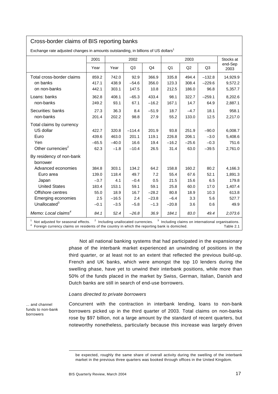#### Cross-border claims of BIS reporting banks

|                                                                                                                                                                                                                                                             | 2001    |         | 2002     |         |         | Stocks at      |                |                 |  |
|-------------------------------------------------------------------------------------------------------------------------------------------------------------------------------------------------------------------------------------------------------------|---------|---------|----------|---------|---------|----------------|----------------|-----------------|--|
|                                                                                                                                                                                                                                                             | Year    | Year    | Q3       | Q4      | Q1      | Q <sub>2</sub> | Q <sub>3</sub> | end-Sep<br>2003 |  |
| Total cross-border claims                                                                                                                                                                                                                                   | 859.2   | 742.0   | 92.9     | 366.9   | 335.8   | 494.4          | $-132.8$       | 14,929.9        |  |
| on banks                                                                                                                                                                                                                                                    | 417.1   | 438.9   | $-54.6$  | 356.0   | 123.3   | 308.4          | $-229.6$       | 9,572.2         |  |
| on non-banks                                                                                                                                                                                                                                                | 442.1   | 303.1   | 147.5    | 10.8    | 212.5   | 186.0          | 96.8           | 5,357.7         |  |
| Loans: banks                                                                                                                                                                                                                                                | 362.8   | 408.1   | $-65.3$  | 433.4   | 98.1    | 322.7          | $-259.1$       | 8,202.6         |  |
| non-banks                                                                                                                                                                                                                                                   | 249.2   | 93.1    | 67.1     | $-16.2$ | 167.1   | 14.7           | 64.9           | 2,887.1         |  |
| Securities: banks                                                                                                                                                                                                                                           | 27.3    | 36.3    | 8.4      | $-51.9$ | 18.7    | $-4.7$         | 18.1           | 958.1           |  |
| non-banks                                                                                                                                                                                                                                                   | 201.4   | 202.2   | 98.8     | 27.9    | 55.2    | 133.0          | 12.5           | 2,217.0         |  |
| Total claims by currency                                                                                                                                                                                                                                    |         |         |          |         |         |                |                |                 |  |
| US dollar                                                                                                                                                                                                                                                   | 422.7   | 320.8   | $-114.4$ | 201.9   | 93.8    | 251.9          | $-90.0$        | 6,008.7         |  |
| Euro                                                                                                                                                                                                                                                        | 439.6   | 463.0   | 201.1    | 119.1   | 226.8   | 206.1          | $-3.0$         | 5,408.6         |  |
| Yen                                                                                                                                                                                                                                                         | $-65.5$ | $-40.0$ | 16.6     | 19.4    | $-16.2$ | $-25.6$        | $-0.3$         | 751.6           |  |
| Other currencies <sup>2</sup>                                                                                                                                                                                                                               | 62.3    | $-1.8$  | $-10.4$  | 26.5    | 31.4    | 63.0           | $-39.5$        | 2,761.0         |  |
| By residency of non-bank                                                                                                                                                                                                                                    |         |         |          |         |         |                |                |                 |  |
| borrower                                                                                                                                                                                                                                                    |         |         |          |         |         |                |                |                 |  |
| Advanced economies                                                                                                                                                                                                                                          | 384.8   | 303.1   | 134.2    | 64.2    | 158.8   | 160.2          | 80.2           | 4,166.3         |  |
| Euro area                                                                                                                                                                                                                                                   | 139.0   | 118.4   | 49.7     | 7.2     | 55.4    | 67.6           | 52.1           | 1,891.3         |  |
| Japan                                                                                                                                                                                                                                                       | $-3.7$  | 4.1     | $-0.4$   | 0.5     | 21.5    | 15.6           | 6.5            | 179.8           |  |
| <b>United States</b>                                                                                                                                                                                                                                        | 183.4   | 153.1   | 59.1     | 59.1    | 25.8    | 60.0           | 17.0           | 1,407.4         |  |
| Offshore centres                                                                                                                                                                                                                                            | 55.0    | 18.9    | 16.7     | $-28.2$ | 80.8    | 18.9           | 10.3           | 613.8           |  |
| <b>Emerging economies</b>                                                                                                                                                                                                                                   | 2.5     | $-16.5$ | 2.4      | $-23.8$ | $-6.4$  | 3.3            | 5.6            | 527.7           |  |
| Unallocated $3$                                                                                                                                                                                                                                             | $-0.1$  | $-3.5$  | $-5.8$   | $-1.3$  | $-20.8$ | 3.6            | 0.6            | 49.9            |  |
| Memo: Local claims <sup>4</sup>                                                                                                                                                                                                                             | 84.1    | 52.4    | $-26.8$  | 36.9    | 184.1   | 83.0           | 49.4           | 2,073.6         |  |
| $2$ Including unallocated currencies. $3$ Including claims on international organisations.<br><sup>1</sup> Not adjusted for seasonal effects.<br>Foreign currency claims on residents of the country in which the reporting bank is domiciled.<br>Table 2.1 |         |         |          |         |         |                |                |                 |  |

Exchange rate adjusted changes in amounts outstanding, in billions of US dollars<sup>1</sup>

Not all national banking systems that had participated in the expansionary phase of the interbank market experienced an unwinding of positions in the third quarter, or at least not to an extent that reflected the previous build-up. French and UK banks, which were amongst the top 10 lenders during the swelling phase, have yet to unwind their interbank positions, while more than 50% of the funds placed in the market by Swiss, German, Italian, Danish and Dutch banks are still in search of end-use borrowers.

#### *Loans directed to private borrowers*

... and channel funds to non-bank borrowers

Concurrent with the contraction in interbank lending, loans to non-bank borrowers picked up in the third quarter of 2003. Total claims on non-banks rose by \$97 billion, not a large amount by the standard of recent quarters, but noteworthy nonetheless, particularly because this increase was largely driven

l

be expected, roughly the same share of overall activity during the swelling of the interbank market in the previous three quarters was booked through offices in the United Kingdom.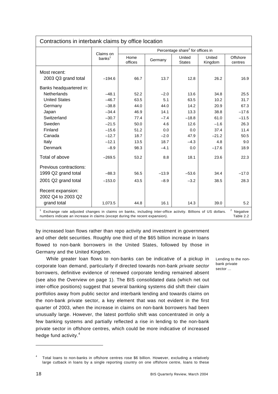| Contractions in interbank claims by office location                                                                                                                                                                               |                                 |                 |         |                                              |                   |                     |  |  |  |
|-----------------------------------------------------------------------------------------------------------------------------------------------------------------------------------------------------------------------------------|---------------------------------|-----------------|---------|----------------------------------------------|-------------------|---------------------|--|--|--|
|                                                                                                                                                                                                                                   |                                 |                 |         | Percentage share <sup>2</sup> for offices in |                   |                     |  |  |  |
|                                                                                                                                                                                                                                   | Claims on<br>banks <sup>1</sup> | Home<br>offices | Germany | United<br><b>States</b>                      | United<br>Kingdom | Offshore<br>centres |  |  |  |
| Most recent:                                                                                                                                                                                                                      |                                 |                 |         |                                              |                   |                     |  |  |  |
| 2003 Q3 grand total                                                                                                                                                                                                               | $-194.6$                        | 66.7            | 13.7    | 12.8                                         | 26.2              | 16.9                |  |  |  |
| Banks headquartered in:                                                                                                                                                                                                           |                                 |                 |         |                                              |                   |                     |  |  |  |
| <b>Netherlands</b>                                                                                                                                                                                                                | $-48.1$                         | 52.2            | $-2.0$  | 13.6                                         | 34.8              | 25.5                |  |  |  |
| <b>United States</b>                                                                                                                                                                                                              | $-46.7$                         | 63.5            | 5.1     | 63.5                                         | 10.2              | 31.7                |  |  |  |
| Germany                                                                                                                                                                                                                           | $-38.8$                         | 44.0            | 44.0    | 14.2                                         | 20.9              | 67.3                |  |  |  |
| Japan                                                                                                                                                                                                                             | $-34.4$                         | 46.9            | 14.1    | 13.3                                         | 38.8              | $-17.6$             |  |  |  |
| Switzerland                                                                                                                                                                                                                       | $-30.7$                         | 77.4            | $-7.4$  | $-18.8$                                      | 61.0              | $-11.5$             |  |  |  |
| Sweden                                                                                                                                                                                                                            | $-21.5$                         | 50.0            | 4.6     | 12.6                                         | $-1.6$            | 26.3                |  |  |  |
| Finland                                                                                                                                                                                                                           | $-15.6$                         | 51.2            | 0.0     | 0.0                                          | 37.4              | 11.4                |  |  |  |
| Canada                                                                                                                                                                                                                            | $-12.7$                         | 18.7            | $-2.0$  | 47.9                                         | $-21.2$           | 50.5                |  |  |  |
| Italy                                                                                                                                                                                                                             | $-12.1$                         | 13.5            | 18.7    | $-4.3$                                       | 4.8               | 9.0                 |  |  |  |
| Denmark                                                                                                                                                                                                                           | $-8.9$                          | 98.3            | $-4.1$  | 0.0                                          | $-17.6$           | 18.9                |  |  |  |
| Total of above                                                                                                                                                                                                                    | $-269.5$                        | 53.2            | 8.8     | 18.1                                         | 23.6              | 22.3                |  |  |  |
| Previous contractions:                                                                                                                                                                                                            |                                 |                 |         |                                              |                   |                     |  |  |  |
| 1999 Q2 grand total                                                                                                                                                                                                               | $-88.3$                         | 56.5            | $-13.9$ | $-53.6$                                      | 34.4              | $-17.0$             |  |  |  |
| 2001 Q2 grand total                                                                                                                                                                                                               | $-153.0$                        | 43.5            | $-8.9$  | $-3.2$                                       | 38.5              | 28.3                |  |  |  |
| Recent expansion:<br>2002 Q4 to 2003 Q2                                                                                                                                                                                           |                                 |                 |         |                                              |                   |                     |  |  |  |
| grand total                                                                                                                                                                                                                       | 1,073.5                         | 44.8            | 16.1    | 14.3                                         | 39.0              | 5.2                 |  |  |  |
| <sup>2</sup> Negative<br>Exchange rate adjusted changes in claims on banks, including inter-office activity. Billions of US dollars.<br>numbers indicate an increase in claims (except during the recent expansion).<br>Table 2.2 |                                 |                 |         |                                              |                   |                     |  |  |  |

by increased loan flows rather than repo activity and investment in government and other debt securities. Roughly one third of the \$65 billion increase in loans flowed to non-bank borrowers in the United States, followed by those in Germany and the United Kingdom.

While greater loan flows to non-banks can be indicative of a pickup in corporate loan demand, particularly if directed towards non-bank *private sector* borrowers, definitive evidence of renewed corporate lending remained absent (see also the Overview on page 1). The BIS consolidated data (which net out inter-office positions) suggest that several banking systems did shift their claim portfolios away from public sector and interbank lending and towards claims on the non-bank private sector, a key element that was not evident in the first quarter of 2003, when the increase in claims on non-bank borrowers had been unusually large. However, the latest portfolio shift was concentrated in only a few banking systems and partially reflected a rise in lending to the non-bank private sector in offshore centres, which could be more indicative of increased hedge fund activity.<sup>4</sup>

Lending to the nonbank private sector ...

 $\overline{a}$ 

<sup>4</sup> Total loans to non-banks in offshore centres rose \$6 billion. However, excluding a relatively large cutback in loans by a single reporting country on one offshore centre, loans to these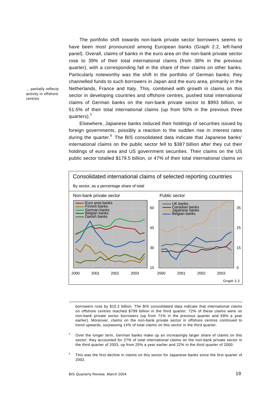The portfolio shift towards non-bank private sector borrowers seems to have been most pronounced among European banks (Graph 2.2, left-hand panel). Overall, claims of banks in the euro area on the non-bank private sector rose to 39% of their total international claims (from 38% in the previous quarter), with a corresponding fall in the share of their claims on other banks. Particularly noteworthy was the shift in the portfolio of German banks; they channelled funds to such borrowers in Japan and the euro area, primarily in the Netherlands, France and Italy. This, combined with growth in claims on this sector in developing countries and offshore centres, pushed total international claims of German banks on the non-bank private sector to \$993 billion, or 51.5% of their total international claims (up from 50% in the previous three quarters).<sup>5</sup>

Elsewhere, Japanese banks reduced their holdings of securities issued by foreign governments, possibly a reaction to the sudden rise in interest rates during the quarter.<sup>6</sup> The BIS consolidated data indicate that Japanese banks' international claims on the public sector fell to \$387 billion after they cut their holdings of euro area and US government securities. Their claims on the US public sector totalled \$179.5 billion, or 47% of their total international claims on



borrowers rose by \$15.2 billion. The BIS consolidated data indicate that international claims on offshore centres reached \$799 billion in the third quarter; 72% of these claims were on non-bank private sector borrowers (up from 71% in the previous quarter and 69% a year earlier). Moreover, claims on the non-bank private sector in offshore centres continued to trend upwards, surpassing 14% of total claims on this sector in the third quarter.

- 5 Over the longer term, German banks make up an increasingly larger share of claims on this sector; they accounted for 27% of total international claims on the non-bank private sector in the third quarter of 2003, up from 25% a year earlier and 22% in the third quarter of 2000.
- 6 This was the first decline in claims on this sector for Japanese banks since the first quarter of 2002.

... partially reflects activity in offshore centres

l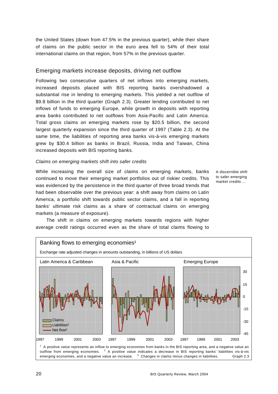the United States (down from 47.5% in the previous quarter), while their share of claims on the public sector in the euro area fell to 54% of their total international claims on that region, from 57% in the previous quarter.

#### Emerging markets increase deposits, driving net outflow

Following two consecutive quarters of net inflows into emerging markets, increased deposits placed with BIS reporting banks overshadowed a substantial rise in lending to emerging markets. This yielded a net outflow of \$9.8 billion in the third quarter (Graph 2.3). Greater lending contributed to net inflows of funds to emerging Europe, while growth in deposits with reporting area banks contributed to net outflows from Asia-Pacific and Latin America. Total gross claims on emerging markets rose by \$20.5 billion, the second largest quarterly expansion since the third quarter of 1997 (Table 2.3). At the same time, the liabilities of reporting area banks vis-à-vis emerging markets grew by \$30.4 billion as banks in Brazil, Russia, India and Taiwan, China increased deposits with BIS reporting banks.

#### *Claims on emerging markets shift into safer credits*

While increasing the overall size of claims on emerging markets, banks continued to move their emerging market portfolios out of riskier credits. This was evidenced by the persistence in the third quarter of three broad trends that had been observable over the previous year: a shift away from claims on Latin America, a portfolio shift towards public sector claims, and a fall in reporting banks' ultimate risk claims as a share of contractual claims on emerging markets (a measure of exposure).

A discernible shift to safer emerging market credits ...

The shift in claims on emerging markets towards regions with higher average credit ratings occurred even as the share of total claims flowing to

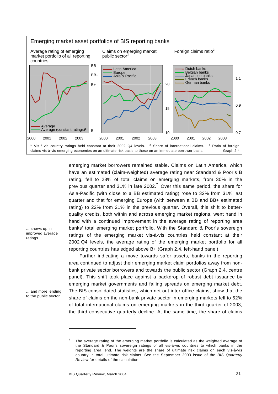

emerging market borrowers remained stable. Claims on Latin America, which have an estimated (claim-weighted) average rating near Standard & Poor's B rating, fell to 28% of total claims on emerging markets, from 30% in the previous quarter and 31% in late 2002.<sup>7</sup> Over this same period, the share for Asia-Pacific (with close to a BB estimated rating) rose to 32% from 31% last quarter and that for emerging Europe (with between a BB and BB+ estimated rating) to 22% from 21% in the previous quarter. Overall, this shift to betterquality credits, both within and across emerging market regions, went hand in hand with a continued improvement in the average rating of reporting area banks' total emerging market portfolio. With the Standard & Poor's sovereign ratings of the emerging market vis-à-vis countries held constant at their 2002 Q4 levels, the average rating of the emerging market portfolio for all reporting countries has edged above B+ (Graph 2.4, left-hand panel).

Further indicating a move towards safer assets, banks in the reporting area continued to adjust their emerging market claim portfolios away from nonbank private sector borrowers and towards the public sector (Graph 2.4, centre panel). This shift took place against a backdrop of robust debt issuance by emerging market governments and falling spreads on emerging market debt. The BIS consolidated statistics, which net out inter-office claims, show that the share of claims on the non-bank private sector in emerging markets fell to 52% of total international claims on emerging markets in the third quarter of 2003, the third consecutive quarterly decline. At the same time, the share of claims

... shows up in improved average ratings ...

... and more lending to the public sector

-

<sup>7</sup> The average rating of the emerging market portfolio is calculated as the weighted average of the Standard & Poor's sovereign ratings of all vis-à-vis countries to which banks in the reporting area lend. The weights are the share of ultimate risk claims on each vis-à-vis country in total ultimate risk claims. See the September 2003 issue of the *BIS Quarterly Review* for details of the calculation.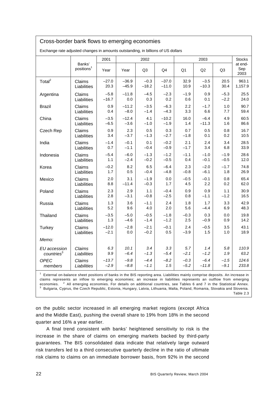| Cross-border bank flows to emerging economies                                                                                             |                                  |         |         |         |         |        |         |                |                        |  |
|-------------------------------------------------------------------------------------------------------------------------------------------|----------------------------------|---------|---------|---------|---------|--------|---------|----------------|------------------------|--|
| Exchange rate adjusted changes in amounts outstanding, in billions of US dollars                                                          |                                  |         |         |         |         |        |         |                |                        |  |
|                                                                                                                                           |                                  | 2001    |         | 2002    |         |        | 2003    |                |                        |  |
|                                                                                                                                           | Banks'<br>positions <sup>1</sup> | Year    | Year    | Q3      | Q4      | Q1     | Q2      | Q <sub>3</sub> | at end-<br>Sep<br>2003 |  |
| Total <sup>2</sup>                                                                                                                        | Claims                           | $-27.0$ | $-36.9$ | $-0.3$  | $-37.0$ | 32.9   | $-3.5$  | 20.5           | 963.1                  |  |
|                                                                                                                                           | Liabilities                      | 20.3    | $-45.9$ | $-18.2$ | $-11.0$ | 10.9   | $-10.3$ | 30.4           | 1,157.9                |  |
| Argentina                                                                                                                                 | Claims                           | $-5.8$  | $-11.8$ | $-4.5$  | $-2.3$  | $-1.9$ | 0.9     | $-5.3$         | 25.5                   |  |
|                                                                                                                                           | Liabilities                      | $-16.7$ | 0.0     | 0.3     | 0.2     | 0.6    | 0.1     | $-2.2$         | 24.0                   |  |
| <b>Brazil</b>                                                                                                                             | Claims                           | 0.9     | $-11.2$ | $-3.5$  | $-6.3$  | 2.2    | $-1.7$  | 1.0            | 90.7                   |  |
|                                                                                                                                           | Liabilities                      | 0.4     | $-8.0$  | $-1.4$  | $-4.3$  | 3.3    | 6.6     | 7.7            | 59.4                   |  |
| China                                                                                                                                     | Claims                           | $-3.5$  | $-12.4$ | 4.1     | $-10.2$ | 16.0   | $-6.4$  | 4.9            | 60.5                   |  |
|                                                                                                                                           | Liabilities                      | $-6.5$  | $-3.6$  | $-1.0$  | $-1.9$  | 1.4    | $-11.3$ | 1.6            | 86.6                   |  |
| Czech Rep                                                                                                                                 | Claims                           | 0.9     | 2.3     | 0.5     | 0.3     | 0.7    | 0.5     | 0.8            | 16.7                   |  |
|                                                                                                                                           | Liabilities                      | 3.4     | $-3.7$  | $-1.3$  | $-2.7$  | $-1.8$ | 0.1     | 0.2            | 10.5                   |  |
| India                                                                                                                                     | Claims                           | $-1.4$  | $-0.1$  | 0.1     | $-0.2$  | 2.1    | 2.4     | 3.4            | 28.5                   |  |
|                                                                                                                                           | Liabilities                      | 0.7     | $-1.1$  | $-0.4$  | $-0.9$  | $-1.7$ | 3.4     | 6.8            | 33.9                   |  |
| Indonesia                                                                                                                                 | Claims                           | $-5.4$  | $-6.0$  | $-1.3$  | $-1.2$  | $-1.1$ | $-1.0$  | $-1.9$         | 28.6                   |  |
|                                                                                                                                           | Liabilities                      | 1.1     | $-2.4$  | $-0.2$  | $-0.5$  | 0.4    | $-0.1$  | $-0.5$         | 12.0                   |  |
| Korea                                                                                                                                     | Claims                           | $-0.2$  | 8.2     | 6.5     | $-6.4$  | 2.3    | $-2.0$  | $-1.7$         | 74.8                   |  |
|                                                                                                                                           | Liabilities                      | 1.7     | 0.5     | $-0.4$  | $-4.8$  | $-0.8$ | $-6.1$  | 1.8            | 26.9                   |  |
| Mexico                                                                                                                                    | Claims                           | 2.0     | 3.1     | $-1.9$  | 0.0     | $-0.5$ | $-0.1$  | 0.8            | 65.4                   |  |
|                                                                                                                                           | Liabilities                      | 8.8     | $-11.4$ | $-0.3$  | 1.7     | 4.5    | 2.2     | 0.2            | 62.0                   |  |
| Poland                                                                                                                                    | Claims                           | 2.3     | 2.9     | 1.1     | $-0.4$  | 0.9    | 0.9     | 1.1            | 30.9                   |  |
|                                                                                                                                           | Liabilities                      | 2.8     | $-3.1$  | $-0.8$  | $-2.5$  | 0.8    | $-1.1$  | $-1.2$         | 16.5                   |  |
| Russia                                                                                                                                    | Claims                           | 1.3     | 3.6     | $-1.1$  | 2.4     | 1.8    | 1.7     | 3.3            | 42.9                   |  |
|                                                                                                                                           | Liabilities                      | 5.2     | 9.6     | 4.0     | 2.0     | 5.6    | $-4.4$  | 6.9            | 48.3                   |  |
| Thailand                                                                                                                                  | Claims                           | $-3.5$  | $-5.0$  | $-0.5$  | $-1.8$  | $-0.3$ | 0.3     | 0.0            | 19.8                   |  |
|                                                                                                                                           | Liabilities                      | 1.3     | -4.6    | $-1.4$  | $-1.2$  | 2.5    | $-0.9$  | 0.9            | 14.2                   |  |
| Turkey                                                                                                                                    | Claims                           | $-12.0$ | $-2.8$  | $-2.1$  | $-0.1$  | 2.4    | $-0.5$  | 3.5            | 43.1                   |  |
|                                                                                                                                           | Liabilities                      | $-2.1$  | 0.0     | $-0.2$  | 0.5     | $-3.9$ | 1.5     | 1.0            | 18.9                   |  |
| Memo:                                                                                                                                     |                                  |         |         |         |         |        |         |                |                        |  |
| EU accession                                                                                                                              | Claims                           | 6.3     | 10.1    | 3.4     | 3.3     | 5.7    | 1.4     | 5.8            | 110.9                  |  |
| countries <sup>3</sup>                                                                                                                    | Liabilities                      | 9.9     | $-6.4$  | $-1.3$  | $-5.4$  | $-2.1$ | $-1.2$  | 1.9            | 63.2                   |  |
| <b>OPEC</b>                                                                                                                               | Claims                           | $-13.7$ | $-9.8$  | $-4.4$  | $-8.2$  | $-0.3$ | $-6.4$  | $-1.5$         | 124.6                  |  |
| members                                                                                                                                   | Liabilities                      | $-2.9$  | $-8.8$  | $-1.1$  | 1.5     | $-5.2$ | $-11.8$ | $-9.1$         | 233.8                  |  |
| <sup>1</sup> External on-balance sheet positions of banks in the BIS reporting area. Liabilities mainly comprise deposits. An increase in |                                  |         |         |         |         |        |         |                |                        |  |

claims represents an inflow to emerging economies; an increase in liabilities represents an outflow from emerging economies. <sup>2</sup> All emerging economies. For details on additional countries, see Tables 6 and 7 in the Statistical Annex.<br><sup>3</sup> Bulgaria. Cynrus the Czech Bopublic, Estonia. Hungary Latvie, Lithuania. Malta Poland Bomania. Sl  $3$  Bulgaria, Cyprus, the Czech Republic, Estonia, Hungary, Latvia, Lithuania, Malta, Poland, Romania, Slovakia and Slovenia. Table 2.3

on the public sector increased in all emerging market regions (except Africa and the Middle East), pushing the overall share to 19% from 18% in the second quarter and 16% a year earlier.

A final trend consistent with banks' heightened sensitivity to risk is the increase in the share of claims on emerging markets backed by third-party guarantees. The BIS consolidated data indicate that relatively large outward risk transfers led to a third consecutive quarterly decline in the ratio of ultimate risk claims to claims on an immediate borrower basis, from 92% in the second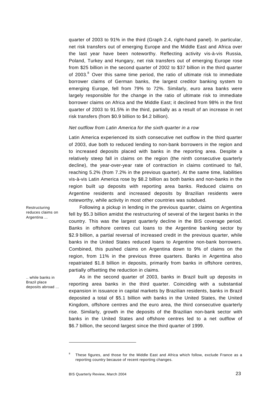quarter of 2003 to 91% in the third (Graph 2.4, right-hand panel). In particular, net risk transfers out of emerging Europe and the Middle East and Africa over the last year have been noteworthy. Reflecting activity vis-à-vis Russia, Poland, Turkey and Hungary, net risk transfers out of emerging Europe rose from \$25 billion in the second quarter of 2002 to \$37 billion in the third quarter of 2003. $8$  Over this same time period, the ratio of ultimate risk to immediate borrower claims of German banks, the largest creditor banking system to emerging Europe, fell from 79% to 72%. Similarly, euro area banks were largely responsible for the change in the ratio of ultimate risk to immediate borrower claims on Africa and the Middle East; it declined from 98% in the first quarter of 2003 to 91.5% in the third, partially as a result of an increase in net risk transfers (from \$0.9 billion to \$4.2 billion).

#### *Net outflow from Latin America for the sixth quarter in a row*

Latin America experienced its sixth consecutive net outflow in the third quarter of 2003, due both to reduced lending to non-bank borrowers in the region and to increased deposits placed with banks in the reporting area. Despite a relatively steep fall in claims on the region (the ninth consecutive quarterly decline), the year-over-year rate of contraction in claims continued to fall, reaching 5.2% (from 7.2% in the previous quarter). At the same time, liabilities vis-à-vis Latin America rose by \$8.2 billion as both banks and non-banks in the region built up deposits with reporting area banks. Reduced claims on Argentine residents and increased deposits by Brazilian residents were noteworthy, while activity in most other countries was subdued.

Restructuring reduces claims on Argentina ...

.. while banks in Brazil place deposits abroad ...

Following a pickup in lending in the previous quarter, claims on Argentina fell by \$5.3 billion amidst the restructuring of several of the largest banks in the country. This was the largest quarterly decline in the BIS coverage period. Banks in offshore centres cut loans to the Argentine banking sector by \$2.9 billion, a partial reversal of increased credit in the previous quarter, while banks in the United States reduced loans to Argentine non-bank borrowers. Combined, this pushed claims on Argentina down to 9% of claims on the region, from 11% in the previous three quarters. Banks in Argentina also repatriated \$1.8 billion in deposits, primarily from banks in offshore centres, partially offsetting the reduction in claims.

As in the second quarter of 2003, banks in Brazil built up deposits in reporting area banks in the third quarter. Coinciding with a substantial expansion in issuance in capital markets by Brazilian residents, banks in Brazil deposited a total of \$5.1 billion with banks in the United States, the United Kingdom, offshore centres and the euro area, the third consecutive quarterly rise. Similarly, growth in the deposits of the Brazilian non-bank sector with banks in the United States and offshore centres led to a net outflow of \$6.7 billion, the second largest since the third quarter of 1999.

 $\overline{a}$ 

<sup>8</sup> These figures, and those for the Middle East and Africa which follow, exclude France as a reporting country because of recent reporting changes.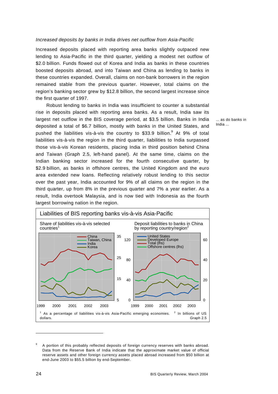#### *Increased deposits by banks in India drives net outflow from Asia-Pacific*

Increased deposits placed with reporting area banks slightly outpaced new lending to Asia-Pacific in the third quarter, yielding a modest net outflow of \$2.0 billion. Funds flowed out of Korea and India as banks in these countries boosted deposits abroad, and into Taiwan and China as lending to banks in these countries expanded. Overall, claims on non-bank borrowers in the region remained stable from the previous quarter. However, total claims on the region's banking sector grew by \$12.8 billion, the second largest increase since the first quarter of 1997.

Robust lending to banks in India was insufficient to counter a substantial rise in deposits placed with reporting area banks. As a result, India saw its largest net outflow in the BIS coverage period, at \$3.5 billion. Banks in India deposited a total of \$6.7 billion, mostly with banks in the United States, and pushed the liabilities vis-à-vis the country to \$33.9 billion. $9$  At 9% of total liabilities vis-à-vis the region in the third quarter, liabilities to India surpassed those vis-à-vis Korean residents, placing India in third position behind China and Taiwan (Graph 2.5, left-hand panel). At the same time, claims on the Indian banking sector increased for the fourth consecutive quarter, by \$2.9 billion, as banks in offshore centres, the United Kingdom and the euro area extended new loans. Reflecting relatively robust lending to this sector over the past year, India accounted for 9% of all claims on the region in the third quarter, up from 8% in the previous quarter and 7% a year earlier. As a result, India overtook Malaysia, and is now tied with Indonesia as the fourth largest borrowing nation in the region.



<sup>9</sup> A portion of this probably reflected deposits of foreign currency reserves with banks abroad. Data from the Reserve Bank of India indicate that the approximate market value of official reserve assets and other foreign currency assets placed abroad increased from \$50 billion at end-June 2003 to \$55.5 billion by end-September.

... as do banks in India ...

 $\overline{a}$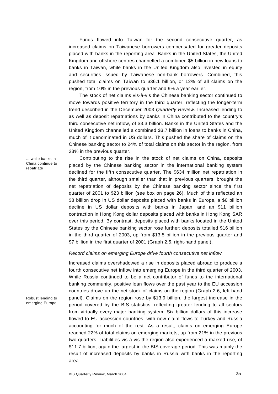Funds flowed into Taiwan for the second consecutive quarter, as increased claims on Taiwanese borrowers compensated for greater deposits placed with banks in the reporting area. Banks in the United States, the United Kingdom and offshore centres channelled a combined \$5 billion in new loans to banks in Taiwan, while banks in the United Kingdom also invested in equity and securities issued by Taiwanese non-bank borrowers. Combined, this pushed total claims on Taiwan to \$36.1 billion, or 12% of all claims on the region, from 10% in the previous quarter and 9% a year earlier.

The stock of net claims vis-à-vis the Chinese banking sector continued to move towards positive territory in the third quarter, reflecting the longer-term trend described in the December 2003 *Quarterly Review*. Increased lending to as well as deposit repatriations by banks in China contributed to the country's third consecutive net inflow, of \$3.3 billion. Banks in the United States and the United Kingdom channelled a combined \$3.7 billion in loans to banks in China, much of it denominated in US dollars. This pushed the share of claims on the Chinese banking sector to 24% of total claims on this sector in the region, from 23% in the previous quarter.

... while banks in China continue to repatriate

Robust lending to

emerging Europe ...

Contributing to the rise in the stock of net claims on China, deposits placed by the Chinese banking sector in the international banking system declined for the fifth consecutive quarter. The \$634 million net repatriation in the third quarter, although smaller than that in previous quarters, brought the net repatriation of deposits by the Chinese banking sector since the first quarter of 2001 to \$23 billion (see box on page 26). Much of this reflected an \$8 billion drop in US dollar deposits placed with banks in Europe, a \$6 billion decline in US dollar deposits with banks in Japan, and an \$11 billion contraction in Hong Kong dollar deposits placed with banks in Hong Kong SAR over this period. By contrast, deposits placed with banks located in the United States by the Chinese banking sector rose further; deposits totalled \$16 billion in the third quarter of 2003, up from \$13.5 billion in the previous quarter and \$7 billion in the first quarter of 2001 (Graph 2.5, right-hand panel).

#### *Record claims on emerging Europe drive fourth consecutive net inflow*

Increased claims overshadowed a rise in deposits placed abroad to produce a fourth consecutive net inflow into emerging Europe in the third quarter of 2003. While Russia continued to be a net contributor of funds to the international banking community, positive loan flows over the past year to the EU accession countries drove up the net stock of claims on the region (Graph 2.6, left-hand panel). Claims on the region rose by \$13.9 billion, the largest increase in the period covered by the BIS statistics, reflecting greater lending to all sectors from virtually every major banking system. Six billion dollars of this increase flowed to EU accession countries, with new claim flows to Turkey and Russia accounting for much of the rest. As a result, claims on emerging Europe reached 22% of total claims on emerging markets, up from 21% in the previous two quarters. Liabilities vis-à-vis the region also experienced a marked rise, of \$11.7 billion, again the largest in the BIS coverage period. This was mainly the result of increased deposits by banks in Russia with banks in the reporting area.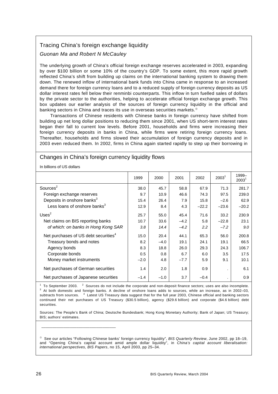#### Tracing China's foreign exchange liquidity

#### *Guonan Ma and Robert N McCauley*

The underlying growth of China's official foreign exchange reserves accelerated in 2003, expanding by over \$100 billion or some 10% of the country's GDP. To some extent, this more rapid growth reflected China's shift from building up claims on the international banking system to drawing them down. The renewed inflow of international bank funds into China came in response to an increased demand there for foreign currency loans and to a reduced supply of foreign currency deposits as US dollar interest rates fell below their renminbi counterparts. This inflow in turn fuelled sales of dollars by the private sector to the authorities, helping to accelerate official foreign exchange growth. This box updates our earlier analysis of the sources of foreign currency liquidity in the official and banking sectors in China and traces its use in overseas securities markets.<sup>®</sup>

Transactions of Chinese residents with Chinese banks in foreign currency have shifted from building up net long dollar positions to reducing them since 2001, when US short-term interest rates began their fall to current low levels. Before 2001, households and firms were increasing their foreign currency deposits in banks in China, while firms were retiring foreign currency loans. Thereafter, households and firms slowed their accumulation of foreign currency deposits and in 2003 even reduced them. In 2002, firms in China again started rapidly to step up their borrowing in

#### Changes in China's foreign currency liquidity flows

In billions of US dollars

|                                                  | 1999   | 2000   | 2001   | 2002    | 2003 <sup>1</sup> | 1999-<br>$2003^1$ |
|--------------------------------------------------|--------|--------|--------|---------|-------------------|-------------------|
| Sources <sup>2</sup>                             | 38.0   | 45.7   | 58.8   | 67.9    | 71.3              | 281.7             |
| Foreign exchange reserves                        | 9.7    | 10.9   | 46.6   | 74.3    | 97.5              | 239.0             |
| Deposits in onshore banks <sup>3</sup>           | 15.4   | 26.4   | 7.9    | 15.8    | $-2.6$            | 62.9              |
| Less loans of onshore banks <sup>3</sup>         | 12.9   | 8.4    | 4.3    | $-22.2$ | $-23.6$           | $-20.2$           |
| $Uses^2$                                         | 25.7   | 55.0   | 45.4   | 71.6    | 33.2              | 230.9             |
| Net claims on BIS reporting banks                | 10.7   | 33.6   | $-4.2$ | 5.8     | $-22.8$           | 23.1              |
| of which: on banks in Hong Kong SAR              | 3.8    | 14.4   | $-4.2$ | 2.2     | $-7.2$            | 9.0               |
| Net purchases of US debt securities <sup>4</sup> | 15.0   | 20.4   | 44.1   | 65.3    | 56.0              | 200.8             |
| Treasury bonds and notes                         | 8.2    | $-4.0$ | 19.1   | 24.1    | 19.1              | 66.5              |
| Agency bonds                                     | 8.3    | 18.8   | 26.0   | 29.3    | 24.3              | 106.7             |
| Corporate bonds                                  | 0.5    | 0.8    | 6.7    | 6.0     | 3.5               | 17.5              |
| Money market instruments                         | $-2.0$ | 4.8    | $-7.7$ | 5.9     | 9.1               | 10.1              |
| Net purchases of German securities               | 1.4    | 2.0    | 1.8    | 0.9     |                   | 6.1               |
| Net purchases of Japanese securities             | $-1.4$ | $-1.0$ | 3.7    | $-0.4$  |                   | 0.9               |

<sup>1</sup> To September 2003. <sup>2</sup> Sources do not include the corporate and non-deposit finance sectors; uses are also incomplete.<br><sup>3</sup> At both demostic and fascism banks. A decline of exphase loans adds to sources, while an incre <sup>3</sup> At both domestic and foreign banks. A decline of onshore loans adds to sources, while an increase, as in 2002–03, subtracts from sources. <sup>4</sup> Latest US Treasury data suggest that for the full year 2003, Chinese official and banking sectors continued their net purchases of US Treasury (\$30.5 billion), agency (\$29.6 billion) and corporate (\$4.6 billion) debt securities.

Sources: The People's Bank of China; Deutsche Bundesbank; Hong Kong Monetary Authority; Bank of Japan; US Treasury; BIS; authors' estimates.

<sup>®</sup> See our articles "Following Chinese banks' foreign currency liquidity", *BIS Quarterly Review*, June 2002, pp 18-19, and "Opening China's capital account amid ample dollar liquidity", in *China's capital account liberalisation: international perspectives, BIS Papers*, no 15, April 2003, pp 25–34.

\_\_\_\_\_\_\_\_\_\_\_\_\_\_\_\_\_\_\_\_\_\_\_\_\_\_\_\_\_\_\_\_\_\_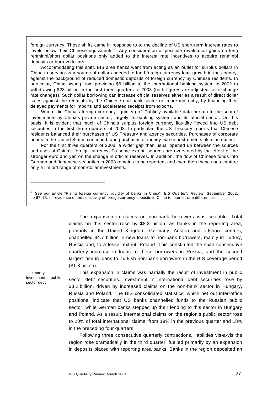foreign currency. These shifts came in response to to the decline of US short-term interest rates to levels below their Chinese equivalents.<sup>®</sup> Any consideration of possible revaluation gains on long renminbi/short dollar positions only added to the interest rate incentives to acquire renminbi deposits or borrow dollars.

Accommodating this shift, BIS area banks went from acting as an outlet for surplus dollars in China to serving as a source of dollars needed to fund foreign currency loan growth in the country, against the background of reduced domestic deposits of foreign currency by Chinese residents. In particular, China swung from providing \$6 billion to the international banking system in 2002 to withdrawing \$23 billion in the first three quarters of 2003 (both figures are adjusted for exchange rate changes). Such dollar borrowing can increase official reserves either as a result of direct dollar sales against the renminbi by the Chinese non-bank sector or, more indirectly, by financing their delayed payments for imports and accelerated receipts from exports.

Where did China's foreign currency liquidity go? Publicly available data pertain to the sum of investments by China's private sector, largely its banking system, and its official sector. On this basis, it is evident that much of China's surplus foreign currency liquidity flowed into US debt securities in the first three quarters of 2003. In particular, the US Treasury reports that Chinese residents balanced their purchases of US Treasury and agency securities. Purchases of corporate bonds in the United States continued, and purchases of money market instruments also increased.

For the first three quarters of 2003, a wider gap than usual opened up between the sources and uses of China's foreign currency. To some extent, sources are overstated by the effect of the stronger euro and yen on the change in official reserves. In addition, the flow of Chinese funds into German and Japanese securities in 2003 remains to be reported, and even then these uses capture only a limited range of non-dollar investments.

<sup>®</sup> See our article "Rising foreign currency liquidity of banks in China", *BIS Quarterly Review*, September 2002, pp 67–73, for evidence of the sensitivity of foreign currency deposits in China to interest rate differentials.

> The expansion in claims on non-bank borrowers was sizeable. Total claims on this sector rose by \$8.3 billion, as banks in the reporting area, primarily in the United Kingdom, Germany, Austria and offshore centres, channelled \$4.7 billion in new loans to non-bank borrowers, mainly in Turkey, Russia and, to a lesser extent, Poland. This constituted the sixth consecutive quarterly increase in loans to these borrowers in Russia, and the second largest rise in loans to Turkish non-bank borrowers in the BIS coverage period (\$1.8 billion).

... is partly investment in public sector debt

\_\_\_\_\_\_\_\_\_\_\_\_\_\_\_\_\_\_\_\_\_\_\_\_\_\_\_\_\_\_\_\_\_\_

This expansion in claims was partially the result of investment in public sector debt securities. Investment in international debt securities rose by \$3.2 billion, driven by increased claims on the non-bank sector in Hungary, Russia and Poland. The BIS consolidated statistics, which net out inter-office positions, indicate that US banks channelled funds to the Russian public sector, while German banks stepped up their lending to this sector in Hungary and Poland. As a result, international claims on the region's public sector rose to 20% of total international claims, from 19% in the previous quarter and 18% in the preceding four quarters.

Following three consecutive quarterly contractions, liabilities vis-à-vis the region rose dramatically in the third quarter, fuelled primarily by an expansion in deposits placed with reporting area banks. Banks in the region deposited an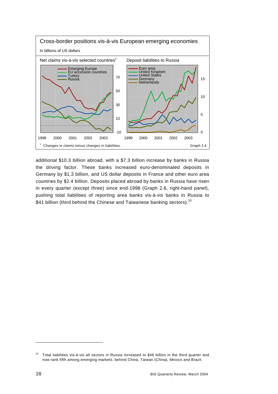

additional \$10.3 billion abroad, with a \$7.3 billion increase by banks in Russia the driving factor. These banks increased euro-denominated deposits in Germany by \$1.3 billion, and US dollar deposits in France and other euro area countries by \$2.4 billion. Deposits placed abroad by banks in Russia have risen in every quarter (except three) since end-1998 (Graph 2.6, right-hand panel), pushing total liabilities of reporting area banks vis-à-vis banks in Russia to \$41 billion (third behind the Chinese and Taiwanese banking sectors).<sup>10</sup>

 $\overline{a}$ 

<sup>&</sup>lt;sup>10</sup> Total liabilities vis-à-vis all sectors in Russia increased to \$48 billion in the third quarter and now rank fifth among emerging markets, behind China, Taiwan (China), Mexico and Brazil.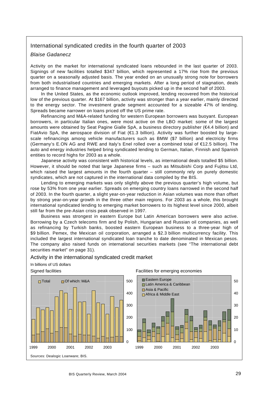#### International syndicated credits in the fourth quarter of 2003

#### *Blaise Gadanecz*

Activity on the market for international syndicated loans rebounded in the last quarter of 2003. Signings of new facilities totalled \$347 billion, which represented a 17% rise from the previous quarter on a seasonally adjusted basis. The year ended on an unusually strong note for borrowers from both industrialised countries and emerging markets. After a long period of stagnation, deals arranged to finance management and leveraged buyouts picked up in the second half of 2003.

In the United States, as the economic outlook improved, lending recovered from the historical low of the previous quarter. At \$167 billion, activity was stronger than a year earlier, mainly directed to the energy sector. The investment grade segment accounted for a sizeable 47% of lending. Spreads became narrower on loans priced off the US prime rate.

Refinancing and M&A-related funding for western European borrowers was buoyant. European borrowers, in particular Italian ones, were most active on the LBO market: some of the largest amounts were obtained by Seat Pagine Gialle SpA, a business directory publisher (€4.4 billion) and FiatAvio SpA, the aerospace division of Fiat (€1.3 billion). Activity was further boosted by largescale refinancings among vehicle manufacturers such as BMW (\$7 billion) and electricity firms (Germany's E.ON AG and RWE and Italy's Enel rolled over a combined total of €12.5 billion). The auto and energy industries helped bring syndicated lending to German, Italian, Finnish and Spanish entities to record highs for 2003 as a whole.

Japanese activity was consistent with historical levels, as international deals totalled \$5 billion. However, it should be noted that large Japanese firms – such as Mitsubishi Corp and Fujitsu Ltd, which raised the largest amounts in the fourth quarter – still commonly rely on purely domestic syndicates, which are not captured in the international data compiled by the BIS.

Lending to emerging markets was only slightly above the previous quarter's high volume, but rose by 53% from one year earlier. Spreads on emerging country loans narrowed in the second half of 2003. In the fourth quarter, a slight year-on-year reduction in Asian volumes was more than offset by strong year-on-year growth in the three other main regions. For 2003 as a whole, this brought international syndicated lending to emerging market borrowers to its highest level since 2000, albeit still far from the pre-Asian crisis peak observed in 1997.

Business was strongest in eastern Europe but Latin American borrowers were also active. Borrowing by a Czech telecoms firm and by Polish, Hungarian and Russian oil companies, as well as refinancing by Turkish banks, boosted eastern European business to a three-year high of \$9 billion. Pemex, the Mexican oil corporation, arranged a \$2.3 billion multicurrency facility. This included the largest international syndicated loan tranche to date denominated in Mexican pesos. The company also raised funds on international securities markets (see "The international debt securities market" on page 31).

#### Activity in the international syndicated credit market





Signed facilities **Facilities** Facilities for emerging economies

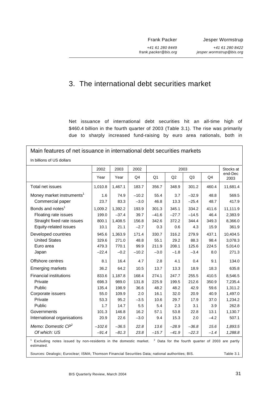Frank Packer

*+41 61 280 8449 frank.packer@bis.org* Jesper Wormstrup

*+41 61 280 8422 jesper.wormstrup@bis.org*

# 3. The international debt securities market

Net issuance of international debt securities hit an all-time high of \$460.4 billion in the fourth quarter of 2003 (Table 3.1). The rise was primarily due to sharply increased fund-raising by euro area nationals, both in

| Main features of net issuance in international debt securities markets                                         |                                    |                                       |                                  |                                  |                                  |                                  |                                |                                                             |  |
|----------------------------------------------------------------------------------------------------------------|------------------------------------|---------------------------------------|----------------------------------|----------------------------------|----------------------------------|----------------------------------|--------------------------------|-------------------------------------------------------------|--|
| In billions of US dollars                                                                                      |                                    |                                       |                                  |                                  |                                  |                                  |                                |                                                             |  |
|                                                                                                                | 2002                               | 2003                                  | 2002                             |                                  | 2003                             |                                  |                                | Stocks at                                                   |  |
|                                                                                                                | Year                               | Year                                  | Q4                               | Q <sub>1</sub>                   | Q2                               | Q <sub>3</sub>                   | Q4                             | end-Dec<br>2003                                             |  |
| Total net issues                                                                                               | 1,010.8                            | 1,467.1                               | 183.7                            | 356.7                            | 348.9                            | 301.2                            | 460.4                          | 11,681.4                                                    |  |
| Money market instruments <sup>1</sup><br>Commercial paper                                                      | 1.6<br>23.7                        | 74.9<br>83.3                          | $-10.2$<br>$-3.0$                | 55.4<br>46.8                     | 3.7<br>13.3                      | $-32.9$<br>$-25.4$               | 48.8<br>48.7                   | 569.5<br>417.9                                              |  |
| Bonds and notes <sup>1</sup><br>Floating rate issues<br>Straight fixed rate issues<br>Equity-related issues    | 1,009.2<br>199.0<br>800.1<br>10.1  | 1,392.2<br>$-37.4$<br>1,408.5<br>21.1 | 193.9<br>39.7<br>156.8<br>$-2.7$ | 301.3<br>$-41.6$<br>342.6<br>0.3 | 345.1<br>$-27.7$<br>372.2<br>0.6 | 334.2<br>$-14.5$<br>344.4<br>4.3 | 411.6<br>46.4<br>349.3<br>15.9 | 11,111.9<br>2,383.9<br>8,366.0<br>361.9                     |  |
| Developed countries<br><b>United States</b><br>Euro area<br>Japan                                              | 945.6<br>329.6<br>479.3<br>$-22.4$ | 1,363.9<br>271.0<br>770.1<br>$-0.2$   | 171.4<br>48.8<br>99.9<br>$-10.2$ | 330.7<br>55.1<br>211.9<br>$-3.0$ | 316.2<br>29.2<br>208.1<br>$-1.8$ | 279.9<br>88.3<br>125.6<br>$-3.4$ | 437.1<br>98.4<br>224.5<br>8.0  | 10,404.5<br>3,078.3<br>5,014.0<br>271.3                     |  |
| Offshore centres                                                                                               | 8.1                                | 16.4                                  | 4.7                              | 2.8                              | 4.1                              | 0.4                              | 9.1                            | 134.0                                                       |  |
| <b>Emerging markets</b>                                                                                        | 36.2                               | 64.2                                  | 10.5                             | 13.7                             | 13.3                             | 18.9                             | 18.3                           | 635.8                                                       |  |
| <b>Financial institutions</b><br>Private<br>Public                                                             | 833.6<br>698.3<br>135.4            | 1,187.8<br>989.0<br>198.9             | 168.4<br>131.8<br>36.6           | 274.1<br>225.9<br>48.2           | 247.7<br>199.5<br>48.2           | 255.5<br>212.6<br>42.9           | 410.5<br>350.9<br>59.6         | 8,546.5<br>7,235.4<br>1,311.2                               |  |
| Corporate issuers<br>Private                                                                                   | 55.0<br>53.3                       | 109.9<br>95.2                         | 2.0<br>$-3.5$                    | 16.1<br>10.6                     | 32.0<br>29.7                     | 20.9<br>17.9                     | 40.9<br>37.0                   | 1,497.0<br>1,234.2                                          |  |
| Public<br>Governments                                                                                          | 1.7<br>101.3                       | 14.7<br>146.8                         | 5.5<br>16.2                      | 5.4<br>57.1                      | 2.3<br>53.8                      | 3.1<br>22.8                      | 3.9<br>13.1                    | 262.8<br>1,130.7                                            |  |
| International organisations<br>Memo: Domestic $\mathbb{CP}^2$<br>Of which: US                                  | 20.9<br>$-102.6$<br>$-91.4$        | 22.6<br>$-36.5$<br>$-81.3$            | $-3.0$<br>22.8<br>23.8           | 9.4<br>13.6<br>$-15.7$           | 15.3<br>$-28.9$<br>$-41.9$       | 2.0<br>$-36.8$<br>$-22.3$        | $-4.2$<br>15.6<br>$-1.4$       | 507.1<br>1,893.5<br>1,288.8                                 |  |
| <sup>1</sup> Excluding notes issued by non-residents in the domestic market.<br>estimated.                     |                                    |                                       |                                  |                                  |                                  |                                  |                                | <sup>2</sup> Data for the fourth quarter of 2003 are partly |  |
| Sources: Dealogic; Euroclear; ISMA; Thomson Financial Securities Data; national authorities; BIS.<br>Table 3.1 |                                    |                                       |                                  |                                  |                                  |                                  |                                |                                                             |  |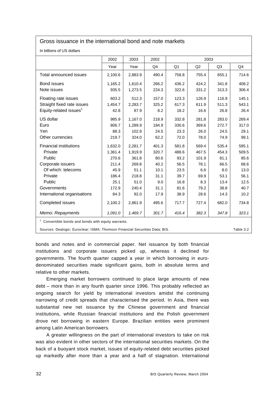#### Gross issuance in the international bond and note markets

In billions of US dollars

|                                                                                     | 2002    | 2003    | 2002           |       |       |       |           |  |
|-------------------------------------------------------------------------------------|---------|---------|----------------|-------|-------|-------|-----------|--|
|                                                                                     | Year    | Year    | Q <sub>4</sub> | Q1    | Q2    | Q3    | Q4        |  |
| Total announced issues                                                              | 2,100.6 | 2,883.9 | 490.4          | 758.8 | 755.4 | 655.1 | 714.6     |  |
| <b>Bond issues</b>                                                                  | 1,165.2 | 1,610.4 | 266.2          | 436.2 | 424.2 | 341.8 | 408.2     |  |
| Note issues                                                                         | 935.5   | 1,273.5 | 224.3          | 322.6 | 331.2 | 313.3 | 306.4     |  |
| Floating rate issues                                                                | 603.2   | 512.3   | 157.0          | 123.3 | 126.9 | 116.9 | 145.1     |  |
| Straight fixed rate issues                                                          | 1,454.7 | 2,283.7 | 325.2          | 617.3 | 611.9 | 511.3 | 543.1     |  |
| Equity-related issues <sup>1</sup>                                                  | 42.8    | 87.9    | 8.2            | 18.2  | 16.6  | 26.8  | 26.4      |  |
| US dollar                                                                           | 985.9   | 1,167.0 | 218.9          | 332.8 | 281.8 | 283.0 | 269.4     |  |
| Euro                                                                                | 806.7   | 1,289.9 | 184.9          | 330.6 | 369.6 | 272.7 | 317.0     |  |
| Yen                                                                                 | 88.3    | 102.9   | 24.5           | 23.3  | 26.0  | 24.5  | 29.1      |  |
| Other currencies                                                                    | 219.7   | 324.0   | 62.2           | 72.0  | 78.0  | 74.9  | 99.1      |  |
| <b>Financial institutions</b>                                                       | 1,632.0 | 2,281.7 | 401.3          | 581.8 | 569.4 | 535.4 | 595.1     |  |
| Private                                                                             | 1,361.4 | 1,919.9 | 320.7          | 488.6 | 467.5 | 454.3 | 509.5     |  |
| Public                                                                              | 270.6   | 361.8   | 80.6           | 93.2  | 101.9 | 81.1  | 85.6      |  |
| Corporate issuers                                                                   | 211.4   | 269.8   | 40.2           | 56.5  | 78.1  | 66.5  | 68.6      |  |
| Of which: telecoms                                                                  | 45.9    | 51.1    | 10.1           | 23.5  | 6.6   | 8.0   | 13.0      |  |
| Private                                                                             | 186.4   | 218.8   | 31.1           | 39.7  | 69.9  | 53.1  | 56.1      |  |
| Public                                                                              | 25.1    | 51.0    | 9.0            | 16.8  | 8.3   | 13.4  | 12.5      |  |
| Governments                                                                         | 172.9   | 240.4   | 31.1           | 81.6  | 79.2  | 38.8  | 40.7      |  |
| International organisations                                                         | 84.3    | 92.0    | 17.9           | 38.9  | 28.6  | 14.3  | 10.2      |  |
| Completed issues                                                                    | 2,100.2 | 2,861.9 | 495.6          | 717.7 | 727.4 | 682.0 | 734.8     |  |
| Memo: Repayments<br>1,091.0<br>301.7<br>416.4<br>323.1<br>1,469.7<br>382.3<br>347.8 |         |         |                |       |       |       |           |  |
| $1$ Convertible bonds and bonds with equity warrants.                               |         |         |                |       |       |       |           |  |
| Sources: Dealogic; Euroclear; ISMA; Thomson Financial Securities Data; BIS.         |         |         |                |       |       |       | Table 3.2 |  |

bonds and notes and in commercial paper. Net issuance by both financial institutions and corporate issuers picked up, whereas it declined for governments. The fourth quarter capped a year in which borrowing in eurodenominated securities made significant gains, both in absolute terms and relative to other markets.

Emerging market borrowers continued to place large amounts of new debt – more than in any fourth quarter since 1996. This probably reflected an ongoing search for yield by international investors amidst the continuing narrowing of credit spreads that characterised the period. In Asia, there was substantial new net issuance by the Chinese government and financial institutions, while Russian financial institutions and the Polish government drove net borrowing in eastern Europe. Brazilian entities were prominent among Latin American borrowers.

A greater willingness on the part of international investors to take on risk was also evident in other sectors of the international securities markets. On the back of a buoyant stock market, issues of equity-related debt securities picked up markedly after more than a year and a half of stagnation. International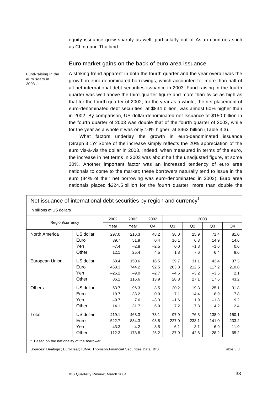equity issuance grew sharply as well, particularly out of Asian countries such as China and Thailand.

#### Euro market gains on the back of euro area issuance

Fund-raising in the euro soars in 2003 ...

A striking trend apparent in both the fourth quarter and the year overall was the growth in euro-denominated borrowings, which accounted for more than half of all net international debt securities issuance in 2003. Fund-raising in the fourth quarter was well above the third quarter figure and more than twice as high as that for the fourth quarter of 2002; for the year as a whole, the net placement of euro-denominated debt securities, at \$834 billion, was almost 60% higher than in 2002. By comparison, US dollar-denominated net issuance of \$150 billion in the fourth quarter of 2003 was double that of the fourth quarter of 2002, while for the year as a whole it was only 10% higher, at \$463 billion (Table 3.3).

What factors underlay the growth in euro-denominated issuance (Graph 3.1)? Some of the increase simply reflects the 20% appreciation of the euro vis-à-vis the dollar in 2003. Indeed, when measured in terms of the euro, the increase in net terms in 2003 was about half the unadjusted figure, at some 30%. Another important factor was an increased tendency of euro area nationals to come to the market; these borrowers naturally tend to issue in the euro (84% of their net borrowing was euro-denominated in 2003). Euro area nationals placed \$224.5 billion for the fourth quarter, more than double the

| Net issuance of international debt securities by region and currency <sup>1</sup>        |           |         |        |        |                                        |        |        |       |
|------------------------------------------------------------------------------------------|-----------|---------|--------|--------|----------------------------------------|--------|--------|-------|
| In billions of US dollars                                                                |           |         |        |        |                                        |        |        |       |
| Region/currency                                                                          |           | 2002    | 2003   | 2002   | 2003                                   |        |        |       |
|                                                                                          |           | Year    | Year   | Q4     | Q <sub>1</sub><br>Q2<br>Q <sub>3</sub> |        |        | Q4    |
| North America                                                                            | US dollar | 297.0   | 216.3  | 48.2   | 38.0                                   | 25.9   | 71.4   | 81.0  |
|                                                                                          | Euro      | 39.7    | 51.9   | 0.4    | 16.1                                   | 6.3    | 14.9   | 14.6  |
|                                                                                          | Yen       | $-7.4$  | $-2.8$ | $-2.5$ | 0.0                                    | $-1.8$ | $-1.6$ | 0.6   |
|                                                                                          | Other     | 12.1    | 25.4   | 4.5    | 1.8                                    | 7.6    | 6.4    | 9.6   |
| European Union                                                                           | US dollar | 68.4    | 150.6  | 16.5   | 39.7                                   | 31.1   | 42.4   | 37.3  |
|                                                                                          | Euro      | 463.3   | 744.2  | 92.5   | 203.8                                  | 212.5  | 117.2  | 210.8 |
|                                                                                          | Yen       | $-26.2$ | $-9.0$ | $-2.7$ | $-4.5$                                 | $-3.2$ | $-3.5$ | 2.1   |
|                                                                                          | Other     | 86.1    | 116.6  | 13.9   | 28.8                                   | 27.1   | 17.6   | 43.2  |
| Others                                                                                   | US dollar | 53.7    | 96.3   | 8.5    | 20.2                                   | 19.3   | 25.1   | 31.8  |
|                                                                                          | Euro      | 19.7    | 38.2   | 0.9    | 7.1                                    | 14.4   | 8.9    | 7.8   |
|                                                                                          | Yen       | $-9.7$  | 7.6    | $-3.3$ | $-1.6$                                 | 1.9    | $-1.8$ | 9.2   |
|                                                                                          | Other     | 14.1    | 31.7   | 6.9    | 7.2                                    | 7.8    | 4.2    | 12.4  |
| Total                                                                                    | US dollar | 419.1   | 463.3  | 73.1   | 97.9                                   | 76.3   | 138.9  | 150.1 |
|                                                                                          | Euro      | 522.7   | 834.3  | 93.8   | 227.0                                  | 233.1  | 141.0  | 233.2 |
|                                                                                          | Yen       | $-43.3$ | $-4.2$ | $-8.5$ | $-6.1$                                 | $-3.1$ | $-6.9$ | 11.9  |
|                                                                                          | Other     | 112.3   | 173.8  | 25.2   | 37.9                                   | 42.6   | 28.2   | 65.2  |
| <sup>1</sup> Based on the nationality of the borrower.                                   |           |         |        |        |                                        |        |        |       |
| Sources: Dealogic; Euroclear; ISMA; Thomson Financial Securities Data; BIS.<br>Table 3.3 |           |         |        |        |                                        |        |        |       |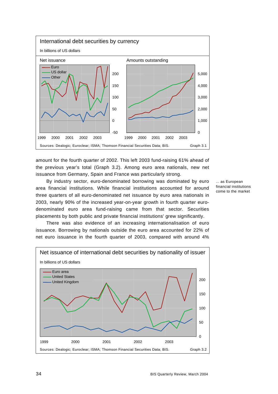

amount for the fourth quarter of 2002. This left 2003 fund-raising 61% ahead of the previous year's total (Graph 3.2). Among euro area nationals, new net issuance from Germany, Spain and France was particularly strong.

By industry sector, euro-denominated borrowing was dominated by euro area financial institutions. While financial institutions accounted for around three quarters of all euro-denominated net issuance by euro area nationals in 2003, nearly 90% of the increased year-on-year growth in fourth quarter eurodenominated euro area fund-raising came from that sector. Securities placements by both public and private financial institutions' grew significantly.

There was also evidence of an increasing internationalisation of euro issuance. Borrowing by nationals outside the euro area accounted for 22% of

net euro issuance in the fourth quarter of 2003, compared with around 4%



... as European financial institutions come to the market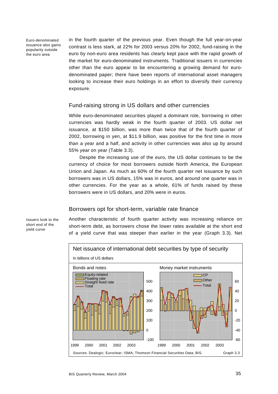Euro-denominated issuance also gains popularity outside the euro area

in the fourth quarter of the previous year. Even though the full year-on-year contrast is less stark, at 22% for 2003 versus 20% for 2002, fund-raising in the euro by non-euro area residents has clearly kept pace with the rapid growth of the market for euro-denominated instruments. Traditional issuers in currencies other than the euro appear to be encountering a growing demand for eurodenominated paper; there have been reports of international asset managers looking to increase their euro holdings in an effort to diversify their currency exposure.

## Fund-raising strong in US dollars and other currencies

While euro-denominated securities played a dominant role, borrowing in other currencies was hardly weak in the fourth quarter of 2003. US dollar net issuance, at \$150 billion, was more than twice that of the fourth quarter of 2002, borrowing in yen, at \$11.9 billion, was positive for the first time in more than a year and a half, and activity in other currencies was also up by around 55% year on year (Table 3.3).

Despite the increasing use of the euro, the US dollar continues to be the currency of choice for most borrowers outside North America, the European Union and Japan. As much as 60% of the fourth quarter net issuance by such borrowers was in US dollars, 15% was in euros, and around one quarter was in other currencies. For the year as a whole, 61% of funds raised by these borrowers were in US dollars, and 20% were in euros.

## Borrowers opt for short-term, variable rate finance

Another characteristic of fourth quarter activity was increasing reliance on short-term debt, as borrowers chose the lower rates available at the short end of a yield curve that was steeper than earlier in the year (Graph 3.3). Net



Issuers look to the short end of the yield curve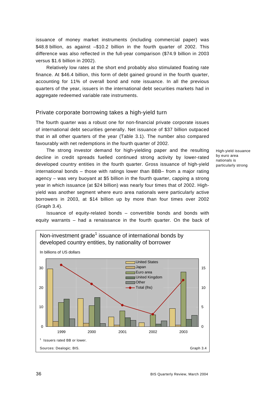issuance of money market instruments (including commercial paper) was \$48.8 billion, as against –\$10.2 billion in the fourth quarter of 2002. This difference was also reflected in the full-year comparison (\$74.9 billion in 2003 versus \$1.6 billion in 2002).

Relatively low rates at the short end probably also stimulated floating rate finance. At \$46.4 billion, this form of debt gained ground in the fourth quarter, accounting for 11% of overall bond and note issuance. In all the previous quarters of the year, issuers in the international debt securities markets had in aggregate redeemed variable rate instruments.

## Private corporate borrowing takes a high-yield turn

The fourth quarter was a robust one for non-financial private corporate issues of international debt securities generally. Net issuance of \$37 billion outpaced that in all other quarters of the year (Table 3.1). The number also compared favourably with net redemptions in the fourth quarter of 2002.

The strong investor demand for high-yielding paper and the resulting decline in credit spreads fuelled continued strong activity by lower-rated developed country entities in the fourth quarter. Gross issuance of high-yield international bonds – those with ratings lower than BBB– from a major rating agency – was very buoyant at \$5 billion in the fourth quarter, capping a strong year in which issuance (at \$24 billion) was nearly four times that of 2002. Highyield was another segment where euro area nationals were particularly active borrowers in 2003, at \$14 billion up by more than four times over 2002 (Graph 3.4).

Issuance of equity-related bonds – convertible bonds and bonds with equity warrants – had a renaissance in the fourth quarter. On the back of



High-yield issuance by euro area nationals is particularly strong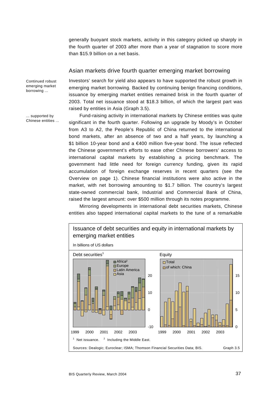generally buoyant stock markets, activity in this category picked up sharply in the fourth quarter of 2003 after more than a year of stagnation to score more than \$15.9 billion on a net basis.

## Asian markets drive fourth quarter emerging market borrowing

Continued robust emerging market borrowing ...

Investors' search for yield also appears to have supported the robust growth in emerging market borrowing. Backed by continuing benign financing conditions, issuance by emerging market entities remained brisk in the fourth quarter of 2003. Total net issuance stood at \$18.3 billion, of which the largest part was raised by entities in Asia (Graph 3.5).

Fund-raising activity in international markets by Chinese entities was quite significant in the fourth quarter. Following an upgrade by Moody's in October from A3 to A2, the People's Republic of China returned to the international bond markets, after an absence of two and a half years, by launching a \$1 billion 10-year bond and a €400 million five-year bond. The issue reflected the Chinese government's efforts to ease other Chinese borrowers' access to international capital markets by establishing a pricing benchmark. The government had little need for foreign currency funding, given its rapid accumulation of foreign exchange reserves in recent quarters (see the Overview on page 1). Chinese financial institutions were also active in the market, with net borrowing amounting to \$1.7 billion. The country's largest state-owned commercial bank, Industrial and Commercial Bank of China, raised the largest amount: over \$500 million through its notes programme.

Mirroring developments in international debt securities markets, Chinese entities also tapped international capital markets to the tune of a remarkable



... supported by Chinese entities ...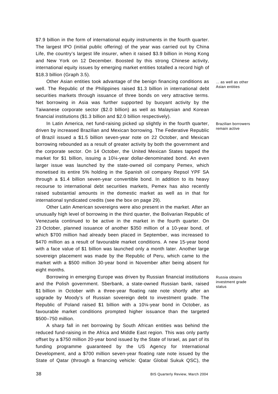\$7.9 billion in the form of international equity instruments in the fourth quarter. The largest IPO (initial public offering) of the year was carried out by China Life, the country's largest life insurer, when it raised \$3.9 billion in Hong Kong and New York on 12 December. Boosted by this strong Chinese activity, international equity issues by emerging market entities totalled a record high of \$18.3 billion (Graph 3.5).

Other Asian entities took advantage of the benign financing conditions as well. The Republic of the Philippines raised \$1.3 billion in international debt securities markets through issuance of three bonds on very attractive terms. Net borrowing in Asia was further supported by buoyant activity by the Taiwanese corporate sector (\$2.0 billion) as well as Malaysian and Korean financial institutions (\$1.3 billion and \$2.0 billion respectively).

In Latin America, net fund-raising picked up slightly in the fourth quarter, driven by increased Brazilian and Mexican borrowing. The Federative Republic of Brazil issued a \$1.5 billion seven-year note on 22 October, and Mexican borrowing rebounded as a result of greater activity by both the government and the corporate sector. On 14 October, the United Mexican States tapped the market for \$1 billion, issuing a 10¼-year dollar-denominated bond. An even larger issue was launched by the state-owned oil company Pemex, which monetised its entire 5% holding in the Spanish oil company Repsol YPF SA through a \$1.4 billion seven-year convertible bond. In addition to its heavy recourse to international debt securities markets, Pemex has also recently raised substantial amounts in the domestic market as well as in that for international syndicated credits (see the box on page 29).

Other Latin American sovereigns were also present in the market. After an unusually high level of borrowing in the third quarter, the Bolivarian Republic of Venezuela continued to be active in the market in the fourth quarter. On 23 October, planned issuance of another \$350 million of a 10-year bond, of which \$700 million had already been placed in September, was increased to \$470 million as a result of favourable market conditions. A new 15-year bond with a face value of \$1 billion was launched only a month later. Another large sovereign placement was made by the Republic of Peru, which came to the market with a \$500 million 30-year bond in November after being absent for eight months.

Borrowing in emerging Europe was driven by Russian financial institutions and the Polish government. Sberbank, a state-owned Russian bank, raised \$1 billion in October with a three-year floating rate note shortly after an upgrade by Moody's of Russian sovereign debt to investment grade. The Republic of Poland raised \$1 billion with a 10¼-year bond in October, as favourable market conditions prompted higher issuance than the targeted \$500–750 million.

A sharp fall in net borrowing by South African entities was behind the reduced fund-raising in the Africa and Middle East region. This was only partly offset by a \$750 million 20-year bond issued by the State of Israel, as part of its funding programme guaranteed by the US Agency for International Development, and a \$700 million seven-year floating rate note issued by the State of Qatar (through a financing vehicle: Qatar Global Sukuk QSC), the

... as well as other Asian entities

Brazilian borrowers remain active

Russia obtains investment grade status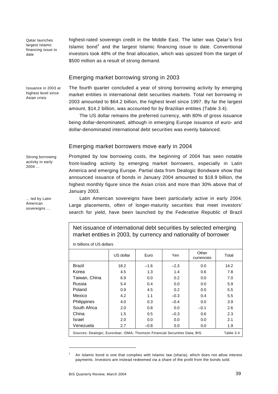Qatar launches largest Islamic financing issue to date

highest-rated sovereign credit in the Middle East. The latter was Qatar's first Islamic bond<sup>1</sup> and the largest Islamic financing issue to date. Conventional investors took 48% of the final allocation, which was upsized from the target of \$500 million as a result of strong demand.

## Emerging market borrowing strong in 2003

Issuance in 2003 at highest level since Asian crisis

The fourth quarter concluded a year of strong borrowing activity by emerging market entities in international debt securities markets. Total net borrowing in 2003 amounted to \$64.2 billion, the highest level since 1997. By far the largest amount, \$14.2 billion, was accounted for by Brazilian entities (Table 3.4).

The US dollar remains the preferred currency, with 80% of gross issuance being dollar-denominated, although in emerging Europe issuance of euro- and dollar-denominated international debt securities was evenly balanced.

## Emerging market borrowers move early in 2004

Strong borrowing activity in early 2004 ...

... led by Latin American sovereigns ...

Prompted by low borrowing costs, the beginning of 2004 has seen notable front-loading activity by emerging market borrowers, especially in Latin America and emerging Europe. Partial data from Dealogic Bondware show that announced issuance of bonds in January 2004 amounted to \$18.9 billion, the highest monthly figure since the Asian crisis and more than 30% above that of January 2003.

Latin American sovereigns have been particularly active in early 2004. Large placements, often of longer-maturity securities that meet investors' search for yield, have been launched by the Federative Republic of Brazil

Net issuance of international debt securities by selected emerging market entities in 2003, by currency and nationality of borrower

In billions of US dollars

|                                                                                          | US dollar | Euro   | Yen    | Other<br>currencies | Total |  |
|------------------------------------------------------------------------------------------|-----------|--------|--------|---------------------|-------|--|
| <b>Brazil</b>                                                                            | 18.2      | $-1.6$ | $-2.3$ | 0.0                 | 14.2  |  |
| Korea                                                                                    | 4.5       | 1.3    | 1.4    | 0.6                 | 7.8   |  |
| Taiwan, China                                                                            | 6.9       | 0.0    | 0.2    | 0.0                 | 7.0   |  |
| Russia                                                                                   | 5.4       | 0.4    | 0.0    | 0.0                 | 5.9   |  |
| Poland                                                                                   | 0.9       | 4.5    | 0.2    | 0.0                 | 5.5   |  |
| Mexico                                                                                   | 4.2       | 1.1    | $-0.3$ | 0.4                 | 5.5   |  |
| <b>Philippines</b>                                                                       | 4.0       | 0.3    | $-0.4$ | 0.0                 | 3.9   |  |
| South Africa                                                                             | 2.0       | 0.8    | 0.0    | $-0.1$              | 2.6   |  |
| China                                                                                    | 1.5       | 0.5    | $-0.3$ | 0.6                 | 2.3   |  |
| Israel                                                                                   | 2.0       | 0.0    | 0.0    | 0.0                 | 2.1   |  |
| Venezuela                                                                                | 2.7       | $-0.8$ | 0.0    | 0.0                 | 1.9   |  |
| Sources: Dealogic; Euroclear; ISMA; Thomson Financial Securities Data; BIS.<br>Table 3.4 |           |        |        |                     |       |  |

<sup>1</sup> An Islamic bond is one that complies with Islamic law (sharia), which does not allow interest payments. Investors are instead redeemed via a share of the profit from the bonds sold.

l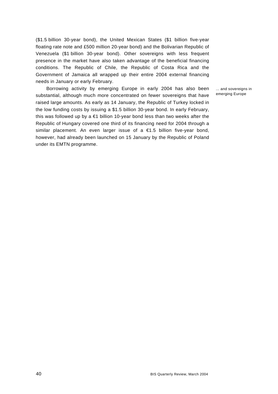(\$1.5 billion 30-year bond), the United Mexican States (\$1 billion five-year floating rate note and £500 million 20-year bond) and the Bolivarian Republic of Venezuela (\$1 billion 30-year bond). Other sovereigns with less frequent presence in the market have also taken advantage of the beneficial financing conditions. The Republic of Chile, the Republic of Costa Rica and the Government of Jamaica all wrapped up their entire 2004 external financing needs in January or early February.

Borrowing activity by emerging Europe in early 2004 has also been substantial, although much more concentrated on fewer sovereigns that have raised large amounts. As early as 14 January, the Republic of Turkey locked in the low funding costs by issuing a \$1.5 billion 30-year bond. In early February, this was followed up by a €1 billion 10-year bond less than two weeks after the Republic of Hungary covered one third of its financing need for 2004 through a similar placement. An even larger issue of a €1.5 billion five-year bond, however, had already been launched on 15 January by the Republic of Poland under its EMTN programme.

... and sovereigns in emerging Europe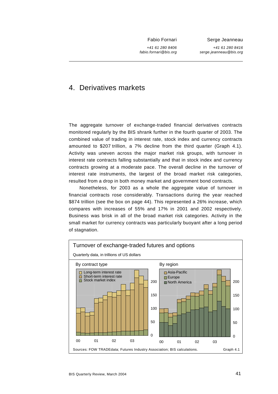Fabio Fornari

Serge Jeanneau

*+41 61 280 8406 fabio.fornari@bis.org*

*+41 61 280 8416 serge.jeanneau@bis.org*

## 4. Derivatives markets

The aggregate turnover of exchange-traded financial derivatives contracts monitored regularly by the BIS shrank further in the fourth quarter of 2003. The combined value of trading in interest rate, stock index and currency contracts amounted to \$207 trillion, a 7% decline from the third quarter (Graph 4.1). Activity was uneven across the major market risk groups, with turnover in interest rate contracts falling substantially and that in stock index and currency contracts growing at a moderate pace. The overall decline in the turnover of interest rate instruments, the largest of the broad market risk categories, resulted from a drop in both money market and government bond contracts.

Nonetheless, for 2003 as a whole the aggregate value of turnover in financial contracts rose considerably. Transactions during the year reached \$874 trillion (see the box on page 44). This represented a 26% increase, which compares with increases of 55% and 17% in 2001 and 2002 respectively. Business was brisk in all of the broad market risk categories. Activity in the small market for currency contracts was particularly buoyant after a long period of stagnation.

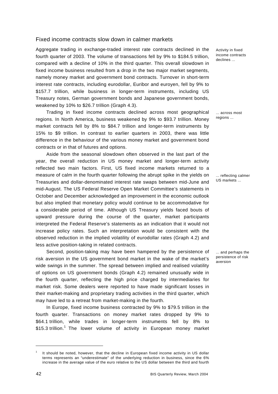#### Fixed income contracts slow down in calmer markets

Aggregate trading in exchange-traded interest rate contracts declined in the fourth quarter of 2003. The volume of transactions fell by 9% to \$184.5 trillion, compared with a decline of 10% in the third quarter. This overall slowdown in fixed income business resulted from a drop in the two major market segments, namely money market and government bond contracts. Turnover in short-term interest rate contracts, including eurodollar, Euribor and euroyen, fell by 9% to \$157.7 trillion, while business in longer-term instruments, including US Treasury notes, German government bonds and Japanese government bonds, weakened by 10% to \$26.7 trillion (Graph 4.3).

Trading in fixed income contracts declined across most geographical regions. In North America, business weakened by 9% to \$93.7 trillion. Money market contracts fell by 8% to \$84.7 trillion and longer-term instruments by 15% to \$9 trillion. In contrast to earlier quarters in 2003, there was little difference in the behaviour of the various money market and government bond contracts or in that of futures and options.

Aside from the seasonal slowdown often observed in the last part of the year, the overall reduction in US money market and longer-term activity reflected two main factors. First, US fixed income markets returned to a measure of calm in the fourth quarter following the abrupt spike in the yields on Treasuries and dollar-denominated interest rate swaps between mid-June and mid-August. The US Federal Reserve Open Market Committee's statements in October and December acknowledged an improvement in the economic outlook but also implied that monetary policy would continue to be accommodative for a considerable period of time. Although US Treasury yields faced bouts of upward pressure during the course of the quarter, market participants interpreted the Federal Reserve's statements as an indication that it would not increase policy rates. Such an interpretation would be consistent with the observed reduction in the implied volatility of eurodollar rates (Graph 4.2) and less active position-taking in related contracts.

Second, position-taking may have been hampered by the persistence of risk aversion in the US government bond market in the wake of the market's wide swings in the summer. The spread between implied and realised volatility of options on US government bonds (Graph 4.2) remained unusually wide in the fourth quarter, reflecting the high price charged by intermediaries for market risk. Some dealers were reported to have made significant losses in their market-making and proprietary trading activities in the third quarter, which may have led to a retreat from market-making in the fourth.

In Europe, fixed income business contracted by 9% to \$79.5 trillion in the fourth quarter. Transactions on money market rates dropped by 9% to \$64.1 trillion, while trades in longer-term instruments fell by 8% to \$15.3 trillion.<sup>1</sup> The lower volume of activity in European money market

Activity in fixed income contracts declines ...

... across most regions ...

... reflecting calmer US markets ...

... and perhaps the persistence of risk aversion

l

<sup>1</sup> It should be noted, however, that the decline in European fixed income activity in US dollar terms represents an "underestimate" of the underlying reduction in business, since the 6% increase in the average value of the euro relative to the US dollar between the third and fourth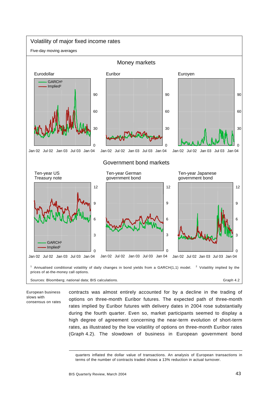

European business slows with consensus on rates contracts was almost entirely accounted for by a decline in the trading of options on three-month Euribor futures. The expected path of three-month rates implied by Euribor futures with delivery dates in 2004 rose substantially during the fourth quarter. Even so, market participants seemed to display a high degree of agreement concerning the near-term evolution of short-term rates, as illustrated by the low volatility of options on three-month Euribor rates (Graph 4.2). The slowdown of business in European government bond

l

quarters inflated the dollar value of transactions. An analysis of European transactions in terms of the number of contracts traded shows a 13% reduction in actual turnover.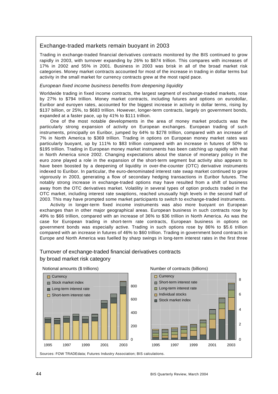## Exchange-traded markets remain buoyant in 2003

Trading in exchange-traded financial derivatives contracts monitored by the BIS continued to grow rapidly in 2003, with turnover expanding by 26% to \$874 trillion. This compares with increases of 17% in 2002 and 55% in 2001. Business in 2003 was brisk in all of the broad market risk categories. Money market contracts accounted for most of the increase in trading in dollar terms but activity in the small market for currency contracts grew at the most rapid pace.

#### *European fixed income business benefits from deepening liquidity*

Worldwide trading in fixed income contracts, the largest segment of exchange-traded markets, rose by 27% to \$794 trillion. Money market contracts, including futures and options on eurodollar, Euribor and euroyen rates, accounted for the biggest increase in activity in dollar terms, rising by \$137 billion, or 25%, to \$683 trillion. However, longer-term contracts, largely on government bonds, expanded at a faster pace, up by 41% to \$111 trillion.

One of the most notable developments in the area of money market products was the particularly strong expansion of activity on European exchanges. European trading of such instruments, principally on Euribor, jumped by 64% to \$278 trillion, compared with an increase of 7% in North America to \$369 trillion. Trading in options on European money market rates was particularly buoyant, up by 111% to \$83 trillion compared with an increase in futures of 50% to \$195 trillion. Trading in European money market instruments has been catching up rapidly with that in North America since 2002. Changing expectations about the stance of monetary policy in the euro zone played a role in the expansion of the short-term segment but activity also appears to have been boosted by a deepening of liquidity in over-the-counter (OTC) derivative instruments indexed to Euribor. In particular, the euro-denominated interest rate swap market continued to grow vigorously in 2003, generating a flow of secondary hedging transactions in Euribor futures. The notably strong increase in exchange-traded options may have resulted from a shift of business away from the OTC derivatives market. Volatility in several types of option products traded in the OTC market, including interest rate swaptions, reached unusually high levels in the second half of 2003. This may have prompted some market participants to switch to exchange-traded instruments.

Activity in longer-term fixed income instruments was also more buoyant on European exchanges than in other major geographical areas. European business in such contracts rose by 49% to \$66 trillion, compared with an increase of 36% to \$36 trillion in North America. As was the case for European trading in short-term rate contracts, European business in options on government bonds was especially active. Trading in such options rose by 86% to \$5.6 trillion compared with an increase in futures of 46% to \$60 trillion. Trading in government bond contracts in Europe and North America was fuelled by sharp swings in long-term interest rates in the first three

## Turnover of exchange-traded financial derivatives contracts by broad market risk category

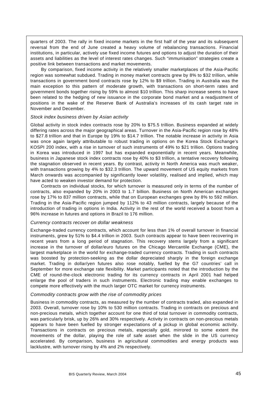quarters of 2003. The rally in fixed income markets in the first half of the year and its subsequent reversal from the end of June created a heavy volume of rebalancing transactions. Financial institutions, in particular, actively use fixed income futures and options to adjust the duration of their assets and liabilities as the level of interest rates changes. Such "immunisation" strategies create a positive link between transactions and market movements.

By comparison, fixed income activity in the relatively smaller marketplaces of the Asia-Pacific region was somewhat subdued. Trading in money market contracts grew by 8% to \$32 trillion, while transactions in government bond contracts rose by 12% to \$9 trillion. Trading in Australia was the main exception to this pattern of moderate growth, with transactions on short-term rates and government bonds together rising by 59% to almost \$10 trillion. This sharp increase seems to have been related to the hedging of new issuance in the corporate bond market and a readjustment of positions in the wake of the Reserve Bank of Australia's increases of its cash target rate in November and December.

#### *Stock index business driven by Asian activity*

Global activity in stock index contracts rose by 20% to \$75.5 trillion. Business expanded at widely differing rates across the major geographical areas. Turnover in the Asia-Pacific region rose by 48% to \$27.8 trillion and that in Europe by 19% to \$14.7 trillion. The notable increase in activity in Asia was once again largely attributable to robust trading in options on the Korea Stock Exchange's KOSPI 200 index, with a rise in turnover of such instruments of 49% to \$21 trillion. Options trading in Korea was introduced in 1997 but has expanded exponentially in recent years. Meanwhile, business in Japanese stock index contracts rose by 40% to \$3 trillion, a tentative recovery following the stagnation observed in recent years. By contrast, activity in North America was much weaker, with transactions growing by 4% to \$32.3 trillion. The upward movement of US equity markets from March onwards was accompanied by significantly lower volatility, realised and implied, which may have acted to weaken investor demand for protection.

Contracts on individual stocks, for which turnover is measured only in terms of the number of contracts, also expanded by 20% in 2003 to 1.7 billion. Business on North American exchanges rose by 17% to 837 million contracts, while that on European exchanges grew by 8% to 592 million. Trading in the Asia-Pacific region jumped by 112% to 43 million contracts, largely because of the introduction of trading in options in India. Activity in the rest of the world received a boost from a 96% increase in futures and options in Brazil to 176 million.

#### *Currency contracts recover on dollar weakness*

Exchange-traded currency contracts, which account for less than 1% of overall turnover in financial instruments, grew by 51% to \$4.4 trillion in 2003. Such contracts appear to have been recovering in recent years from a long period of stagnation. This recovery stems largely from a significant increase in the turnover of dollar/euro futures on the Chicago Mercantile Exchange (CME), the largest marketplace in the world for exchange-traded currency contracts. Trading in such contracts was boosted by protection-seeking as the dollar depreciated sharply in the foreign exchange market. Trading in dollar/yen futures also rose notably, fuelled by the G7 countries' call in September for more exchange rate flexibility. Market participants noted that the introduction by the CME of round-the-clock electronic trading for its currency contracts in April 2001 had helped enlarge the pool of traders in such instruments. Electronic trading may enable exchanges to compete more effectively with the much larger OTC market for currency instruments.

#### *Commodity contracts grow with the rise of commodity prices*

Business in commodity contracts, as measured by the number of contracts traded, also expanded in 2003. Overall, turnover rose by 10% to 530 million contracts. Trading in contracts on precious and non-precious metals, which together account for one third of total turnover in commodity contracts, was particularly brisk, up by 26% and 30% respectively. Activity in contracts on non-precious metals appears to have been fuelled by stronger expectations of a pickup in global economic activity. Transactions in contracts on precious metals, especially gold, mirrored to some extent the movements of the dollar, playing the role of safe asset when the slide in the US currency accelerated. By comparison, business in agricultural commodities and energy products was lacklustre, with turnover rising by 4% and 2% respectively.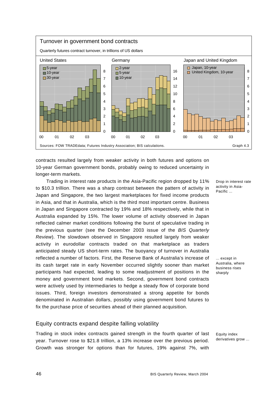

contracts resulted largely from weaker activity in both futures and options on 10-year German government bonds, probably owing to reduced uncertainty in longer-term markets.

Trading in interest rate products in the Asia-Pacific region dropped by 11% to \$10.3 trillion. There was a sharp contrast between the pattern of activity in Japan and Singapore, the two largest marketplaces for fixed income products in Asia, and that in Australia, which is the third most important centre. Business in Japan and Singapore contracted by 19% and 18% respectively, while that in Australia expanded by 15%. The lower volume of activity observed in Japan reflected calmer market conditions following the burst of speculative trading in the previous quarter (see the December 2003 issue of the *BIS Quarterly Review*). The slowdown observed in Singapore resulted largely from weaker activity in eurodollar contracts traded on that marketplace as traders anticipated steady US short-term rates. The buoyancy of turnover in Australia reflected a number of factors. First, the Reserve Bank of Australia's increase of its cash target rate in early November occurred slightly sooner than market participants had expected, leading to some readjustment of positions in the money and government bond markets. Second, government bond contracts were actively used by intermediaries to hedge a steady flow of corporate bond issues. Third, foreign investors demonstrated a strong appetite for bonds denominated in Australian dollars, possibly using government bond futures to fix the purchase price of securities ahead of their planned acquisition.

## Equity contracts expand despite falling volatility

Trading in stock index contracts gained strength in the fourth quarter of last year. Turnover rose to \$21.8 trillion, a 13% increase over the previous period. Growth was stronger for options than for futures, 19% against 7%, with

Drop in interest rate activity in Asia-Pacific ...

... except in Australia, where business rises sharply

Equity index derivatives grow ...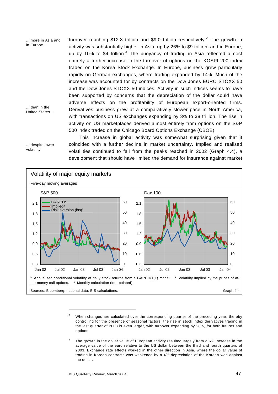turnover reaching \$12.8 trillion and \$9.0 trillion respectively.<sup>2</sup> The growth in activity was substantially higher in Asia, up by 26% to \$9 trillion, and in Europe, up by 10% to \$4 trillion.<sup>3</sup> The buoyancy of trading in Asia reflected almost entirely a further increase in the turnover of options on the KOSPI 200 index traded on the Korea Stock Exchange. In Europe, business grew particularly rapidly on German exchanges, where trading expanded by 14%. Much of the increase was accounted for by contracts on the Dow Jones EURO STOXX 50 and the Dow Jones STOXX 50 indices. Activity in such indices seems to have been supported by concerns that the depreciation of the dollar could have adverse effects on the profitability of European export-oriented firms. Derivatives business grew at a comparatively slower pace in North America, with transactions on US exchanges expanding by 3% to \$8 trillion. The rise in activity on US marketplaces derived almost entirely from options on the S&P 500 index traded on the Chicago Board Options Exchange (CBOE). ... more in Asia and in Europe ... ... than in the United States ...

... despite lower volatility

This increase in global activity was somewhat surprising given that it coincided with a further decline in market uncertainty. Implied and realised volatilities continued to fall from the peaks reached in 2002 (Graph 4.4), a development that should have limited the demand for insurance against market



<sup>2</sup> When changes are calculated over the corresponding quarter of the preceding year, thereby controlling for the presence of seasonal factors, the rise in stock index derivatives trading in the last quarter of 2003 is even larger, with turnover expanding by 28%, for both futures and options.

l

<sup>3</sup> The growth in the dollar value of European activity resulted largely from a 6% increase in the average value of the euro relative to the US dollar between the third and fourth quarters of 2003. Exchange rate effects worked in the other direction in Asia, where the dollar value of trading in Korean contracts was weakened by a 4% depreciation of the Korean won against the dollar.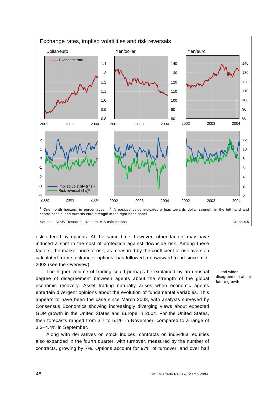

risk offered by options. At the same time, however, other factors may have induced a shift in the cost of protection against downside risk. Among these factors, the market price of risk, as measured by the coefficient of risk aversion calculated from stock index options, has followed a downward trend since mid-2002 (see the Overview).

The higher volume of trading could perhaps be explained by an unusual degree of disagreement between agents about the strength of the global economic recovery. Asset trading naturally arises when economic agents entertain divergent opinions about the evolution of fundamental variables. This appears to have been the case since March 2003, with analysts surveyed by Consensus Economics showing increasingly diverging views about expected GDP growth in the United States and Europe in 2004. For the United States, their forecasts ranged from 3.7 to 5.1% in November, compared to a range of 3.3–4.4% in September.

Along with derivatives on stock indices, contracts on individual equities also expanded in the fourth quarter, with turnover, measured by the number of contracts, growing by 7%. Options account for 97% of turnover, and over half ... and wider disagreement about future arowth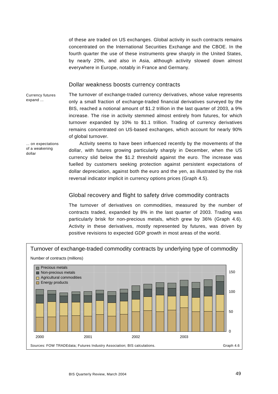of these are traded on US exchanges. Global activity in such contracts remains concentrated on the International Securities Exchange and the CBOE. In the fourth quarter the use of these instruments grew sharply in the United States, by nearly 20%, and also in Asia, although activity slowed down almost everywhere in Europe, notably in France and Germany.

## Dollar weakness boosts currency contracts

Currency futures expand ...

The turnover of exchange-traded currency derivatives, whose value represents only a small fraction of exchange-traded financial derivatives surveyed by the BIS, reached a notional amount of \$1.2 trillion in the last quarter of 2003, a 9% increase. The rise in activity stemmed almost entirely from futures, for which turnover expanded by 10% to \$1.1 trillion. Trading of currency derivatives remains concentrated on US-based exchanges, which account for nearly 90% of global turnover.

... on expectations of a weakening dollar

Activity seems to have been influenced recently by the movements of the dollar, with futures growing particularly sharply in December, when the US currency slid below the \$1.2 threshold against the euro. The increase was fuelled by customers seeking protection against persistent expectations of dollar depreciation, against both the euro and the yen, as illustrated by the risk reversal indicator implicit in currency options prices (Graph 4.5).

## Global recovery and flight to safety drive commodity contracts

The turnover of derivatives on commodities, measured by the number of contracts traded, expanded by 8% in the last quarter of 2003. Trading was particularly brisk for non-precious metals, which grew by 36% (Graph 4.6). Activity in these derivatives, mostly represented by futures, was driven by positive revisions to expected GDP growth in most areas of the world.

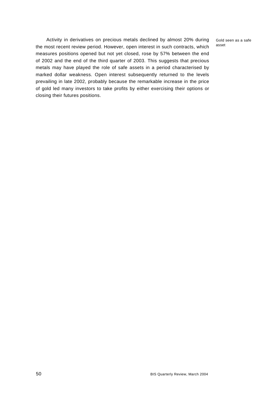Gold seen as a safe asset

Activity in derivatives on precious metals declined by almost 20% during the most recent review period. However, open interest in such contracts, which measures positions opened but not yet closed, rose by 57% between the end of 2002 and the end of the third quarter of 2003. This suggests that precious metals may have played the role of safe assets in a period characterised by marked dollar weakness. Open interest subsequently returned to the levels prevailing in late 2002, probably because the remarkable increase in the price of gold led many investors to take profits by either exercising their options or closing their futures positions.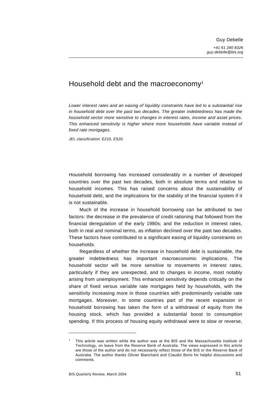## Household debt and the macroeconomy<sup>1</sup>

*Lower interest rates and an easing of liquidity constraints have led to a substantial rise in household debt over the past two decades. The greater indebtedness has made the household sector more sensitive to changes in interest rates, income and asset prices. This enhanced sensitivity is higher where more households have variable instead of fixed rate mortgages.* 

*JEL classification: E210, E520.* 

Household borrowing has increased considerably in a number of developed countries over the past two decades, both in absolute terms and relative to household incomes. This has raised concerns about the sustainability of household debt, and the implications for the stability of the financial system if it is not sustainable.

Much of the increase in household borrowing can be attributed to two factors: the decrease in the prevalence of credit rationing that followed from the financial deregulation of the early 1980s; and the reduction in interest rates, both in real and nominal terms, as inflation declined over the past two decades. These factors have contributed to a significant easing of liquidity constraints on households.

Regardless of whether the increase in household debt is sustainable, the greater indebtedness has important macroeconomic implications. The household sector will be more sensitive to movements in interest rates, particularly if they are unexpected, and to changes in income, most notably arising from unemployment. This enhanced sensitivity depends critically on the share of fixed versus variable rate mortgages held by households, with the sensitivity increasing more in those countries with predominantly variable rate mortgages. Moreover, in some countries part of the recent expansion in household borrowing has taken the form of a withdrawal of equity from the housing stock, which has provided a substantial boost to consumption spending. If this process of housing equity withdrawal were to slow or reverse,

<sup>1</sup> This article was written while the author was at the BIS and the Massachusetts Institute of Technology, on leave from the Reserve Bank of Australia. The views expressed in this article are those of the author and do not necessarily reflect those of the BIS or the Reserve Bank of Australia. The author thanks Olivier Blanchard and Claudio Borio for helpful discussions and comments.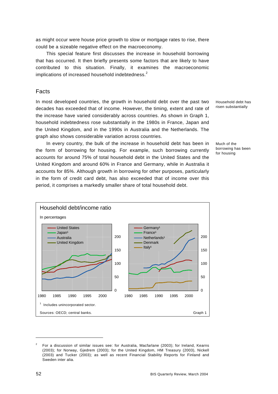as might occur were house price growth to slow or mortgage rates to rise, there could be a sizeable negative effect on the macroeconomy.

This special feature first discusses the increase in household borrowing that has occurred. It then briefly presents some factors that are likely to have contributed to this situation. Finally, it examines the macroeconomic implications of increased household indebtedness.<sup>2</sup>

## Facts

In most developed countries, the growth in household debt over the past two decades has exceeded that of income. However, the timing, extent and rate of the increase have varied considerably across countries. As shown in Graph 1, household indebtedness rose substantially in the 1980s in France, Japan and the United Kingdom, and in the 1990s in Australia and the Netherlands. The graph also shows considerable variation across countries.

In every country, the bulk of the increase in household debt has been in the form of borrowing for housing. For example, such borrowing currently accounts for around 75% of total household debt in the United States and the United Kingdom and around 60% in France and Germany, while in Australia it accounts for 85%. Although growth in borrowing for other purposes, particularly in the form of credit card debt, has also exceeded that of income over this period, it comprises a markedly smaller share of total household debt.



Household debt has risen substantially

Much of the borrowing has been for housing

<sup>2</sup> For a discussion of similar issues see: for Australia, Macfarlane (2003); for Ireland, Kearns (2003); for Norway, Gjedrem (2003); for the United Kingdom, HM Treasury (2003), Nickell (2003) and Tucker (2003); as well as recent Financial Stability Reports for Finland and Sweden inter alia.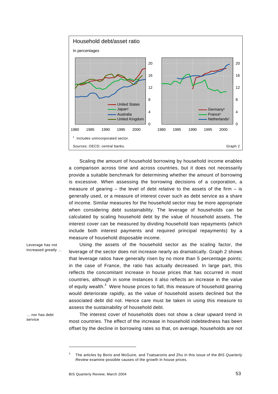

Scaling the amount of household borrowing by household income enables a comparison across time and across countries, but it does not necessarily provide a suitable benchmark for determining whether the amount of borrowing is excessive. When assessing the borrowing decisions of a corporation, a measure of gearing  $-$  the level of debt relative to the assets of the firm  $-$  is generally used, or a measure of interest cover such as debt service as a share of income. Similar measures for the household sector may be more appropriate when considering debt sustainability. The leverage of households can be calculated by scaling household debt by the value of household assets. The interest cover can be measured by dividing household loan repayments (which include both interest payments and required principal repayments) by a measure of household disposable income.

Using the assets of the household sector as the scaling factor, the leverage of the sector does not increase nearly as dramatically. Graph 2 shows that leverage ratios have generally risen by no more than 5 percentage points; in the case of France, the ratio has actually decreased. In large part, this reflects the concomitant increase in house prices that has occurred in most countries, although in some instances it also reflects an increase in the value of equity wealth. $^3$  Were house prices to fall, this measure of household gearing would deteriorate rapidly, as the value of household assets declined but the associated debt did not. Hence care must be taken in using this measure to assess the sustainability of household debt.

Leverage has not increased greatly …

… nor has debt service

The interest cover of households does not show a clear upward trend in most countries. The effect of the increase in household indebtedness has been offset by the decline in borrowing rates so that, on average, households are not

<sup>3</sup> The articles by Borio and McGuire, and Tsatsaronis and Zhu in this issue of the *BIS Quarterly Review* examine possible causes of the growth in house prices.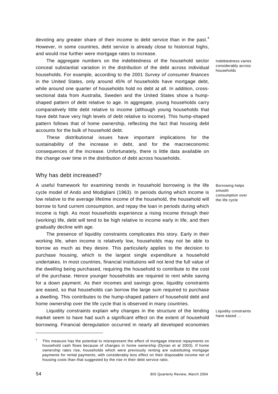devoting any greater share of their income to debt service than in the past.<sup>4</sup> However, in some countries, debt service is already close to historical highs, and would rise further were mortgage rates to increase.

The aggregate numbers on the indebtedness of the household sector conceal substantial variation in the distribution of the debt across individual households. For example, according to the 2001 *Survey of consumer finances* in the United States, only around 45% of households have mortgage debt, while around one quarter of households hold no debt at all. In addition, crosssectional data from Australia, Sweden and the United States show a humpshaped pattern of debt relative to age. In aggregate, young households carry comparatively little debt relative to income (although young households that have debt have very high levels of debt relative to income). This hump-shaped pattern follows that of home ownership, reflecting the fact that housing debt accounts for the bulk of household debt.

These distributional issues have important implications for the sustainability of the increase in debt, and for the macroeconomic consequences of the increase. Unfortunately, there is little data available on the change over time in the distribution of debt across households.

#### Why has debt increased?

A useful framework for examining trends in household borrowing is the life cycle model of Ando and Modigliani (1963). In periods during which income is low relative to the average lifetime income of the household, the household will borrow to fund current consumption, and repay the loan in periods during which income is high. As most households experience a rising income through their (working) life, debt will tend to be high relative to income early in life, and then gradually decline with age.

The presence of liquidity constraints complicates this story. Early in their working life, when income is relatively low, households may not be able to borrow as much as they desire. This particularly applies to the decision to purchase housing, which is the largest single expenditure a household undertakes. In most countries, financial institutions will not lend the full value of the dwelling being purchased, requiring the household to contribute to the cost of the purchase. Hence younger households are required to rent while saving for a down payment. As their incomes and savings grow, liquidity constraints are eased, so that households can borrow the large sum required to purchase a dwelling. This contributes to the hump-shaped pattern of household debt and home ownership over the life cycle that is observed in many countries.

Liquidity constraints explain why changes in the structure of the lending market seem to have had such a significant effect on the extent of household borrowing. Financial deregulation occurred in nearly all developed economies

Indebtedness varies considerably across households

Borrowing helps smooth consumption over the life cycle

Liquidity constraints have eased …

<sup>4</sup> This measure has the potential to misrepresent the effect of mortgage interest repayments on household cash flows because of changes in home ownership (Dynan et al 2003). If home ownership rates rise, households which were previously renting are substituting mortgage payments for rental payments, with considerably less effect on their disposable income net of housing costs than that suggested by the rise in their debt service ratio.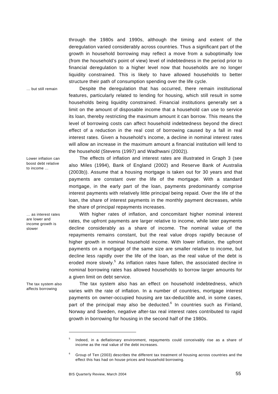through the 1980s and 1990s, although the timing and extent of the deregulation varied considerably across countries. Thus a significant part of the growth in household borrowing may reflect a move from a suboptimally low (from the household's point of view) level of indebtedness in the period prior to financial deregulation to a higher level now that households are no longer liquidity constrained. This is likely to have allowed households to better structure their path of consumption spending over the life cycle.

Despite the deregulation that has occurred, there remain institutional features, particularly related to lending for housing, which still result in some households being liquidity constrained. Financial institutions generally set a limit on the amount of disposable income that a household can use to service its loan, thereby restricting the maximum amount it can borrow. This means the level of borrowing costs can affect household indebtedness beyond the direct effect of a reduction in the real cost of borrowing caused by a fall in real interest rates. Given a household's income, a decline in nominal interest rates will allow an increase in the maximum amount a financial institution will lend to

… but still remain

Lower inflation can boost debt relative to income

… as interest rates are lower and income growth is slower

The tax system also affects borrowing

 $\overline{a}$ 

The effects of inflation and interest rates are illustrated in Graph 3 (see also Miles (1994), Bank of England (2002) and Reserve Bank of Australia (2003b)). Assume that a housing mortgage is taken out for 30 years and that payments are constant over the life of the mortgage. With a standard mortgage, in the early part of the loan, payments predominantly comprise interest payments with relatively little principal being repaid. Over the life of the loan, the share of interest payments in the monthly payment decreases, while the share of principal repayments increases.

the household (Stevens (1997) and Wadhwani (2002)).

With higher rates of inflation, and concomitant higher nominal interest rates, the upfront payments are larger relative to income, while later payments decline considerably as a share of income. The nominal value of the repayments remains constant, but the real value drops rapidly because of higher growth in nominal household income. With lower inflation, the upfront payments on a mortgage of the same size are smaller relative to income, but decline less rapidly over the life of the loan, as the real value of the debt is eroded more slowly.<sup>5</sup> As inflation rates have fallen, the associated decline in nominal borrowing rates has allowed households to borrow larger amounts for a given limit on debt service.

The tax system also has an effect on household indebtedness, which varies with the rate of inflation. In a number of countries, mortgage interest payments on owner-occupied housing are tax-deductible and, in some cases, part of the principal may also be deducted.<sup>6</sup> In countries such as Finland, Norway and Sweden, negative after-tax real interest rates contributed to rapid growth in borrowing for housing in the second half of the 1980s.

<sup>5</sup> Indeed, in a deflationary environment, repayments could conceivably rise as a share of income as the real value of the debt increases.

<sup>6</sup> Group of Ten (2003) describes the different tax treatment of housing across countries and the effect this has had on house prices and household borrowing.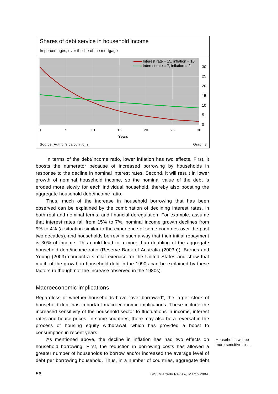

In terms of the debt/income ratio, lower inflation has two effects. First, it boosts the numerator because of increased borrowing by households in response to the decline in nominal interest rates. Second, it will result in lower growth of nominal household income, so the nominal value of the debt is eroded more slowly for each individual household, thereby also boosting the aggregate household debt/income ratio.

Thus, much of the increase in household borrowing that has been observed can be explained by the combination of declining interest rates, in both real and nominal terms, and financial deregulation. For example, assume that interest rates fall from 15% to 7%, nominal income growth declines from 9% to 4% (a situation similar to the experience of some countries over the past two decades), and households borrow in such a way that their initial repayment is 30% of income. This could lead to a more than doubling of the aggregate household debt/income ratio (Reserve Bank of Australia (2003b)). Barnes and Young (2003) conduct a similar exercise for the United States and show that much of the growth in household debt in the 1990s can be explained by these factors (although not the increase observed in the 1980s).

## Macroeconomic implications

Regardless of whether households have "over-borrowed", the larger stock of household debt has important macroeconomic implications. These include the increased sensitivity of the household sector to fluctuations in income, interest rates and house prices. In some countries, there may also be a reversal in the process of housing equity withdrawal, which has provided a boost to consumption in recent years.

As mentioned above, the decline in inflation has had two effects on household borrowing. First, the reduction in borrowing costs has allowed a greater number of households to borrow and/or increased the average level of debt per borrowing household. Thus, in a number of countries, aggregate debt

Households will be more sensitive to …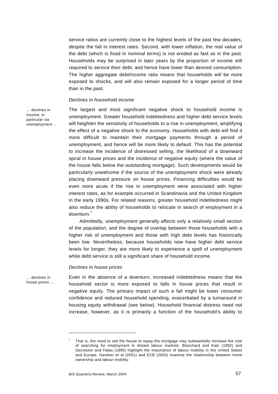service ratios are currently close to the highest levels of the past few decades, despite the fall in interest rates. Second, with lower inflation, the real value of the debt (which is fixed in nominal terms) is not eroded as fast as in the past. Households may be surprised in later years by the proportion of income still required to service their debt, and hence have lower than desired consumption. The higher aggregate debt/income ratio means that households will be more exposed to shocks, and will also remain exposed for a longer period of time than in the past.

#### *Declines in household income*

… declines in income, in particular via unemployment … The largest and most significant negative shock to household income is unemployment. Greater household indebtedness and higher debt service levels will heighten the sensitivity of households to a rise in unemployment, amplifying the effect of a negative shock to the economy. Households with debt will find it more difficult to maintain their mortgage payments through a period of unemployment, and hence will be more likely to default. This has the potential to increase the incidence of distressed selling, the likelihood of a downward spiral in house prices and the incidence of negative equity (where the value of the house falls below the outstanding mortgage). Such developments would be particularly unwelcome if the source of the unemployment shock were already placing downward pressure on house prices. Financing difficulties would be even more acute if the rise in unemployment were associated with higher interest rates, as for example occurred in Scandinavia and the United Kingdom in the early 1990s. For related reasons, greater household indebtedness might also reduce the ability of households to relocate in search of employment in a downturn.<sup>7</sup>

Admittedly, unemployment generally affects only a relatively small section of the population, and the degree of overlap between those households with a higher risk of unemployment and those with high debt levels has historically been low. Nevertheless, because households now have higher debt service levels for longer, they are more likely to experience a spell of unemployment while debt service is still a significant share of household income.

#### *Declines in house prices*

… declines in house prices … Even in the absence of a downturn, increased indebtedness means that the household sector is more exposed to falls in house prices that result in negative equity. The primary impact of such a fall might be lower consumer confidence and reduced household spending, exacerbated by a turnaround in housing equity withdrawal (see below). Household financial distress need not increase, however, as it is primarily a function of the household's ability to

<sup>7</sup> That is, the need to sell the house to repay the mortgage may substantially increase the cost of searching for employment in distant labour markets. Blanchard and Katz (1992) and Decressin and Fatas (1995) highlight the importance of labour mobility in the United States and Europe. Gardner et al (2001) and ECB (2003) examine the relationship between home ownership and labour mobility.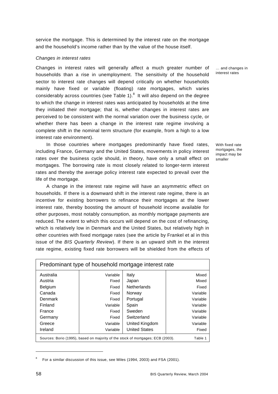service the mortgage. This is determined by the interest rate on the mortgage and the household's income rather than by the value of the house itself.

#### *Changes in interest rates*

Changes in interest rates will generally affect a much greater number of households than a rise in unemployment. The sensitivity of the household sector to interest rate changes will depend critically on whether households mainly have fixed or variable (floating) rate mortgages, which varies considerably across countries (see Table 1). $^8$  It will also depend on the degree to which the change in interest rates was anticipated by households at the time they initiated their mortgage; that is, whether changes in interest rates are perceived to be consistent with the normal variation over the business cycle, or whether there has been a change in the interest rate regime involving a complete shift in the nominal term structure (for example, from a high to a low interest rate environment).

In those countries where mortgages predominantly have fixed rates, including France, Germany and the United States, movements in policy interest rates over the business cycle should, in theory, have only a small effect on mortgages. The borrowing rate is most closely related to longer-term interest rates and thereby the average policy interest rate expected to prevail over the life of the mortgage.

A change in the interest rate regime will have an asymmetric effect on households. If there is a downward shift in the interest rate regime, there is an incentive for existing borrowers to refinance their mortgages at the lower interest rate, thereby boosting the amount of household income available for other purposes, most notably consumption, as monthly mortgage payments are reduced. The extent to which this occurs will depend on the cost of refinancing, which is relatively low in Denmark and the United States, but relatively high in other countries with fixed mortgage rates (see the article by Frankel et al in this issue of the *BIS Quarterly Review*). If there is an upward shift in the interest rate regime, existing fixed rate borrowers will be shielded from the effects of

| Predominant type of household mortgage interest rate                                       |          |                      |          |  |  |
|--------------------------------------------------------------------------------------------|----------|----------------------|----------|--|--|
| Australia                                                                                  | Variable | Italy                | Mixed    |  |  |
| Austria                                                                                    | Fixed    | Japan                | Mixed    |  |  |
| <b>Belgium</b>                                                                             | Fixed    | <b>Netherlands</b>   | Fixed    |  |  |
| Canada                                                                                     | Fixed    | Norway               | Variable |  |  |
| Denmark                                                                                    | Fixed    | Portugal             | Variable |  |  |
| Finland                                                                                    | Variable | Spain                | Variable |  |  |
| France                                                                                     | Fixed    | Sweden               | Variable |  |  |
| Germany                                                                                    | Fixed    | Switzerland          | Variable |  |  |
| Greece                                                                                     | Variable | United Kingdom       | Variable |  |  |
| Ireland                                                                                    | Variable | <b>United States</b> | Fixed    |  |  |
| Table 1<br>Sources: Borio (1995), based on majority of the stock of mortgages; ECB (2003). |          |                      |          |  |  |

<sup>8</sup> For a similar discussion of this issue, see Miles (1994, 2003) and FSA (2001).

… and changes in interest rates

With fixed rate mortgages, the impact may be smaller

j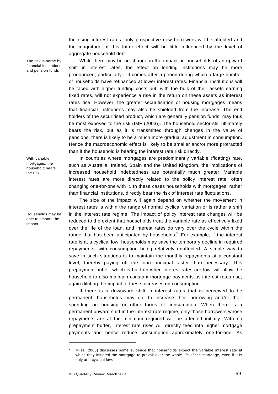the rising interest rates; only prospective new borrowers will be affected and the magnitude of this latter effect will be little influenced by the level of aggregate household debt.

While there may be no change in the impact on households of an upward shift in interest rates, the effect on lending institutions may be more pronounced, particularly if it comes after a period during which a large number of households have refinanced at lower interest rates. Financial institutions will be faced with higher funding costs but, with the bulk of their assets earning fixed rates, will not experience a rise in the return on these assets as interest rates rise. However, the greater securitisation of housing mortgages means that financial institutions may also be shielded from the increase. The end holders of the securitised product, which are generally pension funds, may thus be most exposed to the risk (IMF (2003)). The household sector still ultimately bears the risk, but as it is transmitted through changes in the value of pensions, there is likely to be a much more gradual adjustment in consumption. Hence the macroeconomic effect is likely to be smaller and/or more protracted than if the household is bearing the interest rate risk directly.

With variable mortgages, the household bears the risk

The risk is borne by financial institutions and pension funds

Households may be able to smooth the impact …

In countries where mortgages are predominantly variable (floating) rate, such as Australia, Ireland, Spain and the United Kingdom, the implications of increased household indebtedness are potentially much greater. Variable interest rates are more directly related to the policy interest rate, often changing one-for-one with it. In these cases households with mortgages, rather than financial institutions, directly bear the risk of interest rate fluctuations.

The size of the impact will again depend on whether the movement in interest rates is within the range of normal cyclical variation or is rather a shift in the interest rate regime. The impact of policy interest rate changes will be reduced to the extent that households treat the variable rate as effectively fixed over the life of the loan, and interest rates do vary over the cycle within the range that has been anticipated by households. $9$  For example, if the interest rate is at a cyclical low, households may save the temporary decline in required repayments, with consumption being relatively unaffected. A simple way to save in such situations is to maintain the monthly repayments at a constant level, thereby paying off the loan principal faster than necessary. This prepayment buffer, which is built up when interest rates are low, will allow the household to also maintain constant mortgage payments as interest rates rise, again diluting the impact of these increases on consumption.

If there is a downward shift in interest rates that is perceived to be permanent, households may opt to increase their borrowing and/or their spending on housing or other forms of consumption. When there is a permanent upward shift in the interest rate regime, only those borrowers whose repayments are at the minimum required will be affected initially. With no prepayment buffer, interest rate rises will directly feed into higher mortgage payments and hence reduce consumption approximately one-for-one. As

<sup>9</sup> Miles (2003) discusses some evidence that households expect the variable interest rate at which they initiated the mortgage to prevail over the whole life of the mortgage, even if it is only at a cyclical low.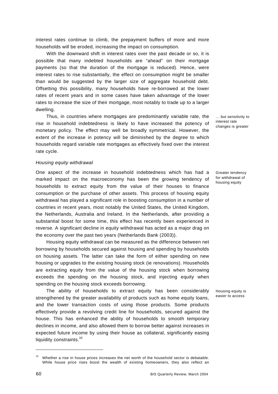interest rates continue to climb, the prepayment buffers of more and more households will be eroded, increasing the impact on consumption.

With the downward shift in interest rates over the past decade or so, it is possible that many indebted households are "ahead" on their mortgage payments (so that the duration of the mortgage is reduced). Hence, were interest rates to rise substantially, the effect on consumption might be smaller than would be suggested by the larger size of aggregate household debt. Offsetting this possibility, many households have re-borrowed at the lower rates of recent years and in some cases have taken advantage of the lower rates to increase the size of their mortgage, most notably to trade up to a larger dwelling.

Thus, in countries where mortgages are predominantly variable rate, the rise in household indebtedness is likely to have increased the potency of monetary policy. The effect may well be broadly symmetrical. However, the extent of the increase in potency will be diminished by the degree to which households regard variable rate mortgages as effectively fixed over the interest rate cycle.

#### *Housing equity withdrawal*

One aspect of the increase in household indebtedness which has had a marked impact on the macroeconomy has been the growing tendency of households to extract equity from the value of their houses to finance consumption or the purchase of other assets. This process of housing equity withdrawal has played a significant role in boosting consumption in a number of countries in recent years, most notably the United States, the United Kingdom, the Netherlands, Australia and Ireland. In the Netherlands, after providing a substantial boost for some time, this effect has recently been experienced in reverse. A significant decline in equity withdrawal has acted as a major drag on the economy over the past two years (Netherlands Bank (2003)).

Housing equity withdrawal can be measured as the difference between net borrowing by households secured against housing and spending by households on housing assets. The latter can take the form of either spending on new housing or upgrades to the existing housing stock (ie renovations). Households are extracting equity from the value of the housing stock when borrowing exceeds the spending on the housing stock, and injecting equity when spending on the housing stock exceeds borrowing.

The ability of households to extract equity has been considerably strengthened by the greater availability of products such as home equity loans, and the lower transaction costs of using those products. Some products effectively provide a revolving credit line for households, secured against the house. This has enhanced the ability of households to smooth temporary declines in income, and also allowed them to borrow better against increases in expected future income by using their house as collateral, significantly easing liquidity constraints.<sup>10</sup>

… but sensitivity to interest rate changes is greater

Greater tendency for withdrawal of housing equity

Housing equity is easier to access

Whether a rise in house prices increases the net worth of the household sector is debatable. While house price rises boost the wealth of existing homeowners, they also reflect an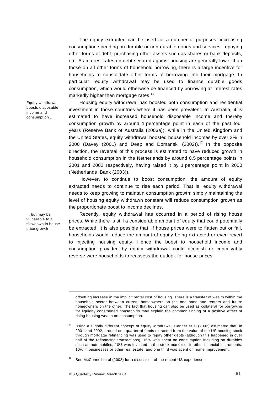The equity extracted can be used for a number of purposes: increasing consumption spending on durable or non-durable goods and services; repaying other forms of debt; purchasing other assets such as shares or bank deposits, etc. As interest rates on debt secured against housing are generally lower than those on all other forms of household borrowing, there is a large incentive for households to consolidate other forms of borrowing into their mortgage. In particular, equity withdrawal may be used to finance durable goods consumption, which would otherwise be financed by borrowing at interest rates markedly higher than mortgage rates.<sup>11</sup>

Housing equity withdrawal has boosted both consumption and residential investment in those countries where it has been prevalent. In Australia, it is estimated to have increased household disposable income and thereby consumption growth by around 1 percentage point in each of the past four years (Reserve Bank of Australia (2003a)), while in the United Kingdom and the United States, equity withdrawal boosted household incomes by over 2% in 2000 (Davey (2001) and Deep and Domanski (2002)).<sup>12</sup> In the opposite direction, the reversal of this process is estimated to have reduced growth in household consumption in the Netherlands by around 0.5 percentage points in 2001 and 2002 respectively, having raised it by 1 percentage point in 2000 (Netherlands Bank (2003)).

However, to continue to boost consumption, the amount of equity extracted needs to continue to rise each period. That is, equity withdrawal needs to keep growing to maintain consumption growth; simply maintaining the level of housing equity withdrawn constant will reduce consumption growth as the proportionate boost to income declines.

Recently, equity withdrawal has occurred in a period of rising house prices. While there is still a considerable amount of equity that could potentially be extracted, it is also possible that, if house prices were to flatten out or fall, households would reduce the amount of equity being extracted or even revert to injecting housing equity. Hence the boost to household income and consumption provided by equity withdrawal could diminish or conceivably reverse were households to reassess the outlook for house prices.

Equity withdrawal boosts disposable income and consumption ...

... but may be vulnerable to a slowdown in house price growth

 $\overline{a}$ 

 $12$  See McConnell et al (2003) for a discussion of the recent US experience.

offsetting increase in the implicit rental cost of housing. There is a transfer of wealth within the household sector between current homeowners on the one hand and renters and future homeowners on the other. The fact that housing can also be used as collateral for borrowing for liquidity constrained households may explain the common finding of a positive effect of rising housing wealth on consumption.

Using a slightly different concept of equity withdrawal, Canner et al (2002) estimated that, in 2001 and 2002, around one quarter of funds extracted from the value of the US housing stock through mortgage refinancing was used to repay other debts (although this happened in over half of the refinancing transactions), 16% was spent on consumption including on durables such as automobiles, 10% was invested in the stock market or in other financial instruments, 10% in businesses or other real estate, and one third was spent on home improvement.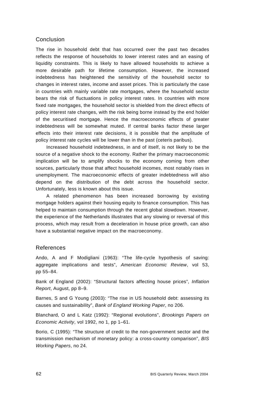## Conclusion

The rise in household debt that has occurred over the past two decades reflects the response of households to lower interest rates and an easing of liquidity constraints. This is likely to have allowed households to achieve a more desirable path for lifetime consumption. However, the increased indebtedness has heightened the sensitivity of the household sector to changes in interest rates, income and asset prices. This is particularly the case in countries with mainly variable rate mortgages, where the household sector bears the risk of fluctuations in policy interest rates. In countries with more fixed rate mortgages, the household sector is shielded from the direct effects of policy interest rate changes, with the risk being borne instead by the end holder of the securitised mortgage. Hence the macroeconomic effects of greater indebtedness will be somewhat muted. If central banks factor these larger effects into their interest rate decisions, it is possible that the amplitude of policy interest rate cycles will be lower than in the past (ceteris paribus).

Increased household indebtedness, in and of itself, is not likely to be the source of a negative shock to the economy. Rather the primary macroeconomic implication will be to amplify shocks to the economy coming from other sources, particularly those that affect household incomes, most notably rises in unemployment. The macroeconomic effects of greater indebtedness will also depend on the distribution of the debt across the household sector. Unfortunately, less is known about this issue.

A related phenomenon has been increased borrowing by existing mortgage holders against their housing equity to finance consumption. This has helped to maintain consumption through the recent global slowdown. However, the experience of the Netherlands illustrates that any slowing or reversal of this process, which may result from a deceleration in house price growth, can also have a substantial negative impact on the macroeconomy.

## References

Ando, A and F Modigliani (1963): "The life-cycle hypothesis of saving: aggregate implications and tests", *American Economic Review*, vol 53, pp 55–84.

Bank of England (2002): "Structural factors affecting house prices", *Inflation Report*, August, pp 8–9.

Barnes, S and G Young (2003): "The rise in US household debt: assessing its causes and sustainability", *Bank of England Working Paper*, no 206.

Blanchard, O and L Katz (1992): "Regional evolutions", *Brookings Papers on Economic Activity*, vol 1992, no 1, pp 1–61.

Borio, C (1995): "The structure of credit to the non-government sector and the transmission mechanism of monetary policy: a cross-country comparison", *BIS Working Papers*, no 24.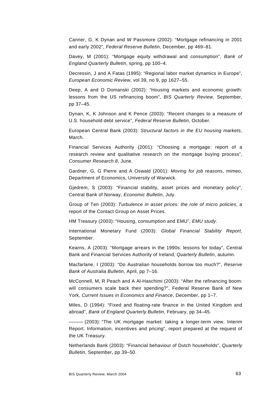Canner, G, K Dynan and W Passmore (2002): "Mortgage refinancing in 2001 and early 2002", *Federal Reserve Bulletin*, December, pp 469–81.

Davey, M (2001): "Mortgage equity withdrawal and consumption", *Bank of England Quarterly Bulletin*, spring, pp 100–4.

Decressin, J and A Fatas (1995): "Regional labor market dynamics in Europe", *European Economic Review*, vol 39, no 9, pp 1627–55.

Deep, A and D Domanski (2002): "Housing markets and economic growth: lessons from the US refinancing boom", *BIS Quarterly Review*, September, pp 37–45.

Dynan, K, K Johnson and K Pence (2003): "Recent changes to a measure of U.S. household debt service", *Federal Reserve Bulletin*, October.

European Central Bank (2003): *Structural factors in the EU housing markets*, March.

Financial Services Authority (2001): "Choosing a mortgage: report of a research review and qualitative research on the mortgage buying process", *Consumer Research 8*, June.

Gardner, G, G Pierre and A Oswald (2001): *Moving for job reasons*, mimeo, Department of Economics, University of Warwick.

Gjedrem, S (2003): "Financial stability, asset prices and monetary policy", Central Bank of Norway, *Economic Bulletin*, July.

Group of Ten (2003): *Turbulence in asset prices: the role of micro policies*, a report of the Contact Group on Asset Prices.

HM Treasury (2003): "Housing, consumption and EMU", *EMU study*.

International Monetary Fund (2003): *Global Financial Stability Report*, September.

Kearns, A (2003): "Mortgage arrears in the 1990s: lessons for today", Central Bank and Financial Services Authority of Ireland, *Quarterly Bulletin*, autumn.

Macfarlane, I (2003): "Do Australian households borrow too much?", *Reserve Bank of Australia Bulletin*, April, pp 7–16.

McConnell, M, R Peach and A Al-Haschimi (2003): "After the refinancing boom: will consumers scale back their spending?", Federal Reserve Bank of New York, *Current Issues in Economics and Finance*, December, pp 1–7.

Miles, D (1994): "Fixed and floating-rate finance in the United Kingdom and abroad", *Bank of England Quarterly Bulletin*, February, pp 34–45.

 $-$  (2003): "The UK mortgage market: taking a longer-term view. Interim Report. Information, incentives and pricing", report prepared at the request of the UK Treasury.

Netherlands Bank (2003): "Financial behaviour of Dutch households", *Quarterly Bulletin*, September, pp 39–50.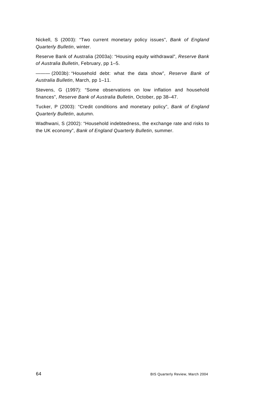Nickell, S (2003): "Two current monetary policy issues", *Bank of England Quarterly Bulletin*, winter.

Reserve Bank of Australia (2003a): "Housing equity withdrawal", *Reserve Bank of Australia Bulletin*, February, pp 1–5.

——— (2003b): "Household debt: what the data show", *Reserve Bank of Australia Bulletin*, March, pp 1–11.

Stevens, G (1997): "Some observations on low inflation and household finances", *Reserve Bank of Australia Bulletin*, October, pp 38–47.

Tucker, P (2003): "Credit conditions and monetary policy", *Bank of England Quarterly Bulletin*, autumn.

Wadhwani, S (2002): "Household indebtedness, the exchange rate and risks to the UK economy", *Bank of England Quarterly Bulletin*, summer.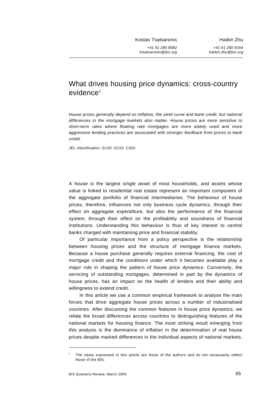Kostas Tsatsaronis

*+41 61 280 8082 ktsatsaronis@bis.org*

Haibin Zhu *+41 61 280 9164 haibin.zhu@bis.org*

# What drives housing price dynamics: cross-country  $e$ vidence<sup>1</sup>

*House prices generally depend on inflation, the yield curve and bank credit, but national differences in the mortgage markets also matter. House prices are more sensitive to short-term rates where floating rate mortgages are more widely used and more aggressive lending practices are associated with stronger feedback from prices to bank credit.* 

*JEL classification: G120, G210, C320.* 

A house is the largest single asset of most households, and assets whose value is linked to residential real estate represent an important component of the aggregate portfolio of financial intermediaries. The behaviour of house prices, therefore, influences not only business cycle dynamics, through their effect on aggregate expenditure, but also the performance of the financial system, through their effect on the profitability and soundness of financial institutions. Understanding this behaviour is thus of key interest to central banks charged with maintaining price and financial stability.

Of particular importance from a policy perspective is the relationship between housing prices and the structure of mortgage finance markets. Because a house purchase generally requires external financing, the cost of mortgage credit and the conditions under which it becomes available play a major role in shaping the pattern of house price dynamics. Conversely, the servicing of outstanding mortgages, determined in part by the dynamics of house prices, has an impact on the health of lenders and their ability and willingness to extend credit.

In this article we use a common empirical framework to analyse the main forces that drive aggregate house prices across a number of industrialised countries. After discussing the common features in house price dynamics, we relate the broad differences across countries to distinguishing features of the national markets for housing finance. The most striking result emerging from this analysis is the dominance of inflation in the determination of real house prices despite marked differences in the individual aspects of national markets.

l

<sup>1</sup> The views expressed in this article are those of the authors and do not necessarily reflect those of the BIS.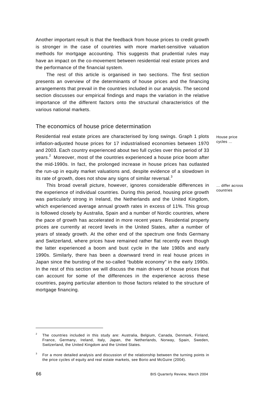Another important result is that the feedback from house prices to credit growth is stronger in the case of countries with more market-sensitive valuation methods for mortgage accounting. This suggests that prudential rules may have an impact on the co-movement between residential real estate prices and the performance of the financial system.

The rest of this article is organised in two sections. The first section presents an overview of the determinants of house prices and the financing arrangements that prevail in the countries included in our analysis. The second section discusses our empirical findings and maps the variation in the relative importance of the different factors onto the structural characteristics of the various national markets.

### The economics of house price determination

Residential real estate prices are characterised by long swings. Graph 1 plots inflation-adjusted house prices for 17 industrialised economies between 1970 and 2003. Each country experienced about two full cycles over this period of 33 years.<sup>2</sup> Moreover, most of the countries experienced a house price boom after the mid-1990s. In fact, the prolonged increase in house prices has outlasted the run-up in equity market valuations and, despite evidence of a slowdown in its rate of growth, does not show any signs of similar reversal.<sup>3</sup>

This broad overall picture, however, ignores considerable differences in the experience of individual countries. During this period, housing price growth was particularly strong in Ireland, the Netherlands and the United Kingdom, which experienced average annual growth rates in excess of 11%. This group is followed closely by Australia, Spain and a number of Nordic countries, where the pace of growth has accelerated in more recent years. Residential property prices are currently at record levels in the United States, after a number of years of steady growth. At the other end of the spectrum one finds Germany and Switzerland, where prices have remained rather flat recently even though the latter experienced a boom and bust cycle in the late 1980s and early 1990s. Similarly, there has been a downward trend in real house prices in Japan since the bursting of the so-called "bubble economy" in the early 1990s. In the rest of this section we will discuss the main drivers of house prices that can account for some of the differences in the experience across these countries, paying particular attention to those factors related to the structure of mortgage financing.

House price cycles …

… differ across countries

l

<sup>2</sup> The countries included in this study are: Australia, Belgium, Canada, Denmark, Finland, France, Germany, Ireland, Italy, Japan, the Netherlands, Norway, Spain, Sweden, Switzerland, the United Kingdom and the United States.

<sup>3</sup> For a more detailed analysis and discussion of the relationship between the turning points in the price cycles of equity and real estate markets, see Borio and McGuire (2004).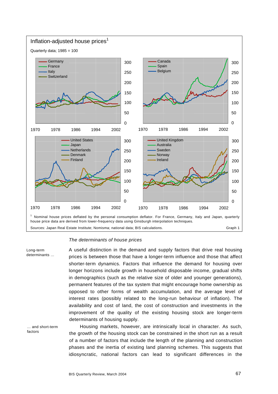

#### *The determinants of house prices*

Long-term determinants … A useful distinction in the demand and supply factors that drive real housing prices is between those that have a longer-term influence and those that affect shorter-term dynamics. Factors that influence the demand for housing over longer horizons include growth in household disposable income, gradual shifts in demographics (such as the relative size of older and younger generations), permanent features of the tax system that might encourage home ownership as opposed to other forms of wealth accumulation, and the average level of interest rates (possibly related to the long-run behaviour of inflation). The availability and cost of land, the cost of construction and investments in the improvement of the quality of the existing housing stock are longer-term determinants of housing supply.

… and short-term factors

Housing markets, however, are intrinsically local in character. As such, the growth of the housing stock can be constrained in the short run as a result of a number of factors that include the length of the planning and construction phases and the inertia of existing land planning schemes. This suggests that idiosyncratic, national factors can lead to significant differences in the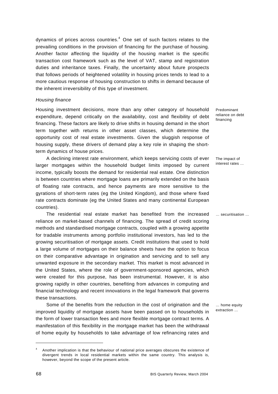dynamics of prices across countries. $4$  One set of such factors relates to the prevailing conditions in the provision of financing for the purchase of housing. Another factor affecting the liquidity of the housing market is the specific transaction cost framework such as the level of VAT, stamp and registration duties and inheritance taxes. Finally, the uncertainty about future prospects that follows periods of heightened volatility in housing prices tends to lead to a more cautious response of housing construction to shifts in demand because of the inherent irreversibility of this type of investment.

#### *Housing finance*

Housing investment decisions, more than any other category of household expenditure, depend critically on the availability, cost and flexibility of debt financing. These factors are likely to drive shifts in housing demand in the short term together with returns in other asset classes, which determine the opportunity cost of real estate investments. Given the sluggish response of housing supply, these drivers of demand play a key role in shaping the shortterm dynamics of house prices.

A declining interest rate environment, which keeps servicing costs of ever larger mortgages within the household budget limits imposed by current income, typically boosts the demand for residential real estate. One distinction is between countries where mortgage loans are primarily extended on the basis of floating rate contracts, and hence payments are more sensitive to the gyrations of short-term rates (eg the United Kingdom), and those where fixed rate contracts dominate (eg the United States and many continental European countries).

The residential real estate market has benefited from the increased reliance on market-based channels of financing. The spread of credit scoring methods and standardised mortgage contracts, coupled with a growing appetite for tradable instruments among portfolio institutional investors, has led to the growing securitisation of mortgage assets. Credit institutions that used to hold a large volume of mortgages on their balance sheets have the option to focus on their comparative advantage in origination and servicing and to sell any unwanted exposure in the secondary market. This market is most advanced in the United States, where the role of government-sponsored agencies, which were created for this purpose, has been instrumental. However, it is also growing rapidly in other countries, benefiting from advances in computing and financial technology and recent innovations in the legal framework that governs these transactions.

Some of the benefits from the reduction in the cost of origination and the improved liquidity of mortgage assets have been passed on to households in the form of lower transaction fees and more flexible mortgage contract terms. A manifestation of this flexibility in the mortgage market has been the withdrawal of home equity by households to take advantage of low refinancing rates and

Predominant reliance on debt financing

The impact of interest rates …

… securitisation …

… home equity extraction …

l

<sup>4</sup> Another implication is that the behaviour of national price averages obscures the existence of divergent trends in local residential markets within the same country. This analysis is, however, beyond the scope of the present article.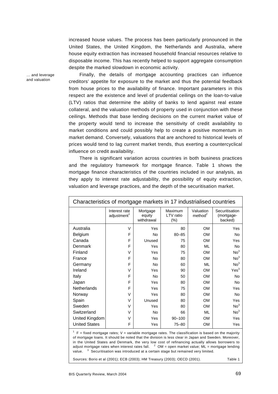increased house values. The process has been particularly pronounced in the United States, the United Kingdom, the Netherlands and Australia, where house equity extraction has increased household financial resources relative to disposable income. This has recently helped to support aggregate consumption despite the marked slowdown in economic activity.

Finally, the details of mortgage accounting practices can influence creditors' appetite for exposure to the market and thus the potential feedback from house prices to the availability of finance. Important parameters in this respect are the existence and level of prudential ceilings on the loan-to-value (LTV) ratios that determine the ability of banks to lend against real estate collateral, and the valuation methods of property used in conjunction with these ceilings. Methods that base lending decisions on the current market value of the property would tend to increase the sensitivity of credit availability to market conditions and could possibly help to create a positive momentum in market demand. Conversely, valuations that are anchored to historical levels of prices would tend to lag current market trends, thus exerting a countercyclical influence on credit availability.

There is significant variation across countries in both business practices and the regulatory framework for mortgage finance. Table 1 shows the mortgage finance characteristics of the countries included in our analysis, as they apply to interest rate adjustability, the possibility of equity extraction, valuation and leverage practices, and the depth of the securitisation market.

| Characteristics of mortgage markets in 17 industrialised countries |                                          |                                  |                                |                                  |                                         |  |
|--------------------------------------------------------------------|------------------------------------------|----------------------------------|--------------------------------|----------------------------------|-----------------------------------------|--|
|                                                                    | Interest rate<br>adjustment <sup>1</sup> | Mortgage<br>equity<br>withdrawal | Maximum<br>LTV ratio<br>$(\%)$ | Valuation<br>method <sup>2</sup> | Securitisation<br>(mortgage-<br>backed) |  |
| Australia                                                          | $\vee$                                   | Yes                              | 80                             | <b>OM</b>                        | Yes                                     |  |
| Belgium                                                            | F                                        | <b>No</b>                        | $80 - 85$                      | <b>OM</b>                        | <b>No</b>                               |  |
| Canada                                                             | F                                        | Unused                           | 75                             | <b>OM</b>                        | Yes                                     |  |
| Denmark                                                            | F                                        | Yes                              | 80                             | ML                               | <b>No</b>                               |  |
| Finland                                                            | $\vee$                                   | Yes                              | 75                             | <b>OM</b>                        | No <sup>3</sup>                         |  |
| France                                                             | F                                        | <b>No</b>                        | 80                             | <b>OM</b>                        | No <sup>3</sup>                         |  |
| Germany                                                            | F                                        | <b>No</b>                        | 60                             | <b>ML</b>                        | No <sup>3</sup>                         |  |
| Ireland                                                            | $\vee$                                   | Yes                              | 90                             | <b>OM</b>                        | Yes <sup>3</sup>                        |  |
| Italy                                                              | F                                        | <b>No</b>                        | 50                             | <b>OM</b>                        | <b>No</b>                               |  |
| Japan                                                              | F                                        | Yes                              | 80                             | <b>OM</b>                        | <b>No</b>                               |  |
| <b>Netherlands</b>                                                 | F                                        | Yes                              | 75                             | <b>OM</b>                        | Yes                                     |  |
| Norway                                                             | $\vee$                                   | Yes                              | 80                             | <b>OM</b>                        | No                                      |  |
| Spain                                                              | $\vee$                                   | Unused                           | 80                             | <b>OM</b>                        | Yes                                     |  |
| Sweden                                                             | $\vee$                                   | Yes                              | 80                             | <b>OM</b>                        | No <sup>3</sup>                         |  |
| Switzerland                                                        | $\vee$                                   | <b>No</b>                        | 66                             | <b>ML</b>                        | No <sup>3</sup>                         |  |
| United Kingdom                                                     | $\vee$                                   | Yes                              | $90 - 100$                     | <b>OM</b>                        | Yes                                     |  |
| <b>United States</b>                                               | F                                        | Yes                              | $75 - 80$                      | <b>OM</b>                        | Yes                                     |  |

 $1$  F = fixed mortgage rates; V = variable mortgage rates. The classification is based on the majority of mortgage loans. It should be noted that the division is less clear in Japan and Sweden. Moreover, in the United States and Denmark, the very low cost of refinancing actually allows borrowers to adjust mortgage rates when interest rates fall.  $2^{\circ}$  OM = open market value; ML = mortgage lending value.  $3$  Securitisation was introduced at a certain stage but remained very limited.

Sources: Borio et al (2001); ECB (2003); HM Treasury (2003); OECD (2001). Table 1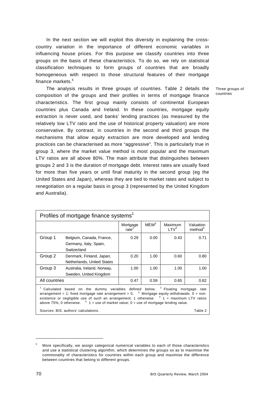In the next section we will exploit this diversity in explaining the crosscountry variation in the importance of different economic variables in influencing house prices. For this purpose we classify countries into three groups on the basis of these characteristics. To do so, we rely on statistical classification techniques to form groups of countries that are broadly homogeneous with respect to those structural features of their mortgage finance markets.<sup>5</sup>

The analysis results in three groups of countries. Table 2 details the composition of the groups and their profiles in terms of mortgage finance characteristics. The first group mainly consists of continental European countries plus Canada and Ireland. In these countries, mortgage equity extraction is never used, and banks' lending practices (as measured by the relatively low LTV ratio and the use of historical property valuation) are more conservative. By contrast, in countries in the second and third groups the mechanisms that allow equity extraction are more developed and lending practices can be characterised as more "aggressive". This is particularly true in group 3, where the market value method is most popular and the maximum LTV ratios are all above 80%. The main attribute that distinguishes between groups 2 and 3 is the duration of mortgage debt. Interest rates are usually fixed for more than five years or until final maturity in the second group (eg the United States and Japan), whereas they are tied to market rates and subject to renegotiation on a regular basis in group 3 (represented by the United Kingdom and Australia).

| Profiles of mortgage finance systems <sup>1</sup>                                                                                                                                                                                                                                                                                                                                                                 |                                                                   |                               |                  |                              |                                  |  |  |
|-------------------------------------------------------------------------------------------------------------------------------------------------------------------------------------------------------------------------------------------------------------------------------------------------------------------------------------------------------------------------------------------------------------------|-------------------------------------------------------------------|-------------------------------|------------------|------------------------------|----------------------------------|--|--|
|                                                                                                                                                                                                                                                                                                                                                                                                                   |                                                                   | Mortgage<br>rate <sup>2</sup> | MFW <sup>3</sup> | Maximum<br>I TV <sup>4</sup> | Valuation<br>method <sup>5</sup> |  |  |
| Group 1                                                                                                                                                                                                                                                                                                                                                                                                           | Belgium, Canada, France,<br>Germany, Italy, Spain,<br>Switzerland | 0.29                          | 0.00             | 0.43                         | 0.71                             |  |  |
| Group 2                                                                                                                                                                                                                                                                                                                                                                                                           | Denmark, Finland, Japan,<br>Netherlands, United States            | 0.20                          | 1.00             | 0.60                         | 0.80                             |  |  |
| Group 3                                                                                                                                                                                                                                                                                                                                                                                                           | Australia, Ireland, Norway,<br>Sweden, United Kingdom             | 1.00                          | 1.00             | 1.00                         | 1.00                             |  |  |
| All countries                                                                                                                                                                                                                                                                                                                                                                                                     |                                                                   | 0.47                          | 0.59             | 0.65                         | 0.82                             |  |  |
| based on the dummy variables defined below. <sup>2</sup> Floating mortgage<br>Calculated<br>rate<br>arrangement = 1; fixed mortgage rate arrangement = $0.$ <sup>3</sup> Mortgage equity withdrawals. $0 =$ non-<br>existence or negligible use of such an arrangement; 1 otherwise. $4$ 1 = maximum LTV ratios<br>above 75%; 0 otherwise. $5 \times 1 =$ use of market value; 0 = use of mortgage lending value. |                                                                   |                               |                  |                              |                                  |  |  |
| Table 2<br>Sources: BIS; authors' calculations.                                                                                                                                                                                                                                                                                                                                                                   |                                                                   |                               |                  |                              |                                  |  |  |

Three groups of countries

<sup>5</sup> More specifically, we assign categorical numerical variables to each of those characteristics and use a statistical clustering algorithm, which determines the groups so as to maximise the commonality of characteristics for countries within each group and maximise the difference between countries that belong to different groups.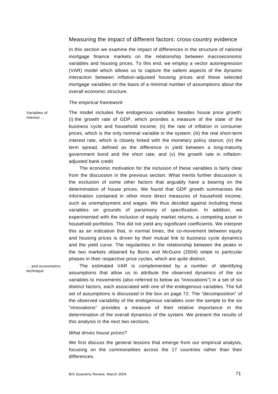#### Measuring the impact of different factors: cross-country evidence

In this section we examine the impact of differences in the structure of national mortgage finance markets on the relationship between macroeconomic variables and housing prices. To this end, we employ a vector autoregression (VAR) model which allows us to capture the salient aspects of the dynamic interaction between inflation-adjusted housing prices and these selected mortgage variables on the basis of a minimal number of assumptions about the overall economic structure.

#### *The empirical framework*

Variables of interest …

The model includes five endogenous variables besides house price growth: (i) the growth rate of GDP, which provides a measure of the state of the business cycle and household income; (ii) the rate of inflation in consumer prices, which is the only nominal variable in the system; (iii) the real short-term interest rate, which is closely linked with the monetary policy stance; (iv) the term spread, defined as the difference in yield between a long-maturity government bond and the short rate; and (v) the growth rate in inflationadjusted bank credit.

The economic motivation for the inclusion of these variables is fairly clear from the discussion in the previous section. What merits further discussion is the exclusion of some other factors that arguably have a bearing on the determination of house prices. We found that GDP growth summarises the information contained in other more direct measures of household income, such as unemployment and wages. We thus decided against including these variables on grounds of parsimony of specification. In addition, we experimented with the inclusion of equity market returns, a competing asset in household portfolios. This did not yield any significant coefficients. We interpret this as an indication that, in normal times, the co-movement between equity and housing prices is driven by their mutual link to business cycle dynamics and the yield curve. The regularities in the relationship between the peaks in the two markets obtained by Borio and McGuire (2004) relate to particular phases in their respective price cycles, which are quite distinct.

… and econometric technique

The estimated VAR is complemented by a number of identifying assumptions that allow us to attribute the observed dynamics of the six variables to movements (also referred to below as "innovations") in a set of six distinct factors, each associated with one of the endogenous variables. The full set of assumptions is discussed in the box on page 72. The "decomposition" of the observed variability of the endogenous variables over the sample to the six "innovations" provides a measure of their relative importance in the determination of the overall dynamics of the system. We present the results of this analysis in the next two sections.

#### *What drives house prices?*

We first discuss the general lessons that emerge from our empirical analysis, focusing on the commonalities across the 17 countries rather than their differences.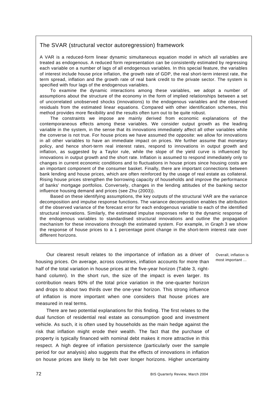# The SVAR (structural vector autoregression) framework

A VAR is a reduced-form linear dynamic simultaneous equation model in which all variables are treated as endogenous. A reduced form representation can be consistently estimated by regressing each variable on a number of lags of all endogenous variables. In this special feature, the variables of interest include house price inflation, the growth rate of GDP, the real short-term interest rate, the term spread, inflation and the growth rate of real bank credit to the private sector. The system is specified with four lags of the endogenous variables.

To examine the dynamic interactions among these variables, we adopt a number of assumptions about the structure of the economy in the form of implied relationships between a set of uncorrelated unobserved shocks (innovations) to the endogenous variables and the observed residuals from the estimated linear equations. Compared with other identification schemes, this method provides more flexibility and the results often turn out to be quite robust.

The constraints we impose are mainly derived from economic explanations of the contemporaneous effects among these variables. We consider output growth as the leading variable in the system, in the sense that its innovations immediately affect all other variables while the converse is not true. For house prices we have assumed the opposite: we allow for innovations in all other variables to have an immediate impact on prices. We further assume that monetary policy, and hence short-term real interest rates, respond to innovations in output growth and inflation, as suggested by a Taylor rule, while the slope of the yield curve is influenced by innovations in output growth and the short rate. Inflation is assumed to respond immediately only to changes in current economic conditions and to fluctuations in house prices since housing costs are an important component of the consumer basket. Finally, there are important connections between bank lending and house prices, which are often reinforced by the usage of real estate as collateral. Rising house prices strengthen the borrowing capacity of households and improve the performance of banks' mortgage portfolios. Conversely, changes in the lending attitudes of the banking sector influence housing demand and prices (see Zhu (2003)).

Based on these identifying assumptions, the key outputs of the structural VAR are the variance decomposition and impulse response functions. The variance decomposition enables the attribution of the observed variance of the forecast error for each endogenous variable to each of the identified structural innovations. Similarly, the estimated impulse responses refer to the dynamic response of the endogenous variables to standardised structural innovations and outline the propagation mechanism for these innovations through the estimated system. For example, in Graph 3 we show the response of house prices to a 1 percentage point change in the short-term interest rate over different horizons.

Our clearest result relates to the importance of inflation as a driver of housing prices. On average, across countries, inflation accounts for more than half of the total variation in house prices at the five-year horizon (Table 3, righthand column). In the short run, the size of the impact is even larger. Its contribution nears 90% of the total price variation in the one-quarter horizon and drops to about two thirds over the one-year horizon. This strong influence of inflation is more important when one considers that house prices are measured in real terms.

There are two potential explanations for this finding. The first relates to the dual function of residential real estate as consumption good and investment vehicle. As such, it is often used by households as the main hedge against the risk that inflation might erode their wealth. The fact that the purchase of property is typically financed with nominal debt makes it more attractive in this respect. A high degree of inflation persistence (particularly over the sample period for our analysis) also suggests that the effects of innovations in inflation on house prices are likely to be felt over longer horizons. Higher uncertainty

Overall, inflation is most important ...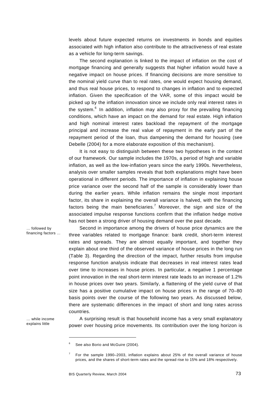levels about future expected returns on investments in bonds and equities associated with high inflation also contribute to the attractiveness of real estate as a vehicle for long-term savings.

The second explanation is linked to the impact of inflation on the cost of mortgage financing and generally suggests that higher inflation would have a negative impact on house prices. If financing decisions are more sensitive to the nominal yield curve than to real rates, one would expect housing demand, and thus real house prices, to respond to changes in inflation and to expected inflation. Given the specification of the VAR, some of this impact would be picked up by the inflation innovation since we include only real interest rates in the system.<sup>6</sup> In addition, inflation may also proxy for the prevailing financing conditions, which have an impact on the demand for real estate. High inflation and high nominal interest rates backload the repayment of the mortgage principal and increase the real value of repayment in the early part of the repayment period of the loan, thus dampening the demand for housing (see Debelle (2004) for a more elaborate exposition of this mechanism).

It is not easy to distinguish between these two hypotheses in the context of our framework. Our sample includes the 1970s, a period of high and variable inflation, as well as the low-inflation years since the early 1990s. Nevertheless, analysis over smaller samples reveals that both explanations might have been operational in different periods. The importance of inflation in explaining house price variance over the second half of the sample is considerably lower than during the earlier years. While inflation remains the single most important factor, its share in explaining the overall variance is halved, with the financing factors being the main beneficiaries.<sup>7</sup> Moreover, the sign and size of the associated impulse response functions confirm that the inflation hedge motive has not been a strong driver of housing demand over the past decade.

Second in importance among the drivers of house price dynamics are the three variables related to mortgage finance: bank credit, short-term interest rates and spreads. They are almost equally important, and together they explain about one third of the observed variance of house prices in the long run (Table 3). Regarding the direction of the impact, further results from impulse response function analysis indicate that decreases in real interest rates lead over time to increases in house prices. In particular, a negative 1 percentage point innovation in the real short-term interest rate leads to an increase of 1.2% in house prices over two years. Similarly, a flattening of the yield curve of that size has a positive cumulative impact on house prices in the range of 70–80 basis points over the course of the following two years. As discussed below, there are systematic differences in the impact of short and long rates across countries.

… while income explains little

… followed by financing factors …

l

A surprising result is that household income has a very small explanatory power over housing price movements. Its contribution over the long horizon is

<sup>6</sup> See also Borio and McGuire (2004).

<sup>7</sup> For the sample 1990–2003, inflation explains about 25% of the overall variance of house prices, and the shares of short-term rates and the spread rise to 15% and 18% respectively.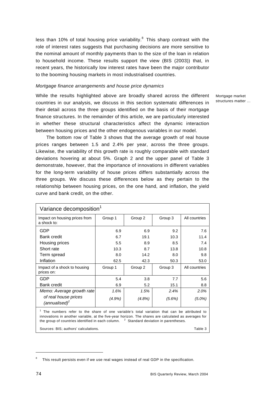less than 10% of total housing price variability. $8$  This sharp contrast with the role of interest rates suggests that purchasing decisions are more sensitive to the nominal amount of monthly payments than to the size of the loan in relation to household income. These results support the view (BIS (2003)) that, in recent years, the historically low interest rates have been the major contributor to the booming housing markets in most industrialised countries.

#### *Mortgage finance arrangements and house price dynamics*

While the results highlighted above are broadly shared across the different countries in our analysis, we discuss in this section systematic differences in their detail across the three groups identified on the basis of their mortgage finance structures. In the remainder of this article, we are particularly interested in whether these structural characteristics affect the dynamic interaction between housing prices and the other endogenous variables in our model.

The bottom row of Table 3 shows that the average growth of real house prices ranges between 1.5 and 2.4% per year, across the three groups. Likewise, the variability of this growth rate is roughly comparable with standard deviations hovering at about 5%. Graph 2 and the upper panel of Table 3 demonstrate, however, that the importance of innovations in different variables for the long-term variability of house prices differs substantially across the three groups. We discuss these differences below as they pertain to the relationship between housing prices, on the one hand, and inflation, the yield curve and bank credit, on the other.

| Variance decomposition <sup>1</sup>                                                                                                                                                                                                                                                                        |           |           |           |               |  |  |  |
|------------------------------------------------------------------------------------------------------------------------------------------------------------------------------------------------------------------------------------------------------------------------------------------------------------|-----------|-----------|-----------|---------------|--|--|--|
| Impact on housing prices from<br>a shock to:                                                                                                                                                                                                                                                               | Group 1   | Group 2   | Group 3   | All countries |  |  |  |
| <b>GDP</b>                                                                                                                                                                                                                                                                                                 | 6.9       | 6.9       | 9.2       | 7.6           |  |  |  |
| <b>Bank credit</b>                                                                                                                                                                                                                                                                                         | 6.7       | 19.1      | 10.3      | 11.4          |  |  |  |
| Housing prices                                                                                                                                                                                                                                                                                             | 5.5       | 8.9       | 8.5       | 7.4           |  |  |  |
| Short rate                                                                                                                                                                                                                                                                                                 | 10.3      | 8.7       | 13.8      | 10.8          |  |  |  |
| Term spread                                                                                                                                                                                                                                                                                                | 8.0       | 14.2      | 8.0       | 9.8           |  |  |  |
| Inflation                                                                                                                                                                                                                                                                                                  | 62.5      | 42.3      | 50.3      | 53.0          |  |  |  |
| Impact of a shock to housing<br>prices on:                                                                                                                                                                                                                                                                 | Group 1   | Group 2   | Group 3   | All countries |  |  |  |
| <b>GDP</b>                                                                                                                                                                                                                                                                                                 | 5.4       | 3.8       | 7.7       | 5.6           |  |  |  |
| <b>Bank credit</b>                                                                                                                                                                                                                                                                                         | 6.9       | 5.2       | 15.1      | 8.8           |  |  |  |
| Memo: Average growth rate                                                                                                                                                                                                                                                                                  | 1.6%      | 1.5%      | 2.4%      | 2.0%          |  |  |  |
| of real house prices<br>(annualised) <sup>2</sup>                                                                                                                                                                                                                                                          | $(4.9\%)$ | $(4.8\%)$ | $(5.6\%)$ | $(5.0\%)$     |  |  |  |
| The numbers refer to the share of one variable's total variation that can be attributed to<br>innovations in another variable, at the five-year horizon. The shares are calculated as averages for<br><sup>2</sup> Standard deviation in parentheses.<br>the group of countries identified in each column. |           |           |           |               |  |  |  |
| Sources: BIS: authors' calculations.<br>Table 3                                                                                                                                                                                                                                                            |           |           |           |               |  |  |  |

Mortgage market structures matter …

<sup>8</sup> This result persists even if we use real wages instead of real GDP in the specification.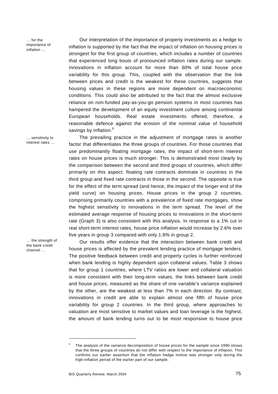$\frac{1}{2}$  for the importance of inflation …

… sensitivity to interest rates …

Our interpretation of the importance of property investments as a hedge to inflation is supported by the fact that the impact of inflation on housing prices is strongest for the first group of countries, which includes a number of countries that experienced long bouts of pronounced inflation rates during our sample. Innovations in inflation account for more than 60% of total house price variability for this group. This, coupled with the observation that the link between prices and credit is the weakest for these countries, suggests that housing values in these regions are more dependent on macroeconomic conditions. This could also be attributed to the fact that the almost exclusive reliance on non-funded pay-as-you-go pension systems in most countries has hampered the development of an equity investment culture among continental European households. Real estate investments offered, therefore, a reasonable defence against the erosion of the nominal value of household savings by inflation.<sup>9</sup>

The prevailing practice in the adjustment of mortgage rates is another factor that differentiates the three groups of countries. For those countries that use predominantly floating mortgage rates, the impact of short-term interest rates on house prices is much stronger. This is demonstrated most clearly by the comparison between the second and third groups of countries, which differ primarily on this aspect: floating rate contracts dominate in countries in the third group and fixed rate contracts in those in the second. The opposite is true for the effect of the term spread (and hence, the impact of the longer end of the yield curve) on housing prices. House prices in the group 2 countries, comprising primarily countries with a prevalence of fixed rate mortgages, show the highest sensitivity to innovations in the term spread. The level of the estimated average response of housing prices to innovations in the short-term rate (Graph 3) is also consistent with this analysis. In response to a 1% cut in real short-term interest rates, house price inflation would increase by 2.6% over five years in group 3 compared with only 1.8% in group 2.

Our results offer evidence that the interaction between bank credit and house prices is affected by the prevalent lending practice of mortgage lenders. The positive feedback between credit and property cycles is further reinforced when bank lending is highly dependent upon collateral values. Table 3 shows that for group 1 countries, where LTV ratios are lower and collateral valuation is more consistent with their long-term values, the links between bank credit and house prices, measured as the share of one variable's variance explained by the other, are the weakest at less than 7% in each direction. By contrast, innovations in credit are able to explain almost one fifth of house price variability for group 2 countries. In the third group, where approaches to valuation are most sensitive to market values and loan leverage is the highest, the amount of bank lending turns out to be most responsive to house price

… the strength of the bank credit channel …

<sup>9</sup> The analysis of the variance decomposition of house prices for the sample since 1990 shows that the three groups of countries do not differ with respect to the importance of inflation. This confirms our earlier assertion that the inflation hedge motive was stronger only during the high-inflation period of the earlier part of our sample.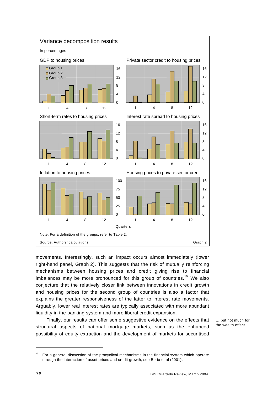

movements. Interestingly, such an impact occurs almost immediately (lower right-hand panel, Graph 2). This suggests that the risk of mutually reinforcing mechanisms between housing prices and credit giving rise to financial imbalances may be more pronounced for this group of countries.<sup>10</sup> We also conjecture that the relatively closer link between innovations in credit growth and housing prices for the second group of countries is also a factor that explains the greater responsiveness of the latter to interest rate movements. Arguably, lower real interest rates are typically associated with more abundant liquidity in the banking system and more liberal credit expansion.

Finally, our results can offer some suggestive evidence on the effects that structural aspects of national mortgage markets, such as the enhanced possibility of equity extraction and the development of markets for securitised

… but not much for the wealth effect

<sup>&</sup>lt;sup>10</sup> For a general discussion of the procyclical mechanisms in the financial system which operate through the interaction of asset prices and credit growth, see Borio et al (2001).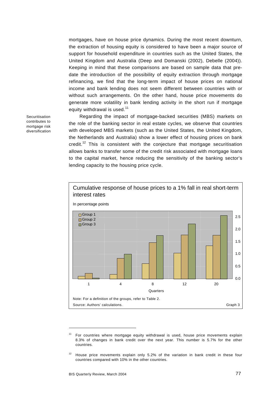mortgages, have on house price dynamics. During the most recent downturn, the extraction of housing equity is considered to have been a major source of support for household expenditure in countries such as the United States, the United Kingdom and Australia (Deep and Domanski (2002), Debelle (2004)). Keeping in mind that these comparisons are based on sample data that predate the introduction of the possibility of equity extraction through mortgage refinancing, we find that the long-term impact of house prices on national income and bank lending does not seem different between countries with or without such arrangements. On the other hand, house price movements do generate more volatility in bank lending activity in the short run if mortgage equity withdrawal is used.<sup>11</sup>

Regarding the impact of mortgage-backed securities (MBS) markets on the role of the banking sector in real estate cycles, we observe that countries with developed MBS markets (such as the United States, the United Kingdom, the Netherlands and Australia) show a lower effect of housing prices on bank credit.<sup>12</sup> This is consistent with the conjecture that mortgage securitisation allows banks to transfer some of the credit risk associated with mortgage loans to the capital market, hence reducing the sensitivity of the banking sector's lending capacity to the housing price cycle.



<sup>11</sup> For countries where mortgage equity withdrawal is used, house price movements explain 8.3% of changes in bank credit over the next year. This number is 5.7% for the other countries.

 $12$  House price movements explain only 5.2% of the variation in bank credit in these four countries compared with 10% in the other countries.

Securitisation contributes to mortgage risk diversification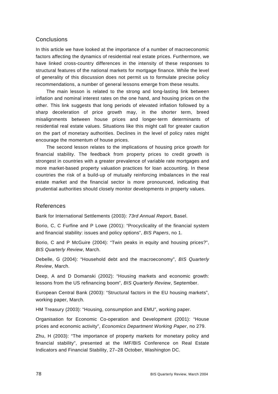# Conclusions

In this article we have looked at the importance of a number of macroeconomic factors affecting the dynamics of residential real estate prices. Furthermore, we have linked cross-country differences in the intensity of these responses to structural features of the national markets for mortgage finance. While the level of generality of this discussion does not permit us to formulate precise policy recommendations, a number of general lessons emerge from these results.

The main lesson is related to the strong and long-lasting link between inflation and nominal interest rates on the one hand, and housing prices on the other. This link suggests that long periods of elevated inflation followed by a sharp deceleration of price growth may, in the shorter term, breed misalignments between house prices and longer-term determinants of residential real estate values. Situations like this might call for greater caution on the part of monetary authorities. Declines in the level of policy rates might encourage the momentum of house prices.

The second lesson relates to the implications of housing price growth for financial stability. The feedback from property prices to credit growth is strongest in countries with a greater prevalence of variable rate mortgages and more market-based property valuation practices for loan accounting. In these countries the risk of a build-up of mutually reinforcing imbalances in the real estate market and the financial sector is more pronounced, indicating that prudential authorities should closely monitor developments in property values.

#### References

Bank for International Settlements (2003): *73rd Annual Report*, Basel.

Borio, C, C Furfine and P Lowe (2001): "Procyclicality of the financial system and financial stability: issues and policy options", *BIS Papers*, no 1.

Borio, C and P McGuire (2004): "Twin peaks in equity and housing prices?", *BIS Quarterly Review*, March.

Debelle, G (2004): "Household debt and the macroeconomy", *BIS Quarterly Review*, March.

Deep, A and D Domanski (2002): "Housing markets and economic growth: lessons from the US refinancing boom", *BIS Quarterly Review*, September.

European Central Bank (2003): "Structural factors in the EU housing markets", working paper, March.

HM Treasury (2003): "Housing, consumption and EMU", working paper.

Organisation for Economic Co-operation and Development (2001): "House prices and economic activity", *Economics Department Working Paper*, no 279.

Zhu, H (2003): "The importance of property markets for monetary policy and financial stability", presented at the IMF/BIS Conference on Real Estate Indicators and Financial Stability, 27–28 October, Washington DC.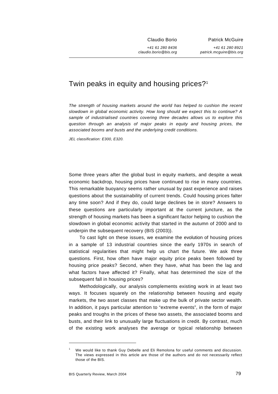Claudio Borio

*+41 61 280 8436 claudio.borio@bis.org*

Patrick McGuire

*+41 61 280 8921 patrick.mcguire@bis.org*

# Twin peaks in equity and housing prices?<sup>1</sup>

*The strength of housing markets around the world has helped to cushion the recent slowdown in global economic activity. How long should we expect this to continue? A sample of industrialised countries covering three decades allows us to explore this question through an analysis of major peaks in equity and housing prices, the associated booms and busts and the underlying credit conditions.* 

*JEL classification: E300, E320.* 

Some three years after the global bust in equity markets, and despite a weak economic backdrop, housing prices have continued to rise in many countries. This remarkable buoyancy seems rather unusual by past experience and raises questions about the sustainability of current trends. Could housing prices falter any time soon? And if they do, could large declines be in store? Answers to these questions are particularly important at the current juncture, as the strength of housing markets has been a significant factor helping to cushion the slowdown in global economic activity that started in the autumn of 2000 and to underpin the subsequent recovery (BIS (2003)).

To cast light on these issues, we examine the evolution of housing prices in a sample of 13 industrial countries since the early 1970s in search of statistical regularities that might help us chart the future. We ask three questions. First, how often have major equity price peaks been followed by housing price peaks? Second, when they have, what has been the lag and what factors have affected it? Finally, what has determined the size of the subsequent fall in housing prices?

Methodologically, our analysis complements existing work in at least two ways. It focuses squarely on the relationship between housing and equity markets, the two asset classes that make up the bulk of private sector wealth. In addition, it pays particular attention to "extreme events", in the form of major peaks and troughs in the prices of these two assets, the associated booms and busts, and their link to unusually large fluctuations in credit. By contrast, much of the existing work analyses the average or typical relationship between

<sup>1</sup> We would like to thank Guy Debelle and Eli Remolona for useful comments and discussion. The views expressed in this article are those of the authors and do not necessarily reflect those of the BIS.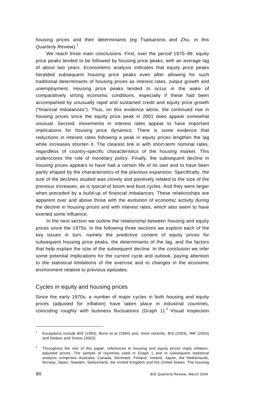housing prices and their determinants (eg Tsatsaronis and Zhu, in this *Quarterly Review*).<sup>2</sup>

We reach three main conclusions. First, over the period 1970–99, equity price peaks tended to be followed by housing price peaks, with an average lag of about two years. Econometric analysis indicates that equity price peaks heralded subsequent housing price peaks even after allowing for such traditional determinants of housing prices as interest rates, output growth and unemployment. Housing price peaks tended to occur in the wake of comparatively strong economic conditions, especially if these had been accompanied by unusually rapid and sustained credit and equity price growth ("financial imbalances"). Thus, on this evidence alone, the continued rise in housing prices since the equity price peak in 2001 does appear somewhat unusual. Second, movements in interest rates appear to have important implications for housing price dynamics. There is some evidence that reductions in interest rates following a peak in equity prices lengthen the lag while increases shorten it. The clearest link is with short-term nominal rates, regardless of country-specific characteristics of the housing market. This underscores the role of monetary policy. Finally, the subsequent decline in housing prices appears to have had a certain life of its own and to have been partly shaped by the characteristics of the previous expansion. Specifically, the size of the declines studied was closely and positively related to the size of the previous increases, as is typical of boom and bust cycles. And they were larger when preceded by a build-up of financial imbalances. These relationships are apparent over and above those with the evolution of economic activity during the decline in housing prices and with interest rates, which also seem to have exerted some influence.

In the next section we outline the relationship between housing and equity prices since the 1970s. In the following three sections we explore each of the key issues in turn, namely the predictive content of equity prices for subsequent housing price peaks, the determinants of the lag, and the factors that help explain the size of the subsequent decline. In the conclusion we infer some potential implications for the current cycle and outlook, paying attention to the statistical limitations of the exercise and to changes in the economic environment relative to previous episodes.

#### Cycles in equity and housing prices

Since the early 1970s, a number of major cycles in both housing and equity prices (adjusted for inflation) have taken place in industrial countries, coinciding roughly with business fluctuations (Graph 1).<sup>3</sup> Visual inspection

<sup>2</sup> Exceptions include BIS (1993), Borio et al (1994) and, more recently, BIS (2003), IMF (2003) and Detken and Smets (2003).

<sup>3</sup> Throughout the rest of this paper, references to housing and equity prices imply inflationadjusted prices. The sample of countries used in Graph 1 and in subsequent statistical analysis comprises Australia, Canada, Denmark, Finland, Ireland, Japan, the Netherlands, Norway, Spain, Sweden, Switzerland, the United Kingdom and the United States. The housing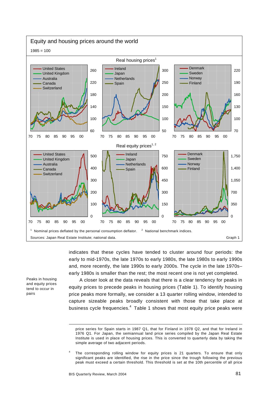

indicates that these cycles have tended to cluster around four periods: the early to mid-1970s, the late 1970s to early 1980s, the late 1980s to early 1990s and, more recently, the late 1990s to early 2000s. The cycle in the late 1970s– early 1980s is smaller than the rest; the most recent one is not yet completed.

Peaks in housing and equity prices tend to occur in pairs

l

A closer look at the data reveals that there is a clear tendency for peaks in equity prices to precede peaks in housing prices (Table 1). To identify housing price peaks more formally, we consider a 13 quarter rolling window, intended to capture sizeable peaks broadly consistent with those that take place at business cycle frequencies. $^4$  Table 1 shows that most equity price peaks were

price series for Spain starts in 1987 Q1, that for Finland in 1978 Q2, and that for Ireland in 1976 Q1. For Japan, the semiannual land price series compiled by the Japan Real Estate Institute is used in place of housing prices. This is converted to quarterly data by taking the simple average of two adjacent periods.

<sup>4</sup> The corresponding rolling window for equity prices is 21 quarters. To ensure that only significant peaks are identified, the rise in the price since the trough following the previous peak must exceed a certain threshold. This threshold is set at the 10th percentile of all price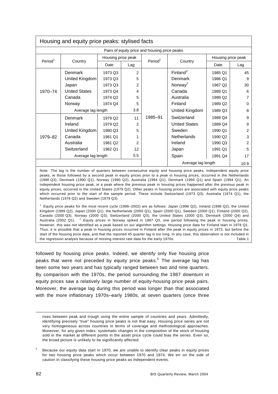| Housing and equity price peaks: stylised facts |                                               |         |                     |         |                      |                    |      |  |  |
|------------------------------------------------|-----------------------------------------------|---------|---------------------|---------|----------------------|--------------------|------|--|--|
|                                                | Pairs of equity price and housing price peaks |         |                     |         |                      |                    |      |  |  |
| Period <sup>1</sup>                            | Housing price peak                            |         | Period <sup>1</sup> |         |                      | Housing price peak |      |  |  |
|                                                | Country                                       | Date    | Lag                 |         | Country              | Date               | Lag  |  |  |
|                                                | <b>Denmark</b>                                | 1973 Q3 | $\overline{2}$      |         | Finland <sup>2</sup> | 1985 Q1            | 45   |  |  |
|                                                | United Kingdom                                | 1973 Q3 | 5                   |         | Denmark              | 1986 Q1            | 9    |  |  |
|                                                | Japan                                         | 1973 Q3 | 2                   |         | Norway <sup>2</sup>  | 1987 Q2            | 30   |  |  |
| 1970-74                                        | <b>United States</b>                          | 1973 Q4 | 4                   |         | Canada               | 1989 Q1            | 6    |  |  |
|                                                | Canada                                        | 1974 Q2 | 5                   |         | Australia            | 1989 Q2            | 7    |  |  |
|                                                | Norway                                        | 1974 Q4 | 5                   |         | Finland              | 1989 Q2            | 0    |  |  |
|                                                | Average lag length                            |         | 3.8                 |         | United Kingdom       | 1989 Q3            | 8    |  |  |
|                                                | Denmark                                       | 1979 Q2 | 11                  | 1985-91 | Switzerland          | 1989 Q4            | 9    |  |  |
|                                                | Ireland                                       | 1979 Q2 | 2                   |         | <b>United States</b> | 1989 Q4            | 9    |  |  |
|                                                | United Kingdom                                | 1980 Q3 | 5                   |         | Sweden               | 1990 Q1            | 2    |  |  |
| 1979-82                                        | Canada                                        | 1981 Q1 |                     |         | <b>Netherlands</b>   | 1990 Q2            | 3    |  |  |
|                                                | Australia                                     | 1981 Q2 | 2                   |         | Ireland              | 1990 Q3            | 2    |  |  |
|                                                | Switzerland                                   | 1982 Q1 | 12                  |         | Japan                | 1991 Q1            | 5    |  |  |
| Average lag length                             |                                               |         | 5.5                 |         | Spain                | 1991 Q4            | 17   |  |  |
|                                                |                                               |         |                     |         | Average lag length   |                    | 10.9 |  |  |

Note: The lag is the number of quarters between consecutive equity and housing price peaks. Independent equity price peaks, ie those followed by a second peak in equity prices prior to a peak in housing prices, occurred in the Netherlands (1986 Q3), Denmark (1990 Q1), Norway (1990 Q2), Australia (1994 Q1), Denmark (1994 Q1) and Spain (1994 Q1). An independent housing price peak, ie a peak where the previous peak in housing prices happened after the previous peak in equity prices, occurred in the United States (1979 Q2). Other peaks in housing prices are associated with equity price peaks which occurred prior to the start of the sample period. These include Switzerland (1973 Q3), Australia (1974 Q1), the Netherlands (1978 Q2) and Sweden (1979 Q3).

1 Equity price peaks for the most recent cycle (1996–2002) are as follows: Japan (1996 Q2), Ireland (1998 Q2), the United Kingdom (1999 Q2), Japan (2000 Q1), the Netherlands (2000 Q1), Spain (2000 Q1), Sweden (2000 Q1), Finland (2000 Q2), Canada (2000 Q3), Norway (2000 Q3), Switzerland (2000 Q3), the United States (2000 Q3), Denmark (2000 Q4) and Australia (2002 Q1).  $2^2$  Equity prices in Norway spiked in 1987 Q3, one period following the peak in housing prices. However, this was not identified as a peak based on our algorithm settings. Housing price data for Finland start in 1978 Q1. Thus, it is possible that a peak in housing prices occurred in Finland after the peak in equity prices in 1973, but before the start of the housing price data, and that the reported 45 quarter lag is too long. In any case, this observation is not included in the regression analysis because of missing interest rate data for the early 1970s. Table 1

followed by housing price peaks. Indeed, we identify only five housing price peaks that were not preceded by equity price peaks.<sup>5</sup> The average lag has been some two years and has typically ranged between two and nine quarters. By comparison with the 1970s, the period surrounding the 1987 downturn in equity prices saw a relatively large number of equity-housing price peak pairs. Moreover, the average lag during this period was longer than that associated with the more inflationary 1970s–early 1980s, at seven quarters (once three

rises between peak and trough using the entire sample of countries and years. Admittedly, identifying precisely "true" housing price peaks is not that easy. Housing price series are not very homogeneous across countries in terms of coverage and methodological approaches. Moreover, for any given index, systematic changes in the composition of the stock of housing sold in the market at different points in the asset price cycle could bias the series. Even so, the broad picture is unlikely to be significantly affected.

<sup>5</sup> Because our equity data start in 1970, we are unable to identify clear peaks in equity prices for two housing price peaks which occur between 1970 and 1974. We err on the side of caution in classifying these housing price peaks as independent events.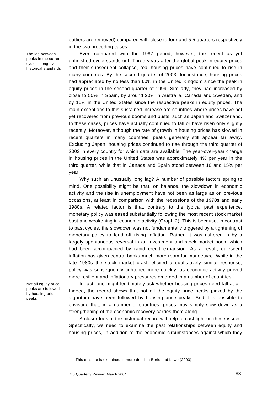outliers are removed) compared with close to four and 5.5 quarters respectively in the two preceding cases.

The lag between peaks in the current cycle is long by historical standards

Even compared with the 1987 period, however, the recent as yet unfinished cycle stands out. Three years after the global peak in equity prices and their subsequent collapse, real housing prices have continued to rise in many countries. By the second quarter of 2003, for instance, housing prices had appreciated by no less than 60% in the United Kingdom since the peak in equity prices in the second quarter of 1999. Similarly, they had increased by close to 50% in Spain, by around 20% in Australia, Canada and Sweden, and by 15% in the United States since the respective peaks in equity prices. The main exceptions to this sustained increase are countries where prices have not yet recovered from previous booms and busts, such as Japan and Switzerland. In these cases, prices have actually continued to fall or have risen only slightly recently. Moreover, although the rate of growth in housing prices has slowed in recent quarters in many countries, peaks generally still appear far away. Excluding Japan, housing prices continued to rise through the third quarter of 2003 in every country for which data are available. The year-over-year change in housing prices in the United States was approximately 4% per year in the third quarter, while that in Canada and Spain stood between 10 and 15% per year.

Why such an unusually long lag? A number of possible factors spring to mind. One possibility might be that, on balance, the slowdown in economic activity and the rise in unemployment have not been as large as on previous occasions, at least in comparison with the recessions of the 1970s and early 1980s. A related factor is that, contrary to the typical past experience, monetary policy was eased substantially following the most recent stock market bust and weakening in economic activity (Graph 2). This is because, in contrast to past cycles, the slowdown was not fundamentally triggered by a tightening of monetary policy to fend off rising inflation. Rather, it was ushered in by a largely spontaneous reversal in an investment and stock market boom which had been accompanied by rapid credit expansion. As a result, quiescent inflation has given central banks much more room for manoeuvre. While in the late 1980s the stock market crash elicited a qualitatively similar response, policy was subsequently tightened more quickly, as economic activity proved more resilient and inflationary pressures emerged in a number of countries.<sup>6</sup>

Not all equity price peaks are followed by housing price peaks

In fact, one might legitimately ask whether housing prices need fall at all. Indeed, the record shows that not all the equity price peaks picked by the algorithm have been followed by housing price peaks. And it is possible to envisage that, in a number of countries, prices may simply slow down as a strengthening of the economic recovery carries them along.

A closer look at the historical record will help to cast light on these issues. Specifically, we need to examine the past relationships between equity and housing prices, in addition to the economic circumstances against which they

<sup>6</sup> This episode is examined in more detail in Borio and Lowe (2003).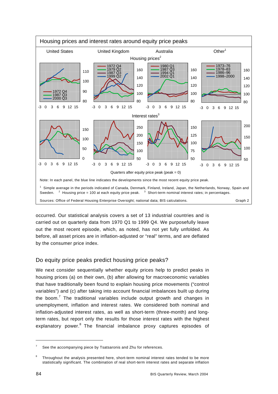

occurred. Our statistical analysis covers a set of 13 industrial countries and is carried out on quarterly data from 1970 Q1 to 1999 Q4. We purposefully leave out the most recent episode, which, as noted, has not yet fully unfolded. As before, all asset prices are in inflation-adjusted or "real" terms, and are deflated by the consumer price index.

# Do equity price peaks predict housing price peaks?

We next consider sequentially whether equity prices help to predict peaks in housing prices (a) on their own, (b) after allowing for macroeconomic variables that have traditionally been found to explain housing price movements ("control variables") and (c) after taking into account financial imbalances built up during the boom.<sup>7</sup> The traditional variables include output growth and changes in unemployment, inflation and interest rates. We considered both nominal and inflation-adjusted interest rates, as well as short-term (three-month) and longterm rates, but report only the results for those interest rates with the highest explanatory power.<sup>8</sup> The financial imbalance proxy captures episodes of

<sup>7</sup> See the accompanying piece by Tsatsaronis and Zhu for references.

<sup>8</sup> Throughout the analysis presented here, short-term nominal interest rates tended to be more statistically significant. The combination of real short-term interest rates and separate inflation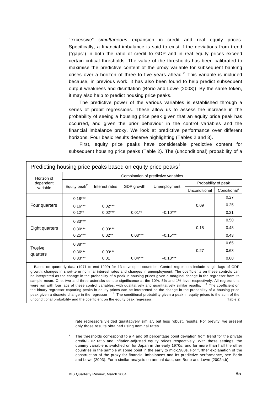"excessive" *simultaneous* expansion in credit and real equity prices. Specifically, a financial imbalance is said to exist if the deviations from trend ("gaps") in both the ratio of credit to GDP and in real equity prices exceed certain critical thresholds. The value of the thresholds has been calibrated to maximise the predictive content of the proxy variable for subsequent banking crises over a horizon of three to five years ahead. $9$  This variable is included because, in previous work, it has also been found to help predict subsequent output weakness and disinflation (Borio and Lowe (2003)). By the same token, it may also help to predict housing price peaks.

The predictive power of the various variables is established through a series of probit regressions. These allow us to assess the increase in the probability of seeing a housing price peak given that an equity price peak has occurred, and given the prior behaviour in the control variables and the financial imbalance proxy. We look at predictive performance over different horizons. Four basic results deserve highlighting (Tables 2 and 3).

First, equity price peaks have considerable predictive content for subsequent housing price peaks (Table 2). The (unconditional) probability of a

| Predicting housing price peaks based on equity price peaks <sup>1</sup> |                                     |                |            |              |                     |                          |  |  |  |
|-------------------------------------------------------------------------|-------------------------------------|----------------|------------|--------------|---------------------|--------------------------|--|--|--|
| Horizon of                                                              | Combination of predictive variables |                |            |              |                     |                          |  |  |  |
| dependent                                                               | Equity peak <sup>2</sup>            | Interest rates |            |              | Probability of peak |                          |  |  |  |
| variable                                                                |                                     |                | GDP growth | Unemployment | Unconditional       | Conditional <sup>3</sup> |  |  |  |
|                                                                         | $0.18***$                           |                |            |              |                     | 0.27                     |  |  |  |
| Four quarters                                                           | $0.16***$                           | $0.02***$      |            |              | 0.09                | 0.25                     |  |  |  |
|                                                                         | $0.12***$                           | $0.02***$      | $0.01**$   | $-0.10***$   |                     | 0.21                     |  |  |  |
|                                                                         | $0.33***$                           |                |            |              |                     | 0.50                     |  |  |  |
| Eight quarters                                                          | $0.30***$                           | $0.03***$      |            |              | 0.18                | 0.48                     |  |  |  |
|                                                                         | $0.25***$                           | $0.02**$       | $0.03***$  | $-0.15***$   |                     | 0.43                     |  |  |  |
|                                                                         | $0.38***$                           |                |            |              |                     | 0.65                     |  |  |  |
| Twelve<br>quarters                                                      | $0.36***$                           | $0.03***$      |            |              | 0.27                | 0.63                     |  |  |  |
|                                                                         | $0.33***$                           | 0.01           | $0.04***$  | $-0.18***$   |                     | 0.60                     |  |  |  |

1 Based on quarterly data (1971 to end-1999) for 13 developed countries. Control regressors include single lags of GDP growth, changes in short-term nominal interest rates and changes in unemployment. The coefficients on these controls can be interpreted as the change in the probability of a peak in housing prices given a marginal change in the regressor from its sample mean. One, two and three asterisks denote significance at the 10%, 5% and 1% level respectively. All regressions were run with four lags of these control variables, with qualitatively and quantitatively similar results.  $2$  The coefficient on the binary regressor capturing peaks in equity prices can be interpreted as the change in the probability of a housing price peak given a discrete change in the regressor.  $3$  The conditional probability given a peak in equity prices is the sum of the unconditional probability and the coefficient on the equity peak regressor. Table 2

> rate regressors yielded qualitatively similar, but less robust, results. For brevity, we present only those results obtained using nominal rates.

9 The thresholds correspond to a 4 and 60 percentage point deviation from trend for the private credit/GDP ratio and inflation-adjusted equity prices respectively. With these settings, the dummy variable is switched on for Japan in the early 1970s, and for more than half the other countries in the sample at some point in the early to mid-1980s. For further explanation of the construction of the proxy for financial imbalances and its predictive performance, see Borio and Lowe (2003). For a similar analysis on annual data, see Borio and Lowe (2002a,b).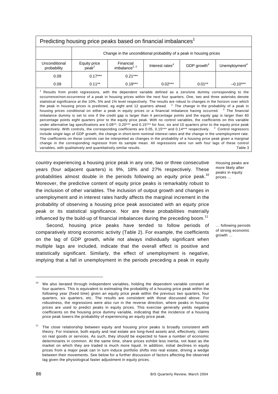| Predicting housing price peaks based on financial imbalances <sup>1</sup>                                                                                                                                                                                                                                                                                                                                                                                                                                                                                                                                                                                                                                                                                                                                                                                                                                                                                                                                                                                                                                                                                                                                                                                                                                                                                                                                                                          |                                                                                                                                                              |           |           |          |            |  |  |
|----------------------------------------------------------------------------------------------------------------------------------------------------------------------------------------------------------------------------------------------------------------------------------------------------------------------------------------------------------------------------------------------------------------------------------------------------------------------------------------------------------------------------------------------------------------------------------------------------------------------------------------------------------------------------------------------------------------------------------------------------------------------------------------------------------------------------------------------------------------------------------------------------------------------------------------------------------------------------------------------------------------------------------------------------------------------------------------------------------------------------------------------------------------------------------------------------------------------------------------------------------------------------------------------------------------------------------------------------------------------------------------------------------------------------------------------------|--------------------------------------------------------------------------------------------------------------------------------------------------------------|-----------|-----------|----------|------------|--|--|
|                                                                                                                                                                                                                                                                                                                                                                                                                                                                                                                                                                                                                                                                                                                                                                                                                                                                                                                                                                                                                                                                                                                                                                                                                                                                                                                                                                                                                                                    | Change in the unconditional probability of a peak in housing prices                                                                                          |           |           |          |            |  |  |
| Unconditional<br>probability                                                                                                                                                                                                                                                                                                                                                                                                                                                                                                                                                                                                                                                                                                                                                                                                                                                                                                                                                                                                                                                                                                                                                                                                                                                                                                                                                                                                                       | Equity price<br>Financial<br>GDP growth <sup>4</sup><br>Interest rates <sup>4</sup><br>Unemployment <sup>4</sup><br>imbalance $^{2, 3}$<br>peak <sup>2</sup> |           |           |          |            |  |  |
| 0.09                                                                                                                                                                                                                                                                                                                                                                                                                                                                                                                                                                                                                                                                                                                                                                                                                                                                                                                                                                                                                                                                                                                                                                                                                                                                                                                                                                                                                                               | $0.17***$                                                                                                                                                    | $0.21***$ |           |          |            |  |  |
| 0.09                                                                                                                                                                                                                                                                                                                                                                                                                                                                                                                                                                                                                                                                                                                                                                                                                                                                                                                                                                                                                                                                                                                                                                                                                                                                                                                                                                                                                                               | $0.11***$                                                                                                                                                    | $0.19***$ | $0.02***$ | $0.01**$ | $-0.10***$ |  |  |
| $1$ Results from probit regressions, with the dependent variable defined as a zero/one dummy corresponding to the<br>occurrence/non-occurrence of a peak in housing prices within the next four quarters. One, two and three asterisks denote<br>statistical significance at the 10%, 5% and 1% level respectively. The results are robust to changes in the horizon over which<br>the peak in housing prices is predicted, eg eight and 12 quarters ahead. $2\pi$ The change in the probability of a peak in<br>housing prices conditional on either a peak in equity prices or a financial imbalance having occurred. <sup>3</sup> The financial<br>imbalance dummy is set to one if the credit gap is larger than 4 percentage points and the equity gap is larger than 60<br>percentage points eight quarters prior to the equity price peak. With no control variables, the coefficients on this variable<br>under alternative lag specifications are 0.08**, 0.20*** and 0.15*** for four, six and 10 quarters prior to the equity price peak<br>respectively. With controls, the corresponding coefficients are 0.05, 0.15*** and 0.14*** respectively. 4 Control regressors<br>include single lags of GDP growth, the change in short-term nominal interest rates and the change in the unemployment rate.<br>The coefficients on these controls can be interpreted as changes in the probability of a housing price peak given a marginal |                                                                                                                                                              |           |           |          |            |  |  |

change in the corresponding regressor from its sample mean. All regressions were run with four lags of these control variables, with qualitatively and quantitatively similar results. The state of the state of the 3 variable 3 variable 3

country experiencing a housing price peak in any one, two or three consecutive years (four adjacent quarters) is 9%, 18% and 27% respectively. These probabilities almost double in the periods following an equity price peak.<sup>10</sup> Moreover, the predictive content of equity price peaks is remarkably robust to the inclusion of other variables. The inclusion of output growth and changes in unemployment and in interest rates hardly affects the marginal increment in the probability of observing a housing price peak associated with an equity price peak or its statistical significance. Nor are these probabilities materially influenced by the build-up of financial imbalances during the preceding boom.<sup>11</sup>

Second, housing price peaks have tended to follow periods of comparatively strong economic activity (Table 2). For example, the coefficients on the lag of GDP growth, while not always individually significant when multiple lags are included, indicate that the overall effect is positive and statistically significant. Similarly, the effect of unemployment is negative, implying that a fall in unemployment in the periods preceding a peak in equity

Housing peaks are more likely after peaks in equity prices …

<sup>…</sup> following periods of strong economic growth …

<sup>&</sup>lt;sup>10</sup> We also iterated through independent variables, holding the dependent variable constant at four quarters. This is equivalent to estimating the probability of a housing price peak within the *following* year (fixed time) given an equity price peak within the *previous* two quarters, four quarters, six quarters, etc. The results are consistent with those discussed above. For robustness, the regressions were also run in the reverse direction, where peaks in housing prices are used to predict peaks in equity prices. This exercise generally yields negative coefficients on the housing price dummy variable, indicating that the incidence of a housing price peak lowers the probability of experiencing an equity price peak.

The close relationship between equity and housing price peaks is broadly consistent with theory. For instance, both equity and real estate are long-lived assets and, effectively, claims on real goods or services. As such, they should be expected to have a number of economic determinants in common. At the same time, share prices exhibit less inertia, not least as the market on which they are traded is much more liquid. In addition, initial declines in equity prices from a major peak can in turn induce portfolio shifts into real estate, driving a wedge between their movements. See below for a further discussion of factors affecting the observed lag given the physiological faster adjustment in equity prices.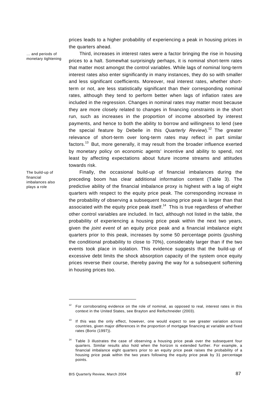prices leads to a higher probability of experiencing a peak in housing prices in the quarters ahead.

… and periods of monetary tightening

The build-up of financial imbalances also plays a role

Third, increases in interest rates were a factor bringing the rise in housing prices to a halt. Somewhat surprisingly perhaps, it is nominal short-term rates that matter most amongst the control variables. While lags of nominal long-term interest rates also enter significantly in many instances, they do so with smaller and less significant coefficients. Moreover, real interest rates, whether shortterm or not, are less statistically significant than their corresponding nominal rates, although they tend to perform better when lags of inflation rates are included in the regression. Changes in nominal rates may matter most because they are more closely related to changes in financing constraints in the short run, such as increases in the proportion of income absorbed by interest payments, and hence to both the ability to borrow and willingness to lend (see the special feature by Debelle in this *Quarterly Review*).12 The greater relevance of short-term over long-term rates may reflect in part similar factors.<sup>13</sup> But, more generally, it may result from the broader influence exerted by monetary policy on economic agents' incentive and ability to spend, not least by affecting expectations about future income streams and attitudes towards risk.

Finally, the occasional build-up of financial imbalances during the preceding boom has clear additional information content (Table 3). The predictive ability of the financial imbalance proxy is highest with a lag of eight quarters with respect to the equity price peak. The corresponding increase in the probability of observing a subsequent housing price peak is larger than that associated with the equity price peak itself.<sup>14</sup> This is true regardless of whether other control variables are included. In fact, although not listed in the table, the probability of experiencing a housing price peak within the next two years, given the *joint event* of an equity price peak and a financial imbalance eight quarters prior to this peak, increases by some 50 percentage points (pushing the conditional probability to close to 70%), considerably larger than if the two events took place in isolation. This evidence suggests that the build-up of excessive debt limits the shock absorption capacity of the system once equity prices reverse their course, thereby paving the way for a subsequent softening in housing prices too.

j

<sup>12</sup> For corroborating evidence on the role of nominal, as opposed to real, interest rates in this context in the United States, see Brayton and Reifschneider (2003).

If this was the only effect, however, one would expect to see greater variation across countries, given major differences in the proportion of mortgage financing at variable and fixed rates (Borio (1997)).

Table 3 illustrates the case of observing a housing price peak over the subsequent four quarters. Similar results also hold when the horizon is extended further. For example, a financial imbalance eight quarters prior to an equity price peak raises the probability of a housing price peak within the two years following the equity price peak by 31 percentage points.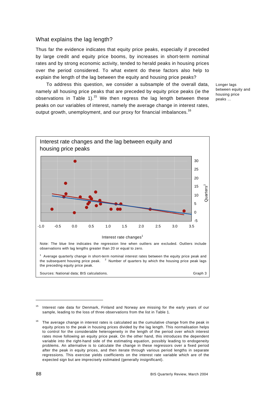#### What explains the lag length?

Thus far the evidence indicates that equity price peaks, especially if preceded by large credit and equity price booms, by increases in short-term nominal rates and by strong economic activity, tended to herald peaks in housing prices over the period considered. To what extent do these factors also help to explain the length of the lag between the equity and housing price peaks?

To address this question, we consider a subsample of the overall data, namely all housing price peaks that are preceded by equity price peaks (ie the observations in Table 1).<sup>15</sup> We then regress the lag length between these peaks on our variables of interest, namely the average change in interest rates, output growth, unemployment, and our proxy for financial imbalances.<sup>16</sup>

Longer lags between equity and housing price peaks …



 $15$  Interest rate data for Denmark, Finland and Norway are missing for the early years of our sample, leading to the loss of three observations from the list in Table 1.

The average change in interest rates is calculated as the cumulative change from the peak in equity prices to the peak in housing prices divided by the lag length. This normalisation helps to control for the considerable heterogeneity in the length of the period over which interest rates move following an equity price peak. On the other hand, this introduces the dependent variable into the right-hand side of the estimating equation, possibly leading to endogeneity problems. An alternative is to calculate the change in these regressors over a fixed period after the peak in equity prices, and then iterate through various period lengths in separate regressions. This exercise yields coefficients on the interest rate variable which are of the expected sign but are imprecisely estimated (generally insignificant).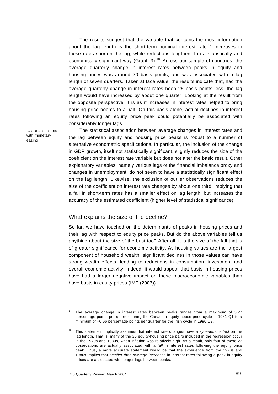The results suggest that the variable that contains the most information about the lag length is the short-term nominal interest rate.<sup>17</sup> Increases in these rates shorten the lag, while reductions lengthen it in a statistically and economically significant way (Graph 3).<sup>18</sup> Across our sample of countries, the average quarterly change in interest rates between peaks in equity and housing prices was around 70 basis points, and was associated with a lag length of seven quarters. Taken at face value, the results indicate that, had the average quarterly change in interest rates been 25 basis points less, the lag length would have increased by about one quarter. Looking at the result from the opposite perspective, it is as if increases in interest rates helped to bring housing price booms to a halt. On this basis alone, actual declines in interest rates following an equity price peak could potentially be associated with considerably longer lags.

… are associated with monetary easing

The statistical association between average changes in interest rates and the lag between equity and housing price peaks is robust to a number of alternative econometric specifications. In particular, the inclusion of the change in GDP growth, itself not statistically significant, slightly reduces the size of the coefficient on the interest rate variable but does not alter the basic result. Other explanatory variables, namely various lags of the financial imbalance proxy and changes in unemployment, do not seem to have a statistically significant effect on the lag length. Likewise, the exclusion of outlier observations reduces the size of the coefficient on interest rate changes by about one third, implying that a fall in short-term rates has a smaller effect on lag length, but increases the accuracy of the estimated coefficient (higher level of statistical significance).

#### What explains the size of the decline?

So far, we have touched on the determinants of peaks in housing prices and their lag with respect to equity price peaks. But do the above variables tell us anything about the size of the bust too? After all, it is the size of the fall that is of greater significance for economic activity. As housing values are the largest component of household wealth, significant declines in those values can have strong wealth effects, leading to reductions in consumption, investment and overall economic activity. Indeed, it would appear that busts in housing prices have had a larger negative impact on these macroeconomic variables than have busts in equity prices (IMF (2003)).

j

The average change in interest rates between peaks ranges from a maximum of 3.27 percentage points per quarter during the Canadian equity-house price cycle in 1981 Q1 to a minimum of –0.66 percentage points per quarter for the Irish cycle in 1990 Q3.

<sup>18</sup> This statement implicitly assumes that interest rate changes have a *symmetric effect* on the lag length. That is, many of the 23 equity-housing price pairs included in the regression occur in the 1970s and 1980s, when inflation was relatively high. As a result, only four of these 23 observations are actually associated with a *fall* in interest rates following the equity price peak. Thus, a more accurate statement would be that the experience from the 1970s and 1980s implies that *smaller than average increases* in interest rates following a peak in equity prices are associated with longer lags between peaks.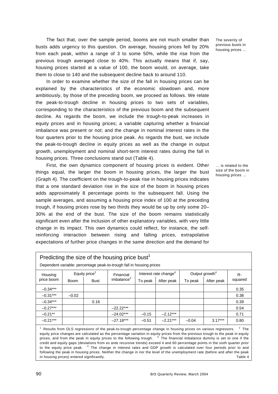The fact that, over the sample period, booms are not much smaller than busts adds urgency to this question. On average, housing prices fell by 20% from each peak, within a range of 3 to some 50%, while the rise from the previous trough averaged close to 40%. This actually means that if, say, housing prices started at a value of 100, the boom would, on average, take them to close to 140 and the subsequent decline back to around 110.

In order to examine whether the size of the fall in housing prices can be explained by the characteristics of the economic slowdown and, more ambitiously, by those of the preceding boom, we proceed as follows. We relate the peak-to-trough decline in housing prices to two sets of variables, corresponding to the characteristics of the previous boom and the subsequent decline. As regards the boom, we include the trough-to-peak increases in equity prices and in housing prices; a variable capturing whether a financial imbalance was present or not; and the change in nominal interest rates in the four quarters prior to the housing price peak. As regards the bust, we include the peak-to-trough decline in equity prices as well as the change in output growth, unemployment and nominal short-term interest rates during the fall in housing prices. Three conclusions stand out (Table 4).

First, the own dynamics component of housing prices is evident. Other things equal, the larger the boom in housing prices, the larger the bust (Graph 4). The coefficient on the trough-to-peak rise in housing prices indicates that a one standard deviation rise in the size of the boom in housing prices adds approximately 8 percentage points to the subsequent fall. Using the sample averages, and assuming a housing price index of 100 at the preceding trough, if housing prices rose by two thirds they would be up by only some 20– 30% at the end of the bust. The size of the boom remains statistically significant even after the inclusion of other explanatory variables, with very little change in its impact. This own dynamics could reflect, for instance, the selfreinforcing interaction between rising and falling prices, extrapolative expectations of further price changes in the same direction and the demand for

The severity of previous busts in housing prices …

… is related to the size of the boom in housing prices …

| Predicting the size of the housing price bust <sup>1</sup><br>Dependent variable: percentage peak-to-trough fall in housing prices                                                                                                                                                                                                                                                                                                                                                                                                                                                                                                                                                   |             |                  |                        |                                   |            |                            |            |         |
|--------------------------------------------------------------------------------------------------------------------------------------------------------------------------------------------------------------------------------------------------------------------------------------------------------------------------------------------------------------------------------------------------------------------------------------------------------------------------------------------------------------------------------------------------------------------------------------------------------------------------------------------------------------------------------------|-------------|------------------|------------------------|-----------------------------------|------------|----------------------------|------------|---------|
| Housing                                                                                                                                                                                                                                                                                                                                                                                                                                                                                                                                                                                                                                                                              |             | Equity price $2$ | Financial              | Interest rate change <sup>4</sup> |            | Output growth <sup>4</sup> |            | $R -$   |
| price boom                                                                                                                                                                                                                                                                                                                                                                                                                                                                                                                                                                                                                                                                           | <b>Boom</b> | Bust             | imbalance <sup>3</sup> | To peak                           | After peak | To peak                    | After peak | squared |
| $-0.34***$                                                                                                                                                                                                                                                                                                                                                                                                                                                                                                                                                                                                                                                                           |             |                  |                        |                                   |            |                            |            | 0.35    |
| $-0.31***$                                                                                                                                                                                                                                                                                                                                                                                                                                                                                                                                                                                                                                                                           | $-0.02$     |                  |                        |                                   |            |                            |            | 0.38    |
| $-0.34***$                                                                                                                                                                                                                                                                                                                                                                                                                                                                                                                                                                                                                                                                           |             | 0.16             |                        |                                   |            |                            |            | 0.39    |
| $-0.27***$                                                                                                                                                                                                                                                                                                                                                                                                                                                                                                                                                                                                                                                                           |             |                  | $-22.22***$            |                                   |            |                            |            | 0.54    |
| $-0.21**$                                                                                                                                                                                                                                                                                                                                                                                                                                                                                                                                                                                                                                                                            |             |                  | $-24.02***$            | $-0.15$                           | $-2.12***$ |                            |            | 0.71    |
| $-0.21***$                                                                                                                                                                                                                                                                                                                                                                                                                                                                                                                                                                                                                                                                           |             |                  | $-27.18***$            | $-0.51$                           | $-2.21***$ | $-0.04$                    | $3.17***$  | 0.80    |
| <sup>1</sup> Results from OLS regressions of the peak-to-trough percentage change in housing prices on various regressors.<br>$2$ The<br>equity price changes are calculated as the percentage variation in equity prices from the previous trough to the peak in equity<br>prices, and from the peak in equity prices to the following trough. <sup>3</sup> The financial imbalance dummy is set to one if the<br>credit and equity gaps (deviations from ex ante recursive trends) exceed 4 and 60 percentage points in the sixth quarter prior<br>to the equity price peak. <sup>4</sup> The change in interest rates and GDP growth is calculated over four periods prior to and |             |                  |                        |                                   |            |                            |            |         |

following the peak in housing prices. Neither the change in nor the level of the unemployment rate (before and after the peak in housing prices) entered significantly. Table 4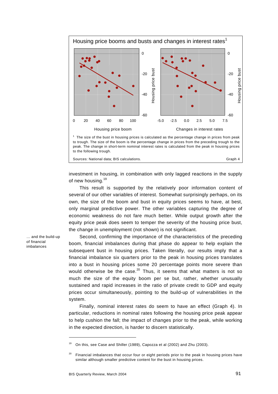

Sources: National data; BIS calculations. Graph 4

investment in housing, in combination with only lagged reactions in the supply of new housing.<sup>19</sup>

This result is supported by the relatively poor information content of several of our other variables of interest. Somewhat surprisingly perhaps, on its own, the size of the boom and bust in equity prices seems to have, at best, only marginal predictive power. The other variables capturing the degree of economic weakness do not fare much better. While output growth after the equity price peak does seem to temper the severity of the housing price bust, the change in unemployment (not shown) is not significant.

Second, confirming the importance of the characteristics of the preceding boom, financial imbalances during that phase do appear to help explain the subsequent bust in housing prices. Taken literally, our results imply that a financial imbalance six quarters prior to the peak in housing prices translates into a bust in housing prices some 20 percentage points more severe than would otherwise be the case. $20$  Thus, it seems that what matters is not so much the size of the equity boom per se but, rather, whether unusually sustained and rapid increases in the ratio of private credit to GDP and equity prices occur simultaneously, pointing to the build-up of vulnerabilities in the system.

Finally, nominal interest rates do seem to have an effect (Graph 4). In particular, reductions in nominal rates following the housing price peak appear to help cushion the fall; the impact of changes prior to the peak, while working in the expected direction, is harder to discern statistically.

… and the build-up of financial imbalances

<sup>&</sup>lt;sup>19</sup> On this, see Case and Shiller (1989), Capozza et al (2002) and Zhu (2003).

<sup>&</sup>lt;sup>20</sup> Financial imbalances that occur four or eight periods prior to the peak in housing prices have similar although smaller predictive content for the bust in housing prices.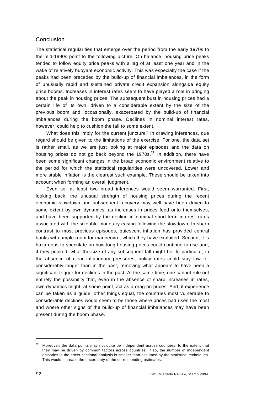# Conclusion

The statistical regularities that emerge over the period from the early 1970s to the mid-1990s point to the following picture. On balance, housing price peaks tended to follow equity price peaks with a lag of at least one year and in the wake of relatively buoyant economic activity. This was especially the case if the peaks had been preceded by the build-up of financial imbalances, in the form of unusually rapid and sustained private credit expansion alongside equity price booms. Increases in interest rates seem to have played a role in bringing about the peak in housing prices. The subsequent bust in housing prices had a certain life of its own, driven to a considerable extent by the size of the previous boom and, occasionally, exacerbated by the build-up of financial imbalances during the boom phase. Declines in nominal interest rates, however, could help to cushion the fall to some extent.

What does this imply for the current juncture? In drawing inferences, due regard should be given to the limitations of the exercise. For one, the data set is rather small, as we are just looking at major episodes and the data on housing prices do not go back beyond the  $1970s<sup>21</sup>$  In addition, there have been some significant changes in the broad economic environment relative to the period for which the statistical regularities were uncovered. Lower and more stable inflation is the clearest such example. These should be taken into account when forming an overall judgment.

Even so, at least two broad inferences would seem warranted. First, looking back, the unusual strength of housing prices during the recent economic slowdown and subsequent recovery may well have been driven to some extent by own dynamics, as increases in prices feed onto themselves, and have been supported by the decline in nominal short-term interest rates associated with the sizeable monetary easing following the slowdown. In sharp contrast to most previous episodes, quiescent inflation has provided central banks with ample room for manoeuvre, which they have exploited. Second, it is hazardous to speculate on how long housing prices could continue to rise and, if they peaked, what the size of any subsequent fall might be. In particular, in the absence of clear inflationary pressures, policy rates could stay low for considerably longer than in the past, removing what appears to have been a significant trigger for declines in the past. At the same time, one cannot rule out entirely the possibility that, even in the absence of sharp increases in rates, own dynamics might, at some point, act as a drag on prices. And, if experience can be taken as a guide, other things equal, the countries most vulnerable to considerable declines would seem to be those where prices had risen the most and where other signs of the build-up of financial imbalances may have been present during the boom phase.

 $21$  Moreover, the data points may not quite be independent across countries, to the extent that they may be driven by common factors across countries. If so, the number of independent episodes in the cross-sectional analysis is smaller than assumed by the statistical techniques. This would increase the uncertainty of the corresponding estimates.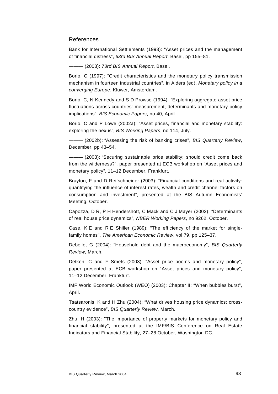# References

Bank for International Settlements (1993): "Asset prices and the management of financial distress", *63rd BIS Annual Report*, Basel, pp 155–81.

——— (2003): *73rd BIS Annual Report*, Basel.

Borio, C (1997): "Credit characteristics and the monetary policy transmission mechanism in fourteen industrial countries", in Alders (ed), *Monetary policy in a converging Europe*, Kluwer, Amsterdam.

Borio, C, N Kennedy and S D Prowse (1994): "Exploring aggregate asset price fluctuations across countries: measurement, determinants and monetary policy implications", *BIS Economic Papers*, no 40*,* April.

Borio, C and P Lowe (2002a): "Asset prices, financial and monetary stability: exploring the nexus", *BIS Working Papers*, no 114, July.

——— (2002b): "Assessing the risk of banking crises", *BIS Quarterly Review*, December, pp 43–54.

 $-$  (2003): "Securing sustainable price stability: should credit come back from the wilderness?", paper presented at ECB workshop on "Asset prices and monetary policy", 11–12 December, Frankfurt.

Brayton, F and D Reifschneider (2003): "Financial conditions and real activity: quantifying the influence of interest rates, wealth and credit channel factors on consumption and investment", presented at the BIS Autumn Economists' Meeting, October.

Capozza, D R, P H Hendershott, C Mack and C J Mayer (2002): "Determinants of real house price dynamics", *NBER Working Papers*, no 9262, October.

Case, K E and R E Shiller (1989): "The efficiency of the market for singlefamily homes", *The American Economic Review*, vol 79, pp 125–37.

Debelle, G (2004): "Household debt and the macroeconomy", *BIS Quarterly Review*, March.

Detken, C and F Smets (2003): "Asset price booms and monetary policy", paper presented at ECB workshop on "Asset prices and monetary policy", 11–12 December, Frankfurt.

IMF World Economic Outlook (WEO) (2003): Chapter II: "When bubbles burst", April.

Tsatsaronis, K and H Zhu (2004): "What drives housing price dynamics: crosscountry evidence", *BIS Quarterly Review*, March*.*

Zhu, H (2003): "The importance of property markets for monetary policy and financial stability", presented at the IMF/BIS Conference on Real Estate Indicators and Financial Stability, 27–28 October, Washington DC.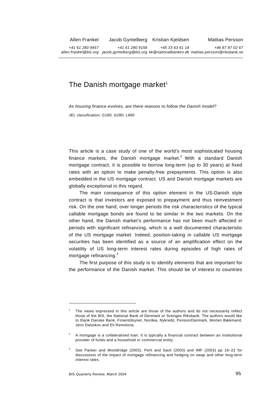# The Danish mortgage market<sup>1</sup>

*As housing finance evolves, are there reasons to follow the Danish model?* 

*JEL classification: G180, G280, L890* 

This article is a case study of one of the world's most sophisticated housing finance markets, the Danish mortgage market.<sup>2</sup> With a standard Danish mortgage contract, it is possible to borrow long-term (up to 30 years) at fixed rates with an option to make penalty-free prepayments. This option is also embedded in the US mortgage contract. US and Danish mortgage markets are globally exceptional in this regard.

The main consequence of this option element in the US-Danish style contract is that investors are exposed to prepayment and thus reinvestment risk. On the one hand, over longer periods the risk characteristics of the typical callable mortgage bonds are found to be similar in the two markets. On the other hand, the Danish market's performance has not been much affected in periods with significant refinancing, which is a well documented characteristic of the US mortgage market. Indeed, position-taking in callable US mortgage securities has been identified as a source of an amplification effect on the volatility of US long-term interest rates during episodes of high rates of mortgage refinancing. $^3$ 

The first purpose of this study is to identify elements that are important for the performance of the Danish market. This should be of interest to countries

<sup>1</sup> The views expressed in this article are those of the authors and do not necessarily reflect those of the BIS, the National Bank of Denmark or Sveriges Riksbank. The authors would like to thank Danske Bank, Finanstilsynet, Nordea, Nykredit, PensionDanmark, Morten Bækmand, Jens Dalsskov and Eli Remolona.

<sup>2</sup> A mortgage is a collateralised loan. It is typically a financial contract between an institutional provider of funds and a household or commercial entity.

<sup>3</sup> See Packer and Wooldridge (2003), Perli and Sack (2003) and IMF (2003) pp 16–22 for discussions of the impact of mortgage refinancing and hedging on swap and other long-term interest rates.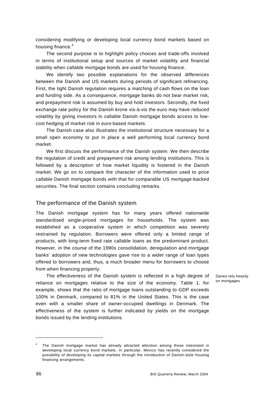considering modifying or developing local currency bond markets based on housing finance. $4$ 

The second purpose is to highlight policy choices and trade-offs involved in terms of institutional setup and sources of market volatility and financial stability when callable mortgage bonds are used for housing finance.

We identify two possible explanations for the observed differences between the Danish and US markets during periods of significant refinancing. First, the tight Danish regulation requires a matching of cash flows on the loan and funding side. As a consequence, mortgage banks do not bear market risk, and prepayment risk is assumed by buy and hold investors. Secondly, the fixed exchange rate policy for the Danish krone vis-à-vis the euro may have reduced volatility by giving investors in callable Danish mortgage bonds access to lowcost hedging of market risk in euro-based markets.

The Danish case also illustrates the institutional structure necessary for a small open economy to put in place a well performing local currency bond market.

We first discuss the performance of the Danish system. We then describe the regulation of credit and prepayment risk among lending institutions. This is followed by a description of how market liquidity is fostered in the Danish market. We go on to compare the character of the information used to price callable Danish mortgage bonds with that for comparable US mortgage-backed securities. The final section contains concluding remarks.

### The performance of the Danish system

The Danish mortgage system has for many years offered nationwide standardised single-priced mortgages for households. The system was established as a cooperative system in which competition was severely restrained by regulation. Borrowers were offered only a limited range of products, with long-term fixed rate callable loans as the predominant product. However, in the course of the 1990s consolidation, deregulation and mortgage banks' adoption of new technologies gave rise to a wider range of loan types offered to borrowers and, thus, a much broader menu for borrowers to choose from when financing property.

The effectiveness of the Danish system is reflected in a high degree of reliance on mortgages relative to the size of the economy. Table 1, for example, shows that the ratio of mortgage loans outstanding to GDP exceeds 100% in Denmark, compared to 81% in the United States. This is the case even with a smaller share of owner-occupied dwellings in Denmark. The effectiveness of the system is further indicated by yields on the mortgage bonds issued by the lending institutions.

Danes rely heavily on mortgages

<sup>4</sup> The Danish mortgage market has already attracted attention among those interested in developing local currency bond markets. In particular, Mexico has recently considered the possibility of developing its capital markets through the introduction of Danish-style housing financing arrangements.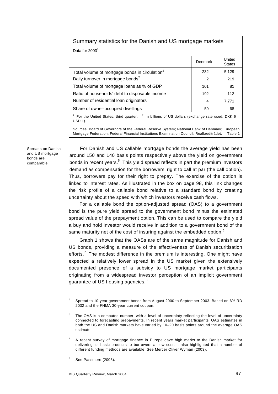| Summary statistics for the Danish and US mortgage markets                                                                            |         |                         |  |  |  |  |
|--------------------------------------------------------------------------------------------------------------------------------------|---------|-------------------------|--|--|--|--|
| Data for 2003 <sup>1</sup>                                                                                                           |         |                         |  |  |  |  |
|                                                                                                                                      | Denmark | United<br><b>States</b> |  |  |  |  |
| Total volume of mortgage bonds in circulation <sup>2</sup>                                                                           | 232     | 5,129                   |  |  |  |  |
| Daily turnover in mortgage bonds <sup>2</sup>                                                                                        | 2       | 219                     |  |  |  |  |
| Total volume of mortgage loans as % of GDP                                                                                           | 101     | 81                      |  |  |  |  |
| Ratio of households' debt to disposable income                                                                                       | 192     | 112                     |  |  |  |  |
| Number of residential loan originators                                                                                               | 4       | 7,771                   |  |  |  |  |
| Share of owner-occupied dwellings<br>59<br>68                                                                                        |         |                         |  |  |  |  |
| <sup>1</sup> For the United States, third quarter. <sup>2</sup> In billions of US dollars (exchange rate used: DKK 6 =<br>$USD 1)$ . |         |                         |  |  |  |  |
| Sources: Board of Governors of the Federal Reserve System; National Bank of Denmark; European                                        |         |                         |  |  |  |  |

Sources: Board of Governors of the Federal Reserve System; National Bank of Denmark; European Mortgage Federation; Federal Financial Institutions Examination Council; Realkreditrådet. Table 1

Spreads on Danish and US mortgage bonds are comparable

For Danish and US callable mortgage bonds the average yield has been around 150 and 140 basis points respectively above the yield on government bonds in recent years. $^5$  This yield spread reflects in part the premium investors demand as compensation for the borrowers' right to call at par (the call option). Thus, borrowers pay for their right to prepay. The exercise of the option is linked to interest rates. As illustrated in the box on page 98, this link changes the risk profile of a callable bond relative to a standard bond by creating uncertainty about the speed with which investors receive cash flows.

For a callable bond the option-adjusted spread (OAS) to a government bond is the pure yield spread to the government bond minus the estimated spread value of the prepayment option. This can be used to compare the yield a buy and hold investor would receive in addition to a government bond of the same maturity net of the cost of insuring against the embedded option.<sup>6</sup>

Graph 1 shows that the OASs are of the same magnitude for Danish and US bonds, providing a measure of the effectiveness of Danish securitisation efforts.<sup>7</sup> The modest difference in the premium is interesting. One might have expected a relatively lower spread in the US market given the extensively documented presence of a subsidy to US mortgage market participants originating from a widespread investor perception of an implicit government guarantee of US housing agencies. $8$ 

j

<sup>5</sup> Spread to 10-year government bonds from August 2000 to September 2003. Based on 6% RD 2032 and the FNMA 30-year current coupon.

<sup>6</sup> The OAS is a computed number, with a level of uncertainty reflecting the level of uncertainty connected to forecasting prepayments. In recent years market participants' OAS estimates in both the US and Danish markets have varied by 10–20 basis points around the average OAS estimate.

<sup>7</sup> A recent survey of mortgage finance in Europe gave high marks to the Danish market for delivering its basic products to borrowers at low cost. It also highlighted that a number of different funding methods are available. See Mercer Oliver Wyman (2003).

<sup>8</sup> See Passmore (2003).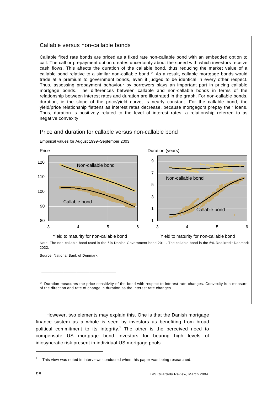# Callable versus non-callable bonds

Callable fixed rate bonds are priced as a fixed rate non-callable bond with an embedded option to call. The call or prepayment option creates uncertainty about the speed with which investors receive cash flows. This affects the duration of the callable bond, thus reducing the market value of a callable bond relative to a similar non-callable bond.<sup>®</sup> As a result, callable mortgage bonds would trade at a premium to government bonds, even if judged to be identical in every other respect. Thus, assessing prepayment behaviour by borrowers plays an important part in pricing callable mortgage bonds. The differences between callable and non-callable bonds in terms of the relationship between interest rates and duration are illustrated in the graph. For non-callable bonds, duration, ie the slope of the price/yield curve, is nearly constant. For the callable bond, the yield/price relationship flattens as interest rates decrease, because mortgagors prepay their loans. Thus, duration is positively related to the level of interest rates, a relationship referred to as negative convexity.

# Price and duration for callable versus non-callable bond

Price Duration (years) 80 90 100 110 120 3 4 5 6 Non-callable bond Callable bond -1 1 3 5 7  $\overline{Q}$ 3 4 5 6 Non-callable bond Callable bond Yield to maturity for non-callable bond Yield to maturity for non-callable bond Note: The non-callable bond used is the 6% Danish Government bond 2011. The callable bond is the 6% Realkredit Danmark 2032.

Empirical values for August 1999–September 2003

Source: National Bank of Denmark.

\_\_\_\_\_\_\_\_\_\_\_\_\_\_\_\_\_\_\_\_\_\_\_\_\_\_\_\_\_\_\_\_\_\_

 $\degree$  Duration measures the price sensitivity of the bond with respect to interest rate changes. Convexity is a measure of the direction and rate of change in duration as the interest rate changes.

However, two elements may explain this. One is that the Danish mortgage finance system as a whole is seen by investors as benefiting from broad political commitment to its integrity.<sup>9</sup> The other is the perceived need to compensate US mortgage bond investors for bearing high levels of idiosyncratic risk present in individual US mortgage pools.

j

<sup>9</sup> This view was noted in interviews conducted when this paper was being researched.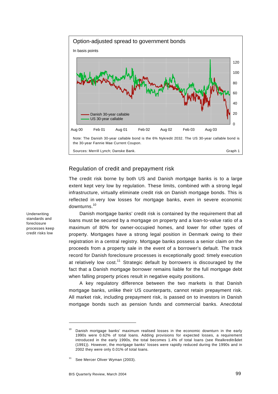

# Regulation of credit and prepayment risk

The credit risk borne by both US and Danish mortgage banks is to a large extent kept very low by regulation. These limits, combined with a strong legal infrastructure, virtually eliminate credit risk on Danish mortgage bonds. This is reflected in very low losses for mortgage banks, even in severe economic downturns.10

Danish mortgage banks' credit risk is contained by the requirement that all loans must be secured by a mortgage on property and a loan-to-value ratio of a maximum of 80% for owner-occupied homes, and lower for other types of property. Mortgages have a strong legal position in Denmark owing to their registration in a central registry. Mortgage banks possess a senior claim on the proceeds from a property sale in the event of a borrower's default. The track record for Danish foreclosure processes is exceptionally good: timely execution at relatively low  $cost.^{11}$  Strategic default by borrowers is discouraged by the fact that a Danish mortgage borrower remains liable for the full mortgage debt when falling property prices result in negative equity positions.

A key regulatory difference between the two markets is that Danish mortgage banks, unlike their US counterparts, cannot retain prepayment risk. All market risk, including prepayment risk, is passed on to investors in Danish mortgage bonds such as pension funds and commercial banks. Anecdotal

standards and foreclosure processes keep credit risks low

Underwriting

Danish mortgage banks' maximum realised losses in the economic downturn in the early 1990s were 0.62% of total loans. Adding provisions for expected losses, a requirement introduced in the early 1990s, the total becomes 1.4% of total loans (see Realkreditrådet (1991)). However, the mortgage banks' losses were rapidly reduced during the 1990s and in 2002 they were only 0.01% of total loans.

See Mercer Oliver Wyman (2003).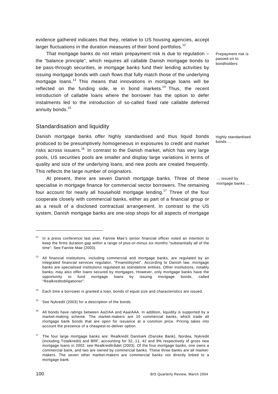evidence gathered indicates that they, relative to US housing agencies, accept larger fluctuations in the duration measures of their bond portfolios.<sup>12</sup>

That mortgage banks do not retain prepayment risk is due to regulation – the "balance principle", which requires all callable Danish mortgage bonds to be pass-through securities, ie mortgage banks fund their lending activities by issuing mortgage bonds with cash flows that fully match those of the underlying mortgage loans.<sup>13</sup> This means that innovations in mortgage loans will be reflected on the funding side, ie in bond markets.<sup>14</sup> Thus, the recent introduction of callable loans where the borrower has the option to defer instalments led to the introduction of so-called fixed rate callable deferred annuity bonds.<sup>15</sup>

## Standardisation and liquidity

Danish mortgage banks offer highly standardised and thus liquid bonds produced to be presumptively homogeneous in exposures to credit and market risks across issuers.<sup>16</sup> In contrast to the Danish market, which has very large pools, US securities pools are smaller and display large variations in terms of quality and size of the underlying loans, and new pools are created frequently. This reflects the large number of originators.

At present, there are seven Danish mortgage banks. Three of these specialise in mortgage finance for commercial sector borrowers. The remaining four account for nearly all household mortgage lending.<sup>17</sup> Three of the four cooperate closely with commercial banks, either as part of a financial group or as a result of a disclosed contractual arrangement. In contrast to the US system, Danish mortgage banks are one-stop shops for all aspects of mortgage Prepayment risk is passed on to bondholders

Highly standardised bonds …

… issued by mortgage banks …

j

 $12$  In a press conference last year, Fannie Mae's senior financial officer noted an intention to keep the firms duration gap within a range of plus-or-minus six months "substantially all of the time". See Fannie Mae (2003).

 $13$  All financial institutions, including commercial and mortgage banks, are regulated by an integrated financial services regulator, "Finanstilsynet". According to Danish law, mortgage banks are specialised institutions regulated as standalone entities. Other institutions, notably banks, may also offer loans secured by mortgages. However, only mortgage banks have the opportunity to fund mortgage loans by issuing mortgage bonds, called "Realkreditobligationer".

Each time a borrower is granted a loan, bonds of equal size and characteristics are issued.

See Nykredit (2003) for a description of the bonds.

<sup>&</sup>lt;sup>16</sup> All bonds have ratings between Aa2/AA and Aaa/AAA. In addition, liquidity is supported by a market-making scheme. The market-makers are 10 commercial banks, which trade all mortgage bank bonds that are open for issuance at a common price. Pricing takes into account the presence of a cheapest-to-deliver option.

<sup>17</sup> The four large mortgage banks are: Realkredit Danmark (Danske Bank), Nordea, Nykredit (including Totalkredit) and BRF, accounting for 32, 11, 42 and 9% respectively of gross new mortgage loans in 2002; see Realkreditrådet (2003). Of the four mortgage banks, one owns a commercial bank, and two are owned by commercial banks. These three banks are all marketmakers. The seven other market-makers are commercial banks not directly linked to a mortgage bank.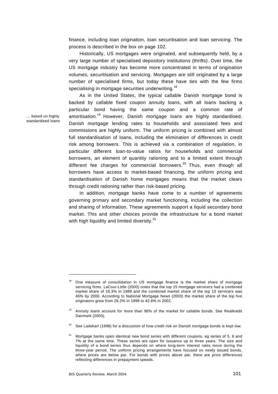finance, including loan origination, loan securitisation and loan servicing. The process is described in the box on page 102.

Historically, US mortgages were originated, and subsequently held, by a very large number of specialised depository institutions (thrifts). Over time, the US mortgage industry has become more concentrated in terms of origination volumes, securitisation and servicing. Mortgages are still originated by a large number of specialised firms, but today these have ties with the few firms specialising in mortgage securities underwriting.<sup>18</sup>

As in the United States, the typical callable Danish mortgage bond is backed by callable fixed coupon annuity loans, with all loans backing a particular bond having the same coupon and a common rate of amortisation.<sup>19</sup> However, Danish mortgage loans are highly standardised. Danish mortgage lending rates to households and associated fees and commissions are highly uniform. The uniform pricing is combined with almost full standardisation of loans, including the elimination of differences in credit risk among borrowers. This is achieved via a combination of regulation, in particular different loan-to-value ratios for households and commercial borrowers, an element of quantity rationing and to a limited extent through different fee charges for commercial borrowers. $^{20}$  Thus, even though all borrowers have access to market-based financing, the uniform pricing and standardisation of Danish home mortgages means that the market clears through credit rationing rather than risk-based pricing.

In addition, mortgage banks have come to a number of agreements governing primary and secondary market functioning, including the collection and sharing of information. These agreements support a liquid secondary bond market. This and other choices provide the infrastructure for a bond market with high liquidity and limited diversity.<sup>21</sup>

… based on highly standardised loans

One measure of consolidation in US mortgage finance is the market share of mortgage servicing firms. LaCour-Little (2000) notes that the top 15 mortgage servicers had a combined market share of 16.3% in 1989 and the combined market share of the top 10 servicers was 46% by 2000. According to National Mortgage News (2003) the market share of the top five originators grew from 26.2% in 1999 to 42.8% in 2002.

<sup>19</sup> Annuity loans account for more than 98% of the market for callable bonds. See Realkredit Danmark (2003).

See Ladekarl (1998) for a discussion of how credit risk on Danish mortgage bonds is kept low.

<sup>&</sup>lt;sup>21</sup> Mortgage banks open identical new bond series with different coupons, eg series of 5, 6 and 7% at the same time. These series are open for issuance up to three years. The size and liquidity of a bond series thus depends on where long-term interest rates move during the three-year period. The uniform pricing arrangements have focused on newly issued bonds, where prices are below par. For bonds with prices above par, there are price differences reflecting differences in prepayment speeds.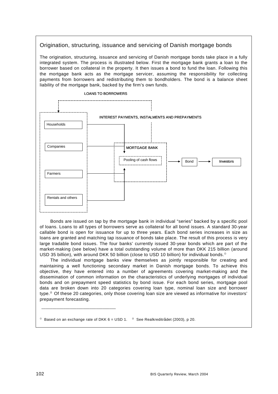# Origination, structuring, issuance and servicing of Danish mortgage bonds

The origination, structuring, issuance and servicing of Danish mortgage bonds take place in a fully integrated system. The process is illustrated below. First the mortgage bank grants a loan to the borrower based on collateral in the property. It then issues a bond to fund the loan. Following this the mortgage bank acts as the mortgage servicer, assuming the responsibility for collecting payments from borrowers and redistributing them to bondholders. The bond is a balance sheet liability of the mortgage bank, backed by the firm's own funds.



Bonds are issued on tap by the mortgage bank in individual "series" backed by a specific pool of loans. Loans to all types of borrowers serve as collateral for all bond issues. A standard 30-year callable bond is open for issuance for up to three years. Each bond series increases in size as loans are granted and matching tap issuance of bonds take place. The result of this process is very large tradable bond issues. The four banks' currently issued 30-year bonds which are part of the market-making (see below) have a total outstanding volume of more than DKK 215 billion (around USD 35 billion), with around DKK 50 billion (close to USD 10 billion) for individual bonds.<sup>®</sup>

The individual mortgage banks view themselves as jointly responsible for creating and maintaining a well functioning secondary market in Danish mortgage bonds. To achieve this objective, they have entered into a number of agreements covering market-making and the dissemination of common information on the characteristics of underlying mortgages of individual bonds and on prepayment speed statistics by bond issue. For each bond series, mortgage pool data are broken down into 20 categories covering loan type, nominal loan size and borrower type. $\degree$  Of these 20 categories, only those covering loan size are viewed as informative for investors' prepayment forecasting.

 $^{\circ}$  Based on an exchange rate of DKK 6 = USD 1.  $^{\circ}$  See Realkreditrådet (2003), p 20.

\_\_\_\_\_\_\_\_\_\_\_\_\_\_\_\_\_\_\_\_\_\_\_\_\_\_\_\_\_\_\_\_\_\_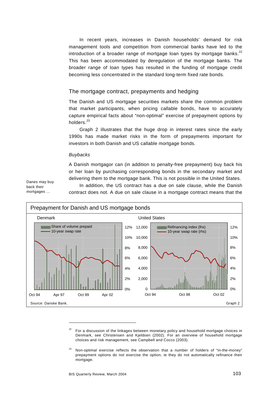In recent years, increases in Danish households' demand for risk management tools and competition from commercial banks have led to the introduction of a broader range of mortgage loan types by mortgage banks.<sup>22</sup> This has been accommodated by deregulation of the mortgage banks. The broader range of loan types has resulted in the funding of mortgage credit becoming less concentrated in the standard long-term fixed rate bonds.

### The mortgage contract, prepayments and hedging

The Danish and US mortgage securities markets share the common problem that market participants, when pricing callable bonds, have to accurately capture empirical facts about "non-optimal" exercise of prepayment options by holders<sup>23</sup>

Graph 2 illustrates that the huge drop in interest rates since the early 1990s has made market risks in the form of prepayments important for investors in both Danish and US callable mortgage bonds.

#### *Buybacks*

A Danish mortgagor can (in addition to penalty-free prepayment) buy back his or her loan by purchasing corresponding bonds in the secondary market and delivering them to the mortgage bank. This is not possible in the United States.

Danes may buy back their mortgages …

In addition, the US contract has a due on sale clause, while the Danish contract does not. A due on sale clause in a mortgage contract means that the



 $22$  For a discussion of the linkages between monetary policy and household mortgage choices in Denmark, see Christensen and Kjeldsen (2002). For an overview of household mortgage choices and risk management, see Campbell and Cocco (2003).

 $23$  Non-optimal exercise reflects the observation that a number of holders of "in-the-money" prepayment options do not exercise the option, ie they do not automatically refinance their mortgage.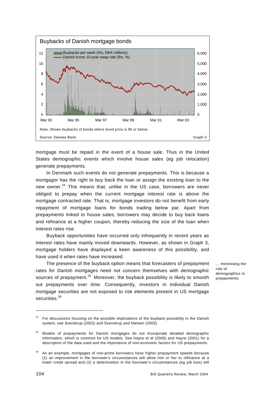

mortgage must be repaid in the event of a house sale. Thus in the United States demographic events which involve house sales (eg job relocation) generate prepayments.

In Denmark such events do not generate prepayments. This is because a mortgagor has the right to buy back the loan or assign the existing loan to the new owner.<sup>24</sup> This means that, unlike in the US case, borrowers are never obliged to prepay when the current mortgage interest rate is above the mortgage contracted rate. That is, mortgage investors do not benefit from early repayment of mortgage loans for bonds trading below par. Apart from prepayments linked to house sales, borrowers may decide to buy back loans and refinance at a higher coupon, thereby reducing the size of the loan when interest rates rise.

Buyback opportunities have occurred only infrequently in recent years as interest rates have mainly moved downwards. However, as shown in Graph 3, mortgage holders have displayed a keen awareness of this possibility, and have used it when rates have increased.

The presence of the buyback option means that forecasters of prepayment rates for Danish mortgages need not concern themselves with demographic sources of prepayment.<sup>25</sup> Moreover, the buyback possibility is likely to smooth out prepayments over time. Consequently, investors in individual Danish mortgage securities are not exposed to risk elements present in US mortgage securities.<sup>26</sup>

… minimising the role of demographics in prepayments

<sup>24</sup> For discussions focusing on the possible implications of the buyback possibility in the Danish system, see Svenstrup (2002) and Svenstrup and Nielsen (2003).

<sup>25</sup> Models of prepayments for Danish mortgages do not incorporate detailed demographic information, which is common for US models. See Hayre et al (2000) and Hayre (2001) for a description of the data used and the importance of non-economic factors for US prepayments.

<sup>26</sup> As an example, mortgages of non-prime borrowers have higher prepayment speeds because (1) an improvement in the borrower's circumstances will allow him or her to refinance at a lower credit spread and (2) a deterioration in the borrower's circumstances (eg job loss) will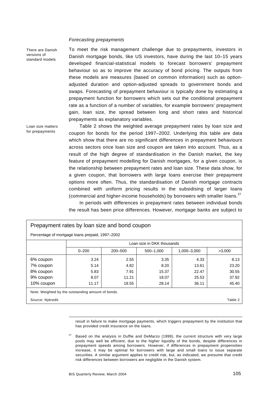### *Forecasting prepayments*

There are Danish versions of standard models

Loan size matters for prepayments

To meet the risk management challenge due to prepayments, investors in Danish mortgage bonds, like US investors, have during the last 10–15 years developed financial-statistical models to forecast borrowers' prepayment behaviour so as to improve the accuracy of bond pricing. The outputs from these models are measures (based on common information) such as optionadjusted duration and option-adjusted spreads to government bonds and swaps. Forecasting of prepayment behaviour is typically done by estimating a prepayment function for borrowers which sets out the conditional prepayment rate as a function of a number of variables, for example borrowers' prepayment gain, loan size, the spread between long and short rates and historical prepayments as explanatory variables.

Table 2 shows the weighted average prepayment rates by loan size and coupon for bonds for the period 1997–2002. Underlying this table are data which show that there are no significant differences in prepayment behaviours across sectors once loan size and coupon are taken into account. Thus, as a result of the high degree of standardisation in the Danish market, the key feature of prepayment modelling for Danish mortgages, for a given coupon, is the relationship between prepayment rates and loan size. These data show, for a given coupon, that borrowers with large loans exercise their prepayment options more often. Thus, the standardisation of Danish mortgage contracts combined with uniform pricing results in the subsidising of larger loans (commercial and higher-income households) by borrowers with smaller loans.<sup>27</sup>

In periods with differences in prepayment rates between individual bonds the result has been price differences. However, mortgage banks are subject to

| Prepayment rates by loan size and bond coupon      |                            |         |           |             |        |
|----------------------------------------------------|----------------------------|---------|-----------|-------------|--------|
| Percentage of mortgage loans prepaid, 1997–2002    |                            |         |           |             |        |
|                                                    | Loan size in DKK thousands |         |           |             |        |
|                                                    | $0 - 200$                  | 200-500 | 500-1,000 | 1,000-3,000 | >3,000 |
| 6% coupon                                          | 3.24                       | 2.55    | 3.35      | 4.33        | 8.13   |
| 7% coupon                                          | 5.14                       | 4.82    | 8.20      | 13.61       | 23.20  |
| 8% coupon                                          | 5.83                       | 7.91    | 15.37     | 22.47       | 30.55  |
| 9% coupon                                          | 8.07                       | 11.21   | 18.07     | 25.53       | 37.92  |
| 10% coupon                                         | 11.17                      | 18.55   | 28.14     | 36.11       | 45.40  |
| Note: Weighted by the outstanding amount of bonds. |                            |         |           |             |        |
| Source: Nykredit.<br>Table 2                       |                            |         |           |             |        |

result in failure to make mortgage payments, which triggers prepayment by the institution that has provided credit insurance on the loans.

 $27$  Based on the analysis in Duffie and DeMarzo (1999), the current structure with very large pools may well be efficient, due to the higher liquidity of the bonds, despite differences in prepayment speeds among borrowers. However, if differences in prepayment propensities increase, it may be optimal for borrowers with large and small loans to issue separate securities. A similar argument applies to credit risk, but, as indicated, we presume that credit risk differences between borrowers are negligible in the Danish system.

l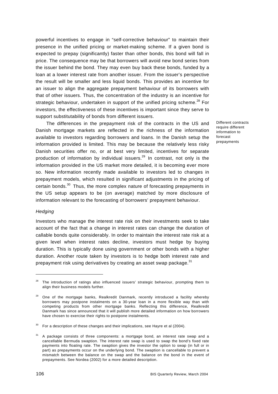powerful incentives to engage in "self-corrective behaviour" to maintain their presence in the unified pricing or market-making scheme. If a given bond is expected to prepay (significantly) faster than other bonds, this bond will fall in price. The consequence may be that borrowers will avoid new bond series from the issuer behind the bond. They may even buy back these bonds, funded by a loan at a lower interest rate from another issuer. From the issuer's perspective the result will be smaller and less liquid bonds. This provides an incentive for an issuer to align the aggregate prepayment behaviour of its borrowers with that of other issuers. Thus, the concentration of the industry is an incentive for strategic behaviour, undertaken in support of the unified pricing scheme.<sup>28</sup> For investors, the effectiveness of these incentives is important since they serve to support substitutability of bonds from different issuers.

The differences in the prepayment risk of the contracts in the US and Danish mortgage markets are reflected in the richness of the information available to investors regarding borrowers and loans. In the Danish setup the information provided is limited. This may be because the relatively less risky Danish securities offer no, or at best very limited, incentives for separate production of information by individual issuers.<sup>29</sup> In contrast, not only is the information provided in the US market more detailed, it is becoming ever more so. New information recently made available to investors led to changes in prepayment models, which resulted in significant adjustments in the pricing of certain bonds.30 Thus, the more complex nature of forecasting prepayments in the US setup appears to be (on average) matched by more disclosure of information relevant to the forecasting of borrowers' prepayment behaviour.

### *Hedging*

 $\overline{a}$ 

Investors who manage the interest rate risk on their investments seek to take account of the fact that a change in interest rates can change the duration of callable bonds quite considerably. In order to maintain the interest rate risk at a given level when interest rates decline, investors must hedge by buying duration. This is typically done using government or other bonds with a higher duration. Another route taken by investors is to hedge both interest rate and prepayment risk using derivatives by creating an asset swap package.<sup>31</sup>

Different contracts require different information to forecast prepayments

The introduction of ratings also influenced issuers' strategic behaviour, prompting them to align their business models further.

<sup>&</sup>lt;sup>29</sup> One of the mortgage banks, Realkredit Danmark, recently introduced a facility whereby borrowers may postpone instalments on a 30-year loan in a more flexible way than with competing products from other mortgage banks. Reflecting this difference, Realkredit Danmark has since announced that it will publish more detailed information on how borrowers have chosen to exercise their rights to postpone instalments.

 $30$  For a description of these changes and their implications, see Hayre et al (2004).

 $31$  A package consists of three components: a mortgage bond, an interest rate swap and a cancellable Bermuda swaption. The interest rate swap is used to swap the bond's fixed rate payments into floating rate. The swaption gives the investor the option to swap (in full or in part) as prepayments occur on the underlying bond. The swaption is cancellable to prevent a mismatch between the balance on the swap and the balance on the bond in the event of prepayments. See Nordea (2002) for a more detailed description.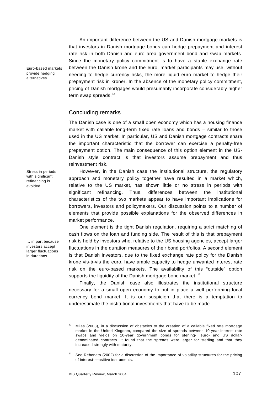An important difference between the US and Danish mortgage markets is that investors in Danish mortgage bonds can hedge prepayment and interest rate risk in both Danish and euro area government bond and swap markets. Since the monetary policy commitment is to have a stable exchange rate between the Danish krone and the euro, market participants may use, without needing to hedge currency risks, the more liquid euro market to hedge their prepayment risk in kroner. In the absence of the monetary policy commitment, pricing of Danish mortgages would presumably incorporate considerably higher term swap spreads. $32$ 

# Concluding remarks

The Danish case is one of a small open economy which has a housing finance market with callable long-term fixed rate loans and bonds – similar to those used in the US market. In particular, US and Danish mortgage contracts share the important characteristic that the borrower can exercise a penalty-free prepayment option. The main consequence of this option element in the US-Danish style contract is that investors assume prepayment and thus reinvestment risk.

However, in the Danish case the institutional structure, the regulatory approach and monetary policy together have resulted in a market which, relative to the US market, has shown little or no stress in periods with significant refinancing. Thus, differences between the institutional characteristics of the two markets appear to have important implications for borrowers, investors and policymakers. Our discussion points to a number of elements that provide possible explanations for the observed differences in market performance.

One element is the tight Danish regulation, requiring a strict matching of cash flows on the loan and funding side. The result of this is that prepayment risk is held by investors who, relative to the US housing agencies, accept larger fluctuations in the duration measures of their bond portfolios. A second element is that Danish investors, due to the fixed exchange rate policy for the Danish krone vis-à-vis the euro, have ample capacity to hedge unwanted interest rate risk on the euro-based markets. The availability of this "outside" option supports the liquidity of the Danish mortgage bond market. $33$ 

Finally, the Danish case also illustrates the institutional structure necessary for a small open economy to put in place a well performing local currency bond market. It is our suspicion that there is a temptation to underestimate the institutional investments that have to be made.

Euro-based markets provide hedging alternatives

Stress in periods with significant refinancing is avoided …

… in part because investors accept larger fluctuations in durations

 $\overline{a}$ 

 $32$  Miles (2003), in a discussion of obstacles to the creation of a callable fixed rate mortgage market in the United Kingdom, compared the size of spreads between 10-year interest rate swaps and yields on 10-year government bonds for sterling-, euro- and US dollardenominated contracts. It found that the spreads were larger for sterling and that they increased strongly with maturity.

<sup>&</sup>lt;sup>33</sup> See Rebonato (2002) for a discussion of the importance of volatility structures for the pricing of interest-sensitive instruments.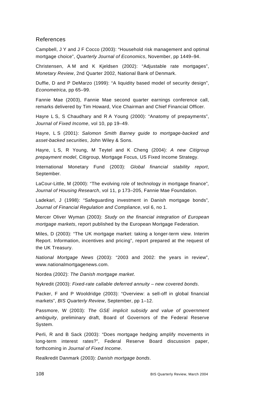# References

Campbell, J Y and J F Cocco (2003): "Household risk management and optimal mortgage choice", *Quarterly Journal of Economics*, November, pp 1449–94.

Christensen, A M and K Kjeldsen (2002): "Adjustable rate mortgages", *Monetary Review*, 2nd Quarter 2002, National Bank of Denmark.

Duffie, D and P DeMarzo (1999): "A liquidity based model of security design", *Econometrica*, pp 65–99.

Fannie Mae (2003), Fannie Mae second quarter earnings conference call, remarks delivered by Tim Howard, Vice Chairman and Chief Financial Officer.

Hayre L S, S Chaudhary and R A Young (2000): "Anatomy of prepayments", *Journal of Fixed Income*, vol 10, pp 19–49.

Hayre, L S (2001): *Salomon Smith Barney guide to mortgage-backed and asset-backed securities*, John Wiley & Sons.

Hayre, L S, R Young, M Teytel and K Cheng (2004): *A new Citigroup prepayment model*, Citigroup, Mortgage Focus, US Fixed Income Strategy.

International Monetary Fund (2003): *Global financial stability report*, September*.* 

LaCour-Little, M (2000): "The evolving role of technology in mortgage finance"*, Journal of Housing Research*, vol 11, p 173–205, Fannie Mae Foundation.

Ladekarl, J (1998): "Safeguarding investment in Danish mortgage bonds"*, Journal of Financial Regulation and Compliance*, vol 6, no 1.

Mercer Oliver Wyman (2003): *Study on the financial integration of European mortgage markets*, report published by the European Mortgage Federation.

Miles, D (2003): "The UK mortgage market: taking a longer-term view. Interim Report. Information, incentives and pricing", report prepared at the request of the UK Treasury.

*National Mortgage News* (2003): "2003 and 2002: the years in review", www.nationalmortgagenews.com.

Nordea (2002): *The Danish mortgage market*.

Nykredit (2003): *Fixed-rate callable deferred annuity – new covered bonds*.

Packer, F and P Wooldridge (2003): "Overview: a sell-off in global financial markets", *BIS Quarterly Review*, September, pp 1–12.

Passmore, W (2003): *The GSE implicit subsidy and value of government ambiguity*, preliminary draft, Board of Governors of the Federal Reserve System.

Perli, R and B Sack (2003): "Does mortgage hedging amplify movements in long-term interest rates?", Federal Reserve Board discussion paper, forthcoming in *Journal of Fixed Income*.

Realkredit Danmark (2003): *Danish mortgage bonds*.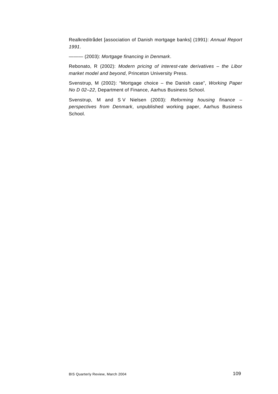Realkreditrådet [association of Danish mortgage banks] (1991): *Annual Report 1991*.

——— (2003): *Mortgage financing in Denmark*.

Rebonato, R (2002): *Modern pricing of interest-rate derivatives – the Libor market model and beyond*, Princeton University Press.

Svenstrup, M (2002): "Mortgage choice – the Danish case", *Working Paper No D 02–22*, Department of Finance, Aarhus Business School.

Svenstrup, M and S V Nielsen (2003): *Reforming housing finance – perspectives from Denmark*, unpublished working paper, Aarhus Business School.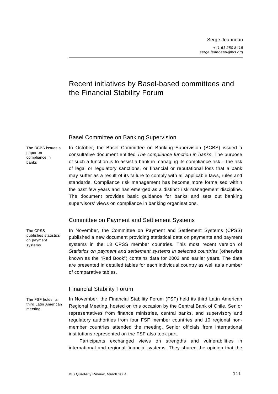# Recent initiatives by Basel-based committees and the Financial Stability Forum

# Basel Committee on Banking Supervision

The BCBS issues a paper on compliance in banks

In October, the Basel Committee on Banking Supervision (BCBS) issued a consultative document entitled *[The compliance function in banks](http://www.bis.org/publ/bcbs103.htm)*. The purpose of such a function is to assist a bank in managing its compliance risk – the risk of legal or regulatory sanctions, or financial or reputational loss that a bank may suffer as a result of its failure to comply with all applicable laws, rules and standards. Compliance risk management has become more formalised within the past few years and has emerged as a distinct risk management discipline. The document provides basic guidance for banks and sets out banking supervisors' views on compliance in banking organisations.

# Committee on Payment and Settlement Systems

The CPSS publishes statistics on payment systems

In November, the Committee on Payment and Settlement Systems (CPSS) published a new document providing statistical data on payments and payment systems in the 13 CPSS member countries. This most recent version of *[Statistics on payment and settlement systems in selected countries](http://www.bis.org/publ/cpss60.pdf)* (otherwise known as the "Red Book") contains data for 2002 and earlier years. The data are presented in detailed tables for each individual country as well as a number of comparative tables.

# Financial Stability Forum

The FSF holds its third Latin American meeting

In November, the Financial Stability Forum (FSF) held its third Latin American Regional Meeting, hosted on this occasion by the Central Bank of Chile. Senior representatives from finance ministries, central banks, and supervisory and regulatory authorities from four FSF member countries and 10 regional nonmember countries attended the meeting. Senior officials from international institutions represented on the FSF also took part.

Participants exchanged views on strengths and vulnerabilities in international and regional financial systems. They shared the opinion that the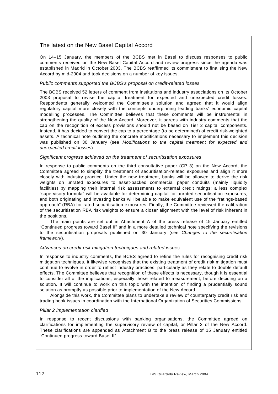# The latest on the New Basel Capital Accord

On 14–15 January, the members of the BCBS met in Basel to discuss responses to public comments received on the New Basel Capital Accord and review progress since the agenda was established in Madrid in October 2003. The BCBS reaffirmed its commitment to finalising the New Accord by mid-2004 and took decisions on a number of key issues.

### *Public comments supported the BCBS's proposal on credit-related losses*

The BCBS received 52 letters of comment from institutions and industry associations on its October 2003 proposal to revise the capital treatment for expected and unexpected credit losses. Respondents generally welcomed the Committee's solution and agreed that it would align regulatory capital more closely with the concepts underpinning leading banks' economic capital modelling processes. The Committee believes that these comments will be instrumental in strengthening the quality of the New Accord. Moreover, it agrees with industry comments that the cap on the recognition of excess provisions should not be based on Tier 2 capital components. Instead, it has decided to convert the cap to a percentage (to be determined) of credit risk-weighted assets. A technical note outlining the concrete modifications necessary to implement this decision was published on 30 January (see *[Modifications to the capital treatment for expected and](http://www.bis.org/publ/bcbs104.pdf)  [unexpected credit losses](http://www.bis.org/publ/bcbs104.pdf)*).

### *Significant progress achieved on the treatment of securitisation exposures*

In response to public comments on the third consultative paper (CP 3) on the New Accord, the Committee agreed to simplify the treatment of securitisation-related exposures and align it more closely with industry practice. Under the new treatment, banks will be allowed to derive the risk weights on unrated exposures to asset-backed commercial paper conduits (mainly liquidity facilities) by mapping their internal risk assessments to external credit ratings; a less complex "supervisory formula" will be available for determining capital for unrated securitisation exposures; and both originating and investing banks will be able to make equivalent use of the "ratings-based approach" (RBA) for rated securitisation exposures. Finally, the Committee reviewed the calibration of the securitisation RBA risk weights to ensure a closer alignment with the level of risk inherent in the positions.

The main points are set out in Attachment A of the press release of 15 January entitled ["Continued progress toward Basel II"](http://www.bis.org/press/p040115.htm) and in a more detailed technical note specifying the revisions to the securitisation proposals published on 30 January (see *[Changes to the securitisation](http://www.bis.org/publ/bcbs105.pdf)  [framework](http://www.bis.org/publ/bcbs105.pdf)*).

### *Advances on credit risk mitigation techniques and related issues*

In response to industry comments, the BCBS agreed to refine the rules for recognising credit risk mitigation techniques. It likewise recognises that the existing treatment of credit risk mitigation must continue to evolve in order to reflect industry practices, particularly as they relate to double default effects. The Committee believes that recognition of these effects is necessary, though it is essential to consider all of the implications, especially those related to measurement, before deciding on a solution. It will continue to work on this topic with the intention of finding a prudentially sound solution as promptly as possible prior to implementation of the New Accord.

Alongside this work, the Committee plans to undertake a review of counterparty credit risk and trading book issues in coordination with the International Organization of Securities Commissions.

# *Pillar 2 implementation clarified*

In response to recent discussions with banking organisations, the Committee agreed on clarifications for implementing the supervisory review of capital, or Pillar 2 of the New Accord. These clarifications are appended as Attachment B to the press release of 15 January entitled ["Continued progress toward Basel II"](http://www.bis.org/press/p040115.htm).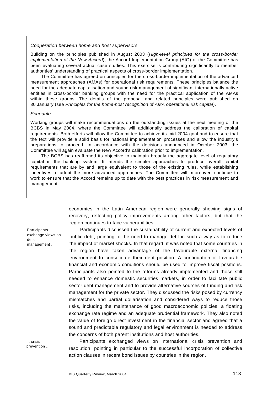### *Cooperation between home and host supervisors*

Building on the principles published in August 2003 (*[High-level principles for the cross-border](http://www.bis.org/publ/bcbs100.htm)  [implementation of the New Accord](http://www.bis.org/publ/bcbs100.htm)*), the Accord Implementation Group (AIG) of the Committee has been evaluating several actual case studies. This exercise is contributing significantly to member authorities' understanding of practical aspects of cross-border implementation.

The Committee has agreed on principles for the cross-border implementation of the advanced measurement approaches (AMAs) for operational risk requirements. These principles balance the need for the adequate capitalisation and sound risk management of significant internationally active entities in cross-border banking groups with the need for the practical application of the AMAs within these groups. The details of the proposal and related principles were published on 30 January (see *[Principles for the home-host recognition of AMA operational](http://www.bis.org/publ/bcbs106.pdf) risk capital*).

#### *Schedule*

Working groups will make recommendations on the outstanding issues at the next meeting of the BCBS in May 2004, where the Committee will additionally address the calibration of capital requirements. Both efforts will allow the Committee to achieve its mid-2004 goal and to ensure that the text will provide a solid basis for national implementation processes and allow the industry's preparations to proceed. In accordance with the decisions announced in October 2003, the Committee will again evaluate the New Accord's calibration prior to implementation.

The BCBS has reaffirmed its objective to maintain broadly the aggregate level of regulatory capital in the banking system. It intends the simpler approaches to produce overall capital requirements that are by and large equivalent to those of the existing rules, while establishing incentives to adopt the more advanced approaches. The Committee will, moreover, continue to work to ensure that the Accord remains up to date with the best practices in risk measurement and management.

> economies in the Latin American region were generally showing signs of recovery, reflecting policy improvements among other factors, but that the region continues to face vulnerabilities.

> Participants discussed the sustainability of current and expected levels of public debt, pointing to the need to manage debt in such a way as to reduce the impact of market shocks. In that regard, it was noted that some countries in the region have taken advantage of the favourable external financing environment to consolidate their debt position. A continuation of favourable financial and economic conditions should be used to improve fiscal positions. Participants also pointed to the reforms already implemented and those still needed to enhance domestic securities markets, in order to facilitate public sector debt management and to provide alternative sources of funding and risk management for the private sector. They discussed the risks posed by currency mismatches and partial dollarisation and considered ways to reduce those risks, including the maintenance of good macroeconomic policies, a floating exchange rate regime and an adequate prudential framework. They also noted the value of foreign direct investment in the financial sector and agreed that a sound and predictable regulatory and legal environment is needed to address the concerns of both parent institutions and host authorities.

... crisis prevention ...

**Participants** exchange views on

management ...

debt

Participants exchanged views on international crisis prevention and resolution, pointing in particular to the successful incorporation of collective action clauses in recent bond issues by countries in the region.